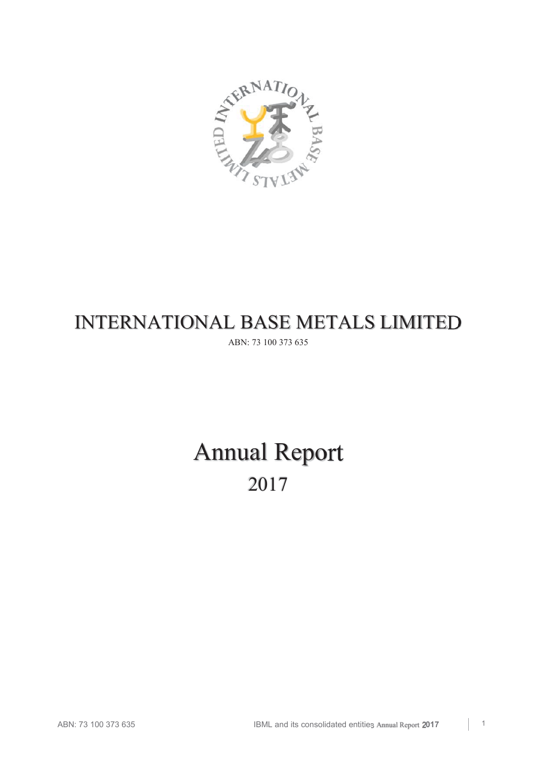

# INTERNATIONAL BASE METALS LIMITED

ABN: 73 100 373 635

# Annual Report 2017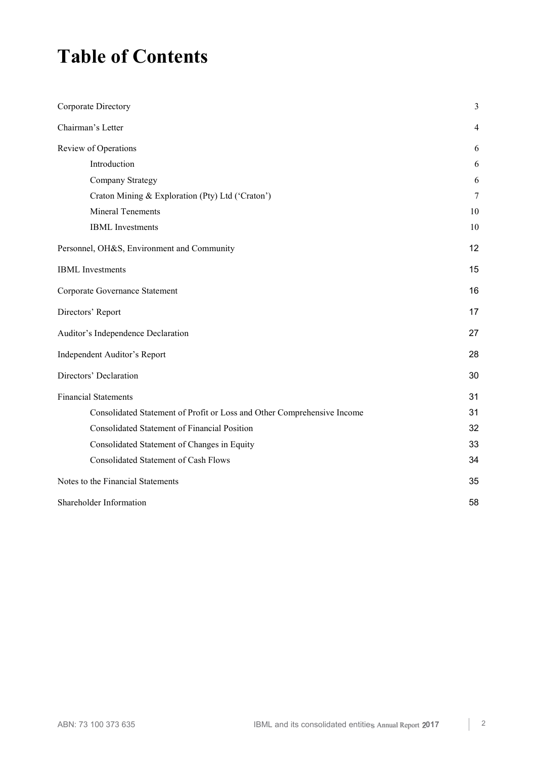## **Table of Contents**

| Corporate Directory                                                     | 3  |
|-------------------------------------------------------------------------|----|
| Chairman's Letter                                                       | 4  |
| Review of Operations                                                    | 6  |
| Introduction                                                            | 6  |
| Company Strategy                                                        | 6  |
| Craton Mining & Exploration (Pty) Ltd ('Craton')                        | 7  |
| <b>Mineral Tenements</b>                                                | 10 |
| <b>IBML</b> Investments                                                 | 10 |
| Personnel, OH&S, Environment and Community                              | 12 |
| <b>IBML</b> Investments                                                 | 15 |
| Corporate Governance Statement                                          | 16 |
| Directors' Report                                                       | 17 |
| Auditor's Independence Declaration                                      | 27 |
| Independent Auditor's Report                                            | 28 |
| Directors' Declaration                                                  | 30 |
| <b>Financial Statements</b>                                             | 31 |
| Consolidated Statement of Profit or Loss and Other Comprehensive Income | 31 |
| <b>Consolidated Statement of Financial Position</b>                     | 32 |
| Consolidated Statement of Changes in Equity                             | 33 |
| <b>Consolidated Statement of Cash Flows</b>                             | 34 |
| Notes to the Financial Statements                                       | 35 |
| Shareholder Information                                                 | 58 |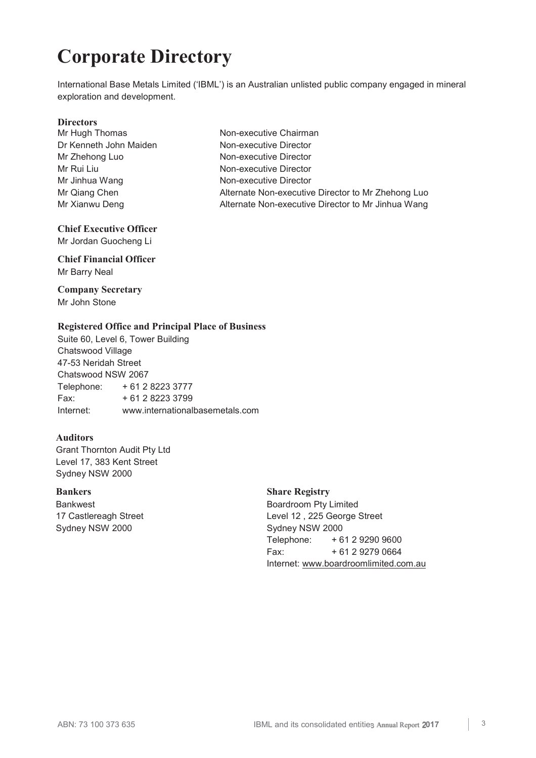# **Corporate Directory**

International Base Metals Limited ('IBML') is an Australian unlisted public company engaged in mineral exploration and development.

**Directors**<br>Mr Hugh Thomas Dr Kenneth John Maiden Non-executive Director Mr Zhehong Luo Non-executive Director Mr Rui Liu Non-executive Director Mr Jinhua Wang Non-executive Director

Non-executive Chairman Mr Qiang Chen **Alternate Non-executive Director to Mr Zhehong Luo** Alternate Non-executive Director to Mr Zhehong Luo Mr Xianwu Deng **Alternate Non-executive Director to Mr Jinhua Wang** 

## **Chief Executive Officer**

Mr Jordan Guocheng Li

## **Chief Financial Officer**  Mr Barry Neal

## **Company Secretary**  Mr John Stone

## **Registered Office and Principal Place of Business**

Suite 60, Level 6, Tower Building Chatswood Village 47-53 Neridah Street Chatswood NSW 2067 Telephone: + 61 2 8223 3777 Fax: + 61 2 8223 3799 Internet: www.internationalbasemetals.com

## **Auditors**

Grant Thornton Audit Pty Ltd Level 17, 383 Kent Street Sydney NSW 2000

Bankwest 17 Castlereagh Street Sydney NSW 2000

## **Bankers** Share Registry

Boardroom Pty Limited Level 12 , 225 George Street Sydney NSW 2000 Telephone: + 61 2 9290 9600 Fax: + 61 2 9279 0664 Internet: www.boardroomlimited.com.au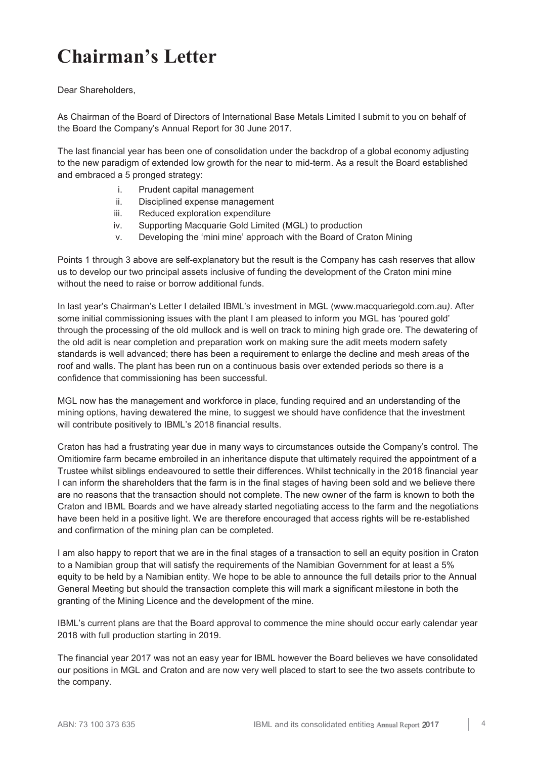## **Chairman's Letter**

Dear Shareholders,

As Chairman of the Board of Directors of International Base Metals Limited I submit to you on behalf of the Board the Company's Annual Report for 30 June 2017.

The last financial year has been one of consolidation under the backdrop of a global economy adjusting to the new paradigm of extended low growth for the near to mid-term. As a result the Board established and embraced a 5 pronged strategy:

- i. Prudent capital management
- ii. Disciplined expense management
- iii. Reduced exploration expenditure
- iv. Supporting Macquarie Gold Limited (MGL) to production
- v. Developing the 'mini mine' approach with the Board of Craton Mining

Points 1 through 3 above are self-explanatory but the result is the Company has cash reserves that allow us to develop our two principal assets inclusive of funding the development of the Craton mini mine without the need to raise or borrow additional funds.

In last year's Chairman's Letter I detailed IBML's investment in MGL (www.macquariegold.com.au*)*. After some initial commissioning issues with the plant I am pleased to inform you MGL has 'poured gold' through the processing of the old mullock and is well on track to mining high grade ore. The dewatering of the old adit is near completion and preparation work on making sure the adit meets modern safety standards is well advanced; there has been a requirement to enlarge the decline and mesh areas of the roof and walls. The plant has been run on a continuous basis over extended periods so there is a confidence that commissioning has been successful.

MGL now has the management and workforce in place, funding required and an understanding of the mining options, having dewatered the mine, to suggest we should have confidence that the investment will contribute positively to IBML's 2018 financial results.

Craton has had a frustrating year due in many ways to circumstances outside the Company's control. The Omitiomire farm became embroiled in an inheritance dispute that ultimately required the appointment of a Trustee whilst siblings endeavoured to settle their differences. Whilst technically in the 2018 financial year I can inform the shareholders that the farm is in the final stages of having been sold and we believe there are no reasons that the transaction should not complete. The new owner of the farm is known to both the Craton and IBML Boards and we have already started negotiating access to the farm and the negotiations have been held in a positive light. We are therefore encouraged that access rights will be re-established and confirmation of the mining plan can be completed.

I am also happy to report that we are in the final stages of a transaction to sell an equity position in Craton to a Namibian group that will satisfy the requirements of the Namibian Government for at least a 5% equity to be held by a Namibian entity. We hope to be able to announce the full details prior to the Annual General Meeting but should the transaction complete this will mark a significant milestone in both the granting of the Mining Licence and the development of the mine.

IBML's current plans are that the Board approval to commence the mine should occur early calendar year 2018 with full production starting in 2019.

The financial year 2017 was not an easy year for IBML however the Board believes we have consolidated our positions in MGL and Craton and are now very well placed to start to see the two assets contribute to the company.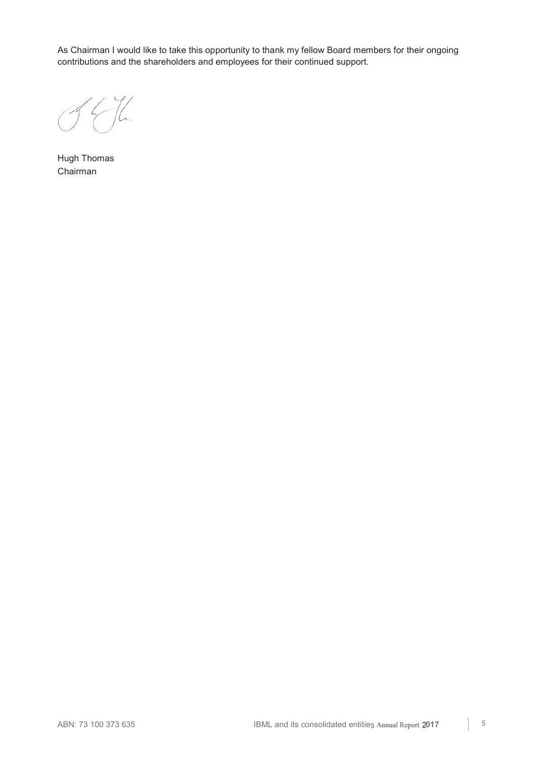As Chairman I would like to take this opportunity to thank my fellow Board members for their ongoing contributions and the shareholders and employees for their continued support.

Hugh Thomas Chairman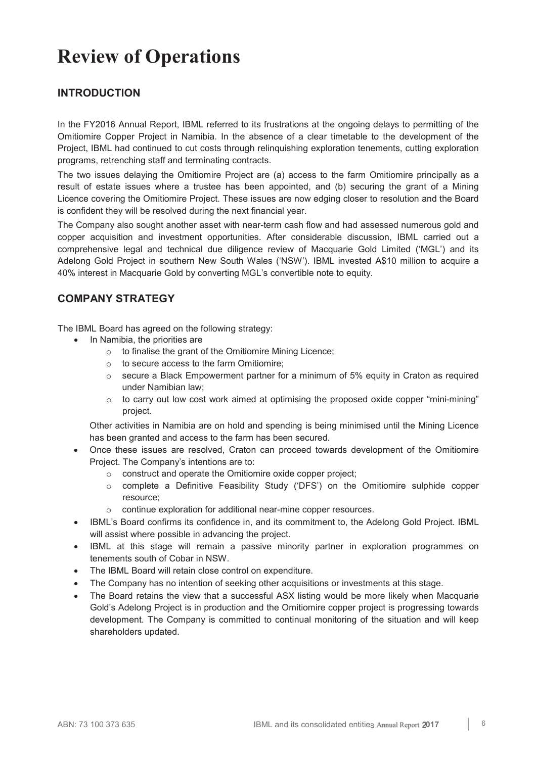## **Review of Operations**

## **INTRODUCTION**

In the FY2016 Annual Report, IBML referred to its frustrations at the ongoing delays to permitting of the Omitiomire Copper Project in Namibia. In the absence of a clear timetable to the development of the Project, IBML had continued to cut costs through relinquishing exploration tenements, cutting exploration programs, retrenching staff and terminating contracts.

The two issues delaying the Omitiomire Project are (a) access to the farm Omitiomire principally as a result of estate issues where a trustee has been appointed, and (b) securing the grant of a Mining Licence covering the Omitiomire Project. These issues are now edging closer to resolution and the Board is confident they will be resolved during the next financial year.

The Company also sought another asset with near-term cash flow and had assessed numerous gold and copper acquisition and investment opportunities. After considerable discussion, IBML carried out a comprehensive legal and technical due diligence review of Macquarie Gold Limited ('MGL') and its Adelong Gold Project in southern New South Wales ('NSW'). IBML invested A\$10 million to acquire a 40% interest in Macquarie Gold by converting MGL's convertible note to equity.

## **COMPANY STRATEGY**

The IBML Board has agreed on the following strategy:

- In Namibia, the priorities are
	- o to finalise the grant of the Omitiomire Mining Licence;
	- o to secure access to the farm Omitiomire;
	- $\circ$  secure a Black Empowerment partner for a minimum of 5% equity in Craton as required under Namibian law;
	- $\circ$  to carry out low cost work aimed at optimising the proposed oxide copper "mini-mining" project.

Other activities in Namibia are on hold and spending is being minimised until the Mining Licence has been granted and access to the farm has been secured.

- Once these issues are resolved, Craton can proceed towards development of the Omitiomire Project. The Company's intentions are to:
	- o construct and operate the Omitiomire oxide copper project;
	- o complete a Definitive Feasibility Study ('DFS') on the Omitiomire sulphide copper resource;
	- o continue exploration for additional near-mine copper resources.
- IBML's Board confirms its confidence in, and its commitment to, the Adelong Gold Project. IBML will assist where possible in advancing the project.
- IBML at this stage will remain a passive minority partner in exploration programmes on tenements south of Cobar in NSW.
- The IBML Board will retain close control on expenditure.
- The Company has no intention of seeking other acquisitions or investments at this stage.
- The Board retains the view that a successful ASX listing would be more likely when Macquarie Gold's Adelong Project is in production and the Omitiomire copper project is progressing towards development. The Company is committed to continual monitoring of the situation and will keep shareholders updated.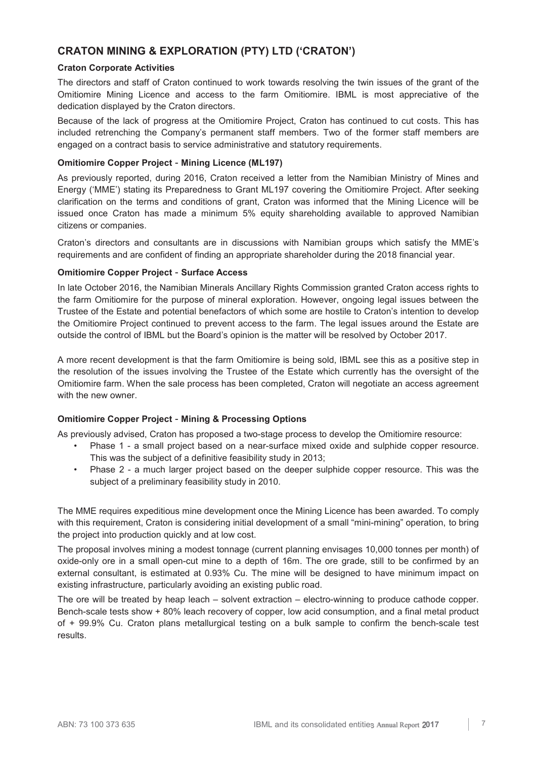## **CRATON MINING & EXPLORATION (PTY) LTD ('CRATON')**

## **Craton Corporate Activities**

The directors and staff of Craton continued to work towards resolving the twin issues of the grant of the Omitiomire Mining Licence and access to the farm Omitiomire. IBML is most appreciative of the dedication displayed by the Craton directors.

Because of the lack of progress at the Omitiomire Project, Craton has continued to cut costs. This has included retrenching the Company's permanent staff members. Two of the former staff members are engaged on a contract basis to service administrative and statutory requirements.

## **Omitiomire Copper Project** - **Mining Licence (ML197)**

As previously reported, during 2016, Craton received a letter from the Namibian Ministry of Mines and Energy ('MME') stating its Preparedness to Grant ML197 covering the Omitiomire Project. After seeking clarification on the terms and conditions of grant, Craton was informed that the Mining Licence will be issued once Craton has made a minimum 5% equity shareholding available to approved Namibian citizens or companies.

Craton's directors and consultants are in discussions with Namibian groups which satisfy the MME's requirements and are confident of finding an appropriate shareholder during the 2018 financial year.

## **Omitiomire Copper Project** - **Surface Access**

In late October 2016, the Namibian Minerals Ancillary Rights Commission granted Craton access rights to the farm Omitiomire for the purpose of mineral exploration. However, ongoing legal issues between the Trustee of the Estate and potential benefactors of which some are hostile to Craton's intention to develop the Omitiomire Project continued to prevent access to the farm. The legal issues around the Estate are outside the control of IBML but the Board's opinion is the matter will be resolved by October 2017.

A more recent development is that the farm Omitiomire is being sold, IBML see this as a positive step in the resolution of the issues involving the Trustee of the Estate which currently has the oversight of the Omitiomire farm. When the sale process has been completed, Craton will negotiate an access agreement with the new owner.

## **Omitiomire Copper Project** - **Mining & Processing Options**

As previously advised, Craton has proposed a two-stage process to develop the Omitiomire resource:

- Phase 1 a small project based on a near-surface mixed oxide and sulphide copper resource. This was the subject of a definitive feasibility study in 2013;
- Phase 2 a much larger project based on the deeper sulphide copper resource. This was the subject of a preliminary feasibility study in 2010.

The MME requires expeditious mine development once the Mining Licence has been awarded. To comply with this requirement, Craton is considering initial development of a small "mini-mining" operation, to bring the project into production quickly and at low cost.

The proposal involves mining a modest tonnage (current planning envisages 10,000 tonnes per month) of oxide-only ore in a small open-cut mine to a depth of 16m. The ore grade, still to be confirmed by an external consultant, is estimated at 0.93% Cu. The mine will be designed to have minimum impact on existing infrastructure, particularly avoiding an existing public road.

The ore will be treated by heap leach – solvent extraction – electro-winning to produce cathode copper. Bench-scale tests show + 80% leach recovery of copper, low acid consumption, and a final metal product of + 99.9% Cu. Craton plans metallurgical testing on a bulk sample to confirm the bench-scale test results.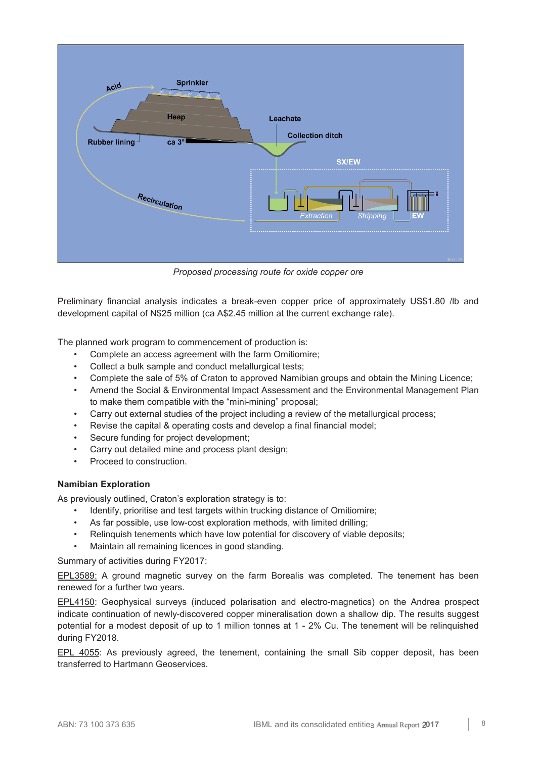

*Proposed processing route for oxide copper ore* 

Preliminary financial analysis indicates a break-even copper price of approximately US\$1.80 /lb and development capital of N\$25 million (ca A\$2.45 million at the current exchange rate).

The planned work program to commencement of production is:

- Complete an access agreement with the farm Omitiomire;
- Collect a bulk sample and conduct metallurgical tests;
- Complete the sale of 5% of Craton to approved Namibian groups and obtain the Mining Licence;
- Amend the Social & Environmental Impact Assessment and the Environmental Management Plan to make them compatible with the "mini-mining" proposal;
- Carry out external studies of the project including a review of the metallurgical process;
- Revise the capital & operating costs and develop a final financial model;
- Secure funding for project development;
- Carry out detailed mine and process plant design:
- Proceed to construction.

## **Namibian Exploration**

As previously outlined, Craton's exploration strategy is to:

- Identify, prioritise and test targets within trucking distance of Omitiomire;
- As far possible, use low-cost exploration methods, with limited drilling;
- Relinquish tenements which have low potential for discovery of viable deposits;
- Maintain all remaining licences in good standing.

Summary of activities during FY2017:

EPL3589: A ground magnetic survey on the farm Borealis was completed. The tenement has been renewed for a further two years.

EPL4150: Geophysical surveys (induced polarisation and electro-magnetics) on the Andrea prospect indicate continuation of newly-discovered copper mineralisation down a shallow dip. The results suggest potential for a modest deposit of up to 1 million tonnes at 1 - 2% Cu. The tenement will be relinquished during FY2018.

EPL 4055: As previously agreed, the tenement, containing the small Sib copper deposit, has been transferred to Hartmann Geoservices.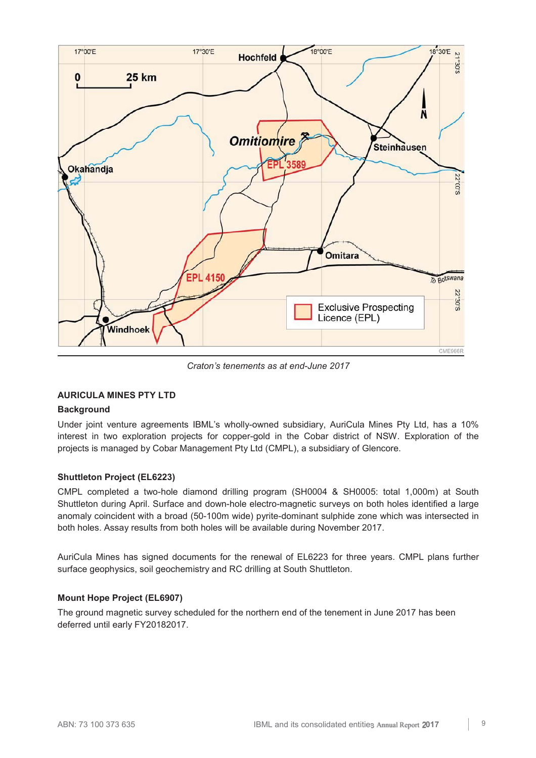

*Craton's tenements as at end-June 2017* 

## **AURICULA MINES PTY LTD**

## **Background**

Under joint venture agreements IBML's wholly-owned subsidiary, AuriCula Mines Pty Ltd, has a 10% interest in two exploration projects for copper-gold in the Cobar district of NSW. Exploration of the projects is managed by Cobar Management Pty Ltd (CMPL), a subsidiary of Glencore.

## **Shuttleton Project (EL6223)**

CMPL completed a two-hole diamond drilling program (SH0004 & SH0005: total 1,000m) at South Shuttleton during April. Surface and down-hole electro-magnetic surveys on both holes identified a large anomaly coincident with a broad (50-100m wide) pyrite-dominant sulphide zone which was intersected in both holes. Assay results from both holes will be available during November 2017.

AuriCula Mines has signed documents for the renewal of EL6223 for three years. CMPL plans further surface geophysics, soil geochemistry and RC drilling at South Shuttleton.

## **Mount Hope Project (EL6907)**

The ground magnetic survey scheduled for the northern end of the tenement in June 2017 has been deferred until early FY20182017.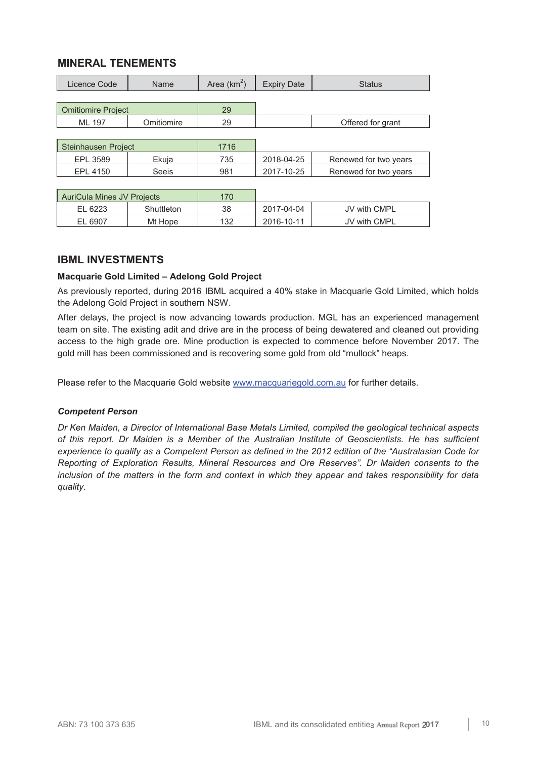## **MINERAL TENEMENTS**

| Licence Code                      | Name       | Area $(km^2)$ | <b>Expiry Date</b> | <b>Status</b>         |
|-----------------------------------|------------|---------------|--------------------|-----------------------|
|                                   |            |               |                    |                       |
| <b>Omitiomire Project</b>         |            | 29            |                    |                       |
| ML 197                            | Omitiomire | 29            |                    | Offered for grant     |
|                                   |            |               |                    |                       |
| Steinhausen Project               |            | 1716          |                    |                       |
| EPL 3589                          | Ekuja      | 735           | 2018-04-25         | Renewed for two years |
| EPL 4150                          | Seeis      | 981           | 2017-10-25         | Renewed for two years |
|                                   |            |               |                    |                       |
| <b>AuriCula Mines JV Projects</b> |            | 170           |                    |                       |
| EL 6223                           | Shuttleton | 38            | 2017-04-04         | JV with CMPL          |

EL 6907 | Mt Hope | 132 | 2016-10-11 | JV with CMPL

## **IBML INVESTMENTS**

## **Macquarie Gold Limited – Adelong Gold Project**

As previously reported, during 2016 IBML acquired a 40% stake in Macquarie Gold Limited, which holds the Adelong Gold Project in southern NSW.

After delays, the project is now advancing towards production. MGL has an experienced management team on site. The existing adit and drive are in the process of being dewatered and cleaned out providing access to the high grade ore. Mine production is expected to commence before November 2017. The gold mill has been commissioned and is recovering some gold from old "mullock" heaps.

Please refer to the Macquarie Gold website www.macquariegold.com.au for further details.

## *Competent Person*

*Dr Ken Maiden, a Director of International Base Metals Limited, compiled the geological technical aspects of this report. Dr Maiden is a Member of the Australian Institute of Geoscientists. He has sufficient experience to qualify as a Competent Person as defined in the 2012 edition of the "Australasian Code for Reporting of Exploration Results, Mineral Resources and Ore Reserves". Dr Maiden consents to the inclusion of the matters in the form and context in which they appear and takes responsibility for data quality.*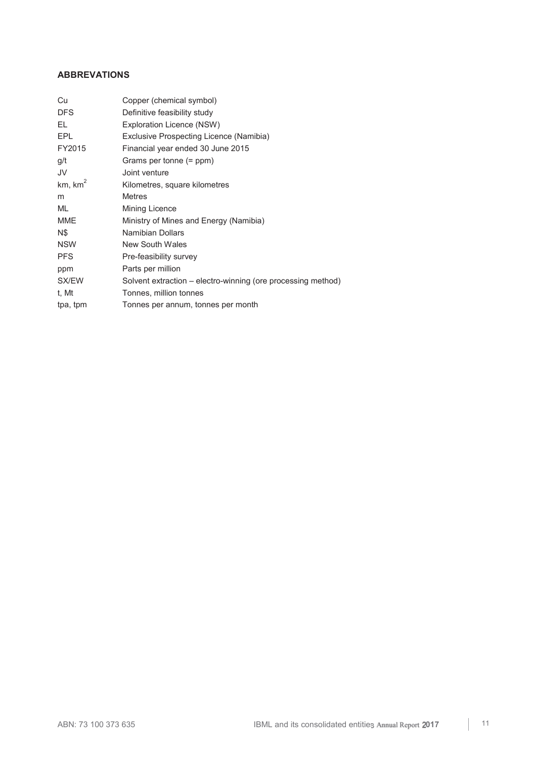## **ABBREVATIONS**

| Cu                  | Copper (chemical symbol)                                     |
|---------------------|--------------------------------------------------------------|
| <b>DFS</b>          | Definitive feasibility study                                 |
| EL                  | Exploration Licence (NSW)                                    |
| EPL                 | Exclusive Prospecting Licence (Namibia)                      |
| FY2015              | Financial year ended 30 June 2015                            |
| g/t                 | Grams per tonne (= ppm)                                      |
| JV                  | Joint venture                                                |
| km, km <sup>2</sup> | Kilometres, square kilometres                                |
| m                   | <b>Metres</b>                                                |
| ML                  | Mining Licence                                               |
| <b>MME</b>          | Ministry of Mines and Energy (Namibia)                       |
| N\$                 | Namibian Dollars                                             |
| <b>NSW</b>          | New South Wales                                              |
| <b>PFS</b>          | Pre-feasibility survey                                       |
| ppm                 | Parts per million                                            |
| SX/EW               | Solvent extraction – electro-winning (ore processing method) |
| t. Mt               | Tonnes, million tonnes                                       |
| tpa, tpm            | Tonnes per annum, tonnes per month                           |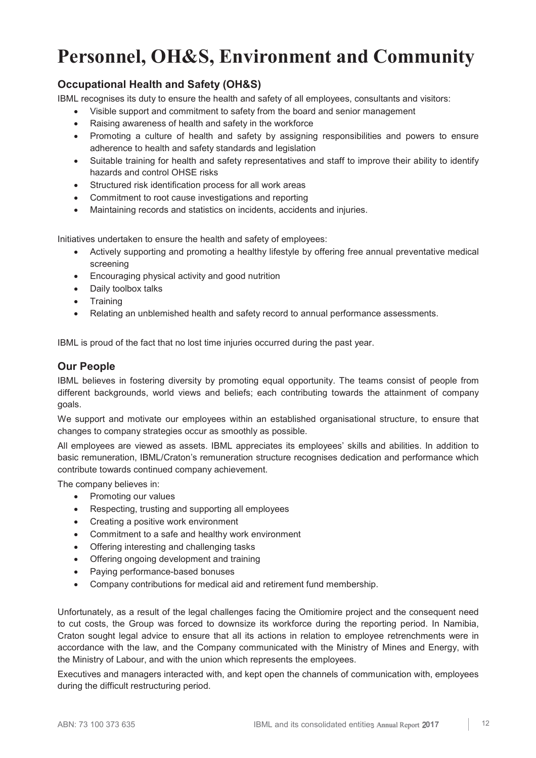## **Personnel, OH&S, Environment and Community**

## **Occupational Health and Safety (OH&S)**

IBML recognises its duty to ensure the health and safety of all employees, consultants and visitors:

- y Visible support and commitment to safety from the board and senior management
- Raising awareness of health and safety in the workforce
- Promoting a culture of health and safety by assigning responsibilities and powers to ensure adherence to health and safety standards and legislation
- Suitable training for health and safety representatives and staff to improve their ability to identify hazards and control OHSE risks
- Structured risk identification process for all work areas
- Commitment to root cause investigations and reporting
- Maintaining records and statistics on incidents, accidents and injuries.

Initiatives undertaken to ensure the health and safety of employees:

- Actively supporting and promoting a healthy lifestyle by offering free annual preventative medical screening
- Encouraging physical activity and good nutrition
- Daily toolbox talks
- Training
- Relating an unblemished health and safety record to annual performance assessments.

IBML is proud of the fact that no lost time injuries occurred during the past year.

## **Our People**

IBML believes in fostering diversity by promoting equal opportunity. The teams consist of people from different backgrounds, world views and beliefs; each contributing towards the attainment of company goals.

We support and motivate our employees within an established organisational structure, to ensure that changes to company strategies occur as smoothly as possible.

All employees are viewed as assets. IBML appreciates its employees' skills and abilities. In addition to basic remuneration, IBML/Craton's remuneration structure recognises dedication and performance which contribute towards continued company achievement.

The company believes in:

- Promoting our values
- Respecting, trusting and supporting all employees
- Creating a positive work environment
- Commitment to a safe and healthy work environment
- Offering interesting and challenging tasks
- Offering ongoing development and training
- Paying performance-based bonuses
- Company contributions for medical aid and retirement fund membership.

Unfortunately, as a result of the legal challenges facing the Omitiomire project and the consequent need to cut costs, the Group was forced to downsize its workforce during the reporting period. In Namibia, Craton sought legal advice to ensure that all its actions in relation to employee retrenchments were in accordance with the law, and the Company communicated with the Ministry of Mines and Energy, with the Ministry of Labour, and with the union which represents the employees.

Executives and managers interacted with, and kept open the channels of communication with, employees during the difficult restructuring period.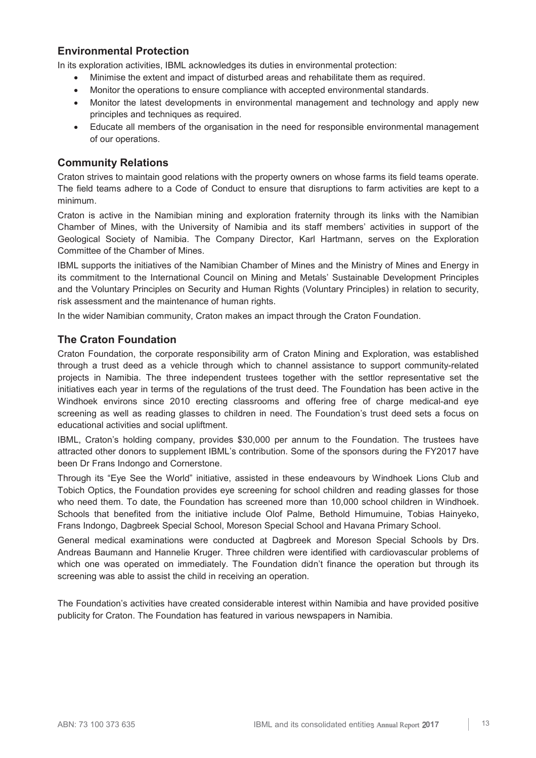## **Environmental Protection**

In its exploration activities, IBML acknowledges its duties in environmental protection:

- Minimise the extent and impact of disturbed areas and rehabilitate them as required.
- Monitor the operations to ensure compliance with accepted environmental standards.
- Monitor the latest developments in environmental management and technology and apply new principles and techniques as required.
- Educate all members of the organisation in the need for responsible environmental management of our operations.

## **Community Relations**

Craton strives to maintain good relations with the property owners on whose farms its field teams operate. The field teams adhere to a Code of Conduct to ensure that disruptions to farm activities are kept to a minimum.

Craton is active in the Namibian mining and exploration fraternity through its links with the Namibian Chamber of Mines, with the University of Namibia and its staff members' activities in support of the Geological Society of Namibia. The Company Director, Karl Hartmann, serves on the Exploration Committee of the Chamber of Mines.

IBML supports the initiatives of the Namibian Chamber of Mines and the Ministry of Mines and Energy in its commitment to the International Council on Mining and Metals' Sustainable Development Principles and the Voluntary Principles on Security and Human Rights (Voluntary Principles) in relation to security, risk assessment and the maintenance of human rights.

In the wider Namibian community, Craton makes an impact through the Craton Foundation.

## **The Craton Foundation**

Craton Foundation, the corporate responsibility arm of Craton Mining and Exploration, was established through a trust deed as a vehicle through which to channel assistance to support community-related projects in Namibia. The three independent trustees together with the settlor representative set the initiatives each year in terms of the regulations of the trust deed. The Foundation has been active in the Windhoek environs since 2010 erecting classrooms and offering free of charge medical-and eye screening as well as reading glasses to children in need. The Foundation's trust deed sets a focus on educational activities and social upliftment.

IBML, Craton's holding company, provides \$30,000 per annum to the Foundation. The trustees have attracted other donors to supplement IBML's contribution. Some of the sponsors during the FY2017 have been Dr Frans Indongo and Cornerstone.

Through its "Eye See the World" initiative, assisted in these endeavours by Windhoek Lions Club and Tobich Optics, the Foundation provides eye screening for school children and reading glasses for those who need them. To date, the Foundation has screened more than 10,000 school children in Windhoek. Schools that benefited from the initiative include Olof Palme, Bethold Himumuine, Tobias Hainyeko, Frans Indongo, Dagbreek Special School, Moreson Special School and Havana Primary School.

General medical examinations were conducted at Dagbreek and Moreson Special Schools by Drs. Andreas Baumann and Hannelie Kruger. Three children were identified with cardiovascular problems of which one was operated on immediately. The Foundation didn't finance the operation but through its screening was able to assist the child in receiving an operation.

The Foundation's activities have created considerable interest within Namibia and have provided positive publicity for Craton. The Foundation has featured in various newspapers in Namibia.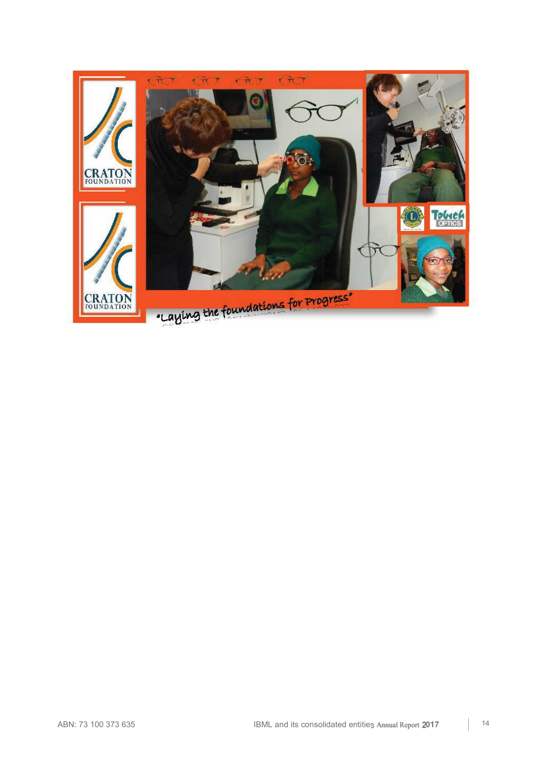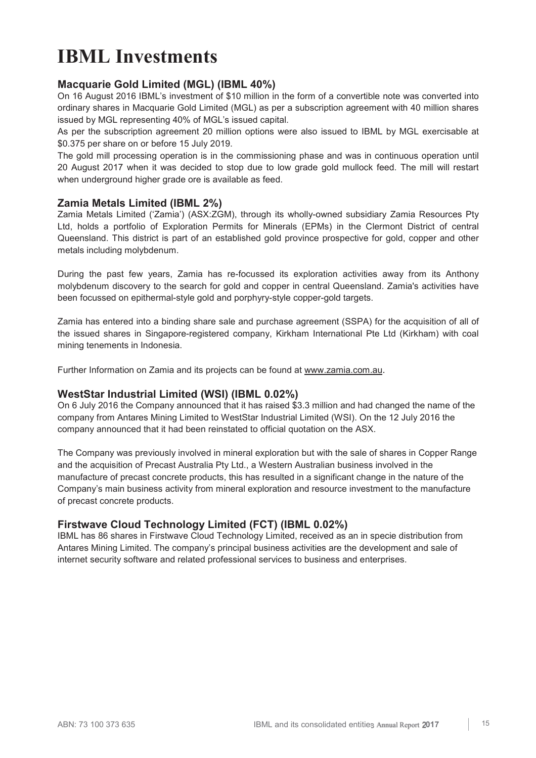## **IBML Investments**

## **Macquarie Gold Limited (MGL) (IBML 40%)**

On 16 August 2016 IBML's investment of \$10 million in the form of a convertible note was converted into ordinary shares in Macquarie Gold Limited (MGL) as per a subscription agreement with 40 million shares issued by MGL representing 40% of MGL's issued capital.

As per the subscription agreement 20 million options were also issued to IBML by MGL exercisable at \$0.375 per share on or before 15 July 2019.

The gold mill processing operation is in the commissioning phase and was in continuous operation until 20 August 2017 when it was decided to stop due to low grade gold mullock feed. The mill will restart when underground higher grade ore is available as feed.

## **Zamia Metals Limited (IBML 2%)**

Zamia Metals Limited ('Zamia') (ASX:ZGM), through its wholly-owned subsidiary Zamia Resources Pty Ltd, holds a portfolio of Exploration Permits for Minerals (EPMs) in the Clermont District of central Queensland. This district is part of an established gold province prospective for gold, copper and other metals including molybdenum.

During the past few years, Zamia has re-focussed its exploration activities away from its Anthony molybdenum discovery to the search for gold and copper in central Queensland. Zamia's activities have been focussed on epithermal-style gold and porphyry-style copper-gold targets.

Zamia has entered into a binding share sale and purchase agreement (SSPA) for the acquisition of all of the issued shares in Singapore-registered company, Kirkham International Pte Ltd (Kirkham) with coal mining tenements in Indonesia.

Further Information on Zamia and its projects can be found at www.zamia.com.au.

## **WestStar Industrial Limited (WSI) (IBML 0.02%)**

On 6 July 2016 the Company announced that it has raised \$3.3 million and had changed the name of the company from Antares Mining Limited to WestStar Industrial Limited (WSI). On the 12 July 2016 the company announced that it had been reinstated to official quotation on the ASX.

The Company was previously involved in mineral exploration but with the sale of shares in Copper Range and the acquisition of Precast Australia Pty Ltd., a Western Australian business involved in the manufacture of precast concrete products, this has resulted in a significant change in the nature of the Company's main business activity from mineral exploration and resource investment to the manufacture of precast concrete products.

## **Firstwave Cloud Technology Limited (FCT) (IBML 0.02%)**

IBML has 86 shares in Firstwave Cloud Technology Limited, received as an in specie distribution from Antares Mining Limited. The company's principal business activities are the development and sale of internet security software and related professional services to business and enterprises.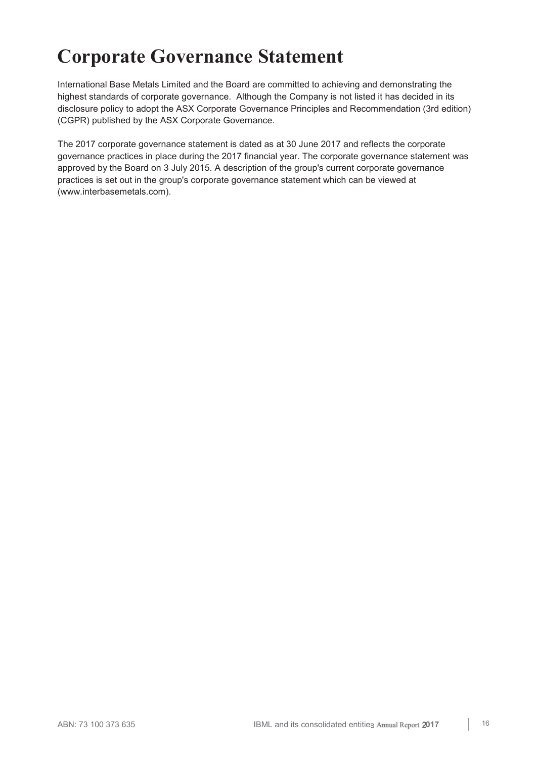## **Corporate Governance Statement**

International Base Metals Limited and the Board are committed to achieving and demonstrating the highest standards of corporate governance. Although the Company is not listed it has decided in its disclosure policy to adopt the ASX Corporate Governance Principles and Recommendation (3rd edition) (CGPR) published by the ASX Corporate Governance.

The 2017 corporate governance statement is dated as at 30 June 2017 and reflects the corporate governance practices in place during the 2017 financial year. The corporate governance statement was approved by the Board on 3 July 2015. A description of the group's current corporate governance practices is set out in the group's corporate governance statement which can be viewed at (www.interbasemetals.com).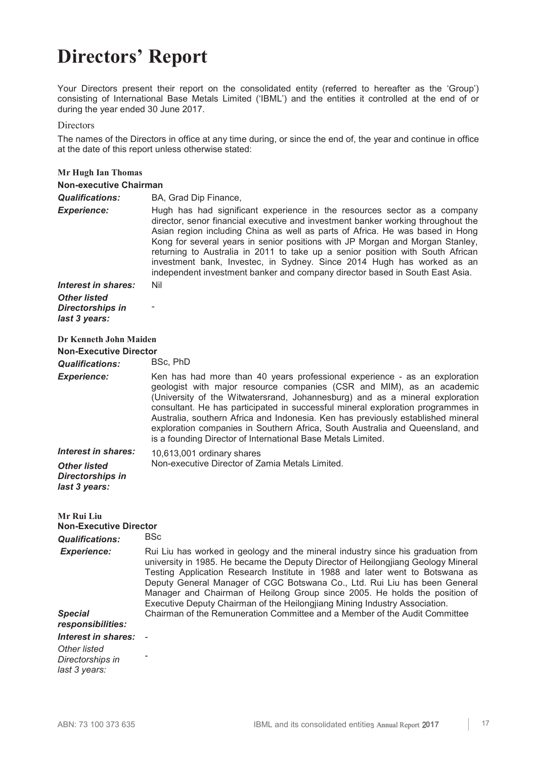## **Directors' Report**

Your Directors present their report on the consolidated entity (referred to hereafter as the 'Group') consisting of International Base Metals Limited ('IBML') and the entities it controlled at the end of or during the year ended 30 June 2017.

Directors

The names of the Directors in office at any time during, or since the end of, the year and continue in office at the date of this report unless otherwise stated:

| <b>Mr Hugh Ian Thomas</b>                                             |                                                                                                                                                                                                                                                                                                                                                                                                                                                                                                                                                                            |
|-----------------------------------------------------------------------|----------------------------------------------------------------------------------------------------------------------------------------------------------------------------------------------------------------------------------------------------------------------------------------------------------------------------------------------------------------------------------------------------------------------------------------------------------------------------------------------------------------------------------------------------------------------------|
| <b>Non-executive Chairman</b>                                         |                                                                                                                                                                                                                                                                                                                                                                                                                                                                                                                                                                            |
| <b>Qualifications:</b>                                                | BA, Grad Dip Finance,                                                                                                                                                                                                                                                                                                                                                                                                                                                                                                                                                      |
| <b>Experience:</b>                                                    | Hugh has had significant experience in the resources sector as a company<br>director, senor financial executive and investment banker working throughout the<br>Asian region including China as well as parts of Africa. He was based in Hong<br>Kong for several years in senior positions with JP Morgan and Morgan Stanley,<br>returning to Australia in 2011 to take up a senior position with South African<br>investment bank, Investec, in Sydney. Since 2014 Hugh has worked as an<br>independent investment banker and company director based in South East Asia. |
| Interest in shares:                                                   | Nil                                                                                                                                                                                                                                                                                                                                                                                                                                                                                                                                                                        |
| <b>Other listed</b>                                                   |                                                                                                                                                                                                                                                                                                                                                                                                                                                                                                                                                                            |
| <b>Directorships in</b><br>last 3 years:                              |                                                                                                                                                                                                                                                                                                                                                                                                                                                                                                                                                                            |
| Dr Kenneth John Maiden                                                |                                                                                                                                                                                                                                                                                                                                                                                                                                                                                                                                                                            |
| <b>Non-Executive Director</b>                                         |                                                                                                                                                                                                                                                                                                                                                                                                                                                                                                                                                                            |
| <b>Qualifications:</b>                                                | BSc, PhD                                                                                                                                                                                                                                                                                                                                                                                                                                                                                                                                                                   |
| <b>Experience:</b>                                                    | Ken has had more than 40 years professional experience - as an exploration<br>geologist with major resource companies (CSR and MIM), as an academic<br>(University of the Witwatersrand, Johannesburg) and as a mineral exploration<br>consultant. He has participated in successful mineral exploration programmes in<br>Australia, southern Africa and Indonesia. Ken has previously established mineral<br>exploration companies in Southern Africa, South Australia and Queensland, and<br>is a founding Director of International Base Metals Limited.                |
| Interest in shares:                                                   | 10,613,001 ordinary shares                                                                                                                                                                                                                                                                                                                                                                                                                                                                                                                                                 |
| <b>Other listed</b><br><b>Directorships in</b><br>last 3 years:       | Non-executive Director of Zamia Metals Limited.                                                                                                                                                                                                                                                                                                                                                                                                                                                                                                                            |
| Mr Rui Liu<br><b>Non-Executive Director</b><br><b>Qualifications:</b> | <b>BSc</b>                                                                                                                                                                                                                                                                                                                                                                                                                                                                                                                                                                 |
| <b>Experience:</b>                                                    | Rui Liu has worked in geology and the mineral industry since his graduation from                                                                                                                                                                                                                                                                                                                                                                                                                                                                                           |
|                                                                       | university in 1985. He became the Deputy Director of Heilongjiang Geology Mineral<br>Testing Application Research Institute in 1988 and later went to Botswana as<br>Deputy General Manager of CGC Botswana Co., Ltd. Rui Liu has been General<br>Manager and Chairman of Heilong Group since 2005. He holds the position of<br>Executive Deputy Chairman of the Heilongjiang Mining Industry Association.                                                                                                                                                                 |
| <b>Special</b><br>responsibilities:                                   | Chairman of the Remuneration Committee and a Member of the Audit Committee                                                                                                                                                                                                                                                                                                                                                                                                                                                                                                 |
| <b>Interest in shares:</b>                                            |                                                                                                                                                                                                                                                                                                                                                                                                                                                                                                                                                                            |
| <b>Other listed</b><br>Directorships in<br>last 3 years:              |                                                                                                                                                                                                                                                                                                                                                                                                                                                                                                                                                                            |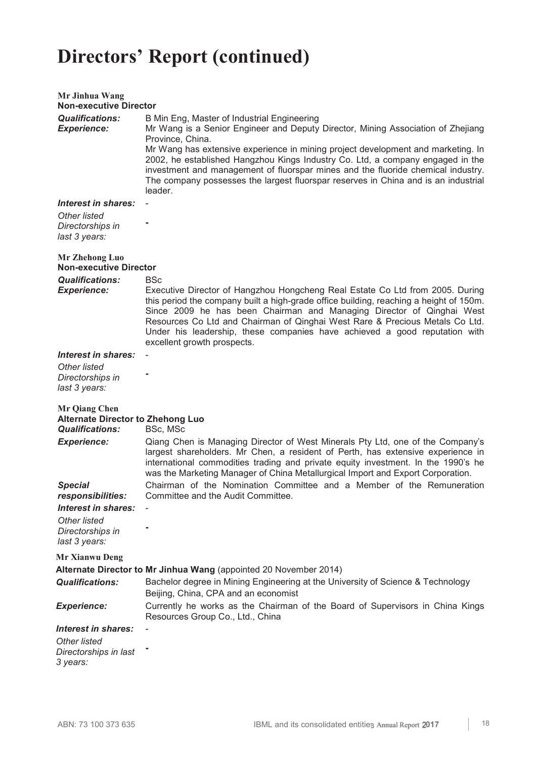| Mr Jinhua Wang<br><b>Non-executive Director</b>                                            |                                                                                                                                                                                                                                                                                                                                                                                                                                                                                                                |
|--------------------------------------------------------------------------------------------|----------------------------------------------------------------------------------------------------------------------------------------------------------------------------------------------------------------------------------------------------------------------------------------------------------------------------------------------------------------------------------------------------------------------------------------------------------------------------------------------------------------|
| <b>Qualifications:</b><br><b>Experience:</b>                                               | B Min Eng, Master of Industrial Engineering<br>Mr Wang is a Senior Engineer and Deputy Director, Mining Association of Zhejiang<br>Province, China.<br>Mr Wang has extensive experience in mining project development and marketing. In<br>2002, he established Hangzhou Kings Industry Co. Ltd, a company engaged in the<br>investment and management of fluorspar mines and the fluoride chemical industry.<br>The company possesses the largest fluorspar reserves in China and is an industrial<br>leader. |
| Interest in shares:<br>Other listed<br>Directorships in<br>last 3 years:                   |                                                                                                                                                                                                                                                                                                                                                                                                                                                                                                                |
| <b>Mr Zhehong Luo</b><br><b>Non-executive Director</b>                                     |                                                                                                                                                                                                                                                                                                                                                                                                                                                                                                                |
| <b>Qualifications:</b><br><b>Experience:</b>                                               | <b>BSc</b><br>Executive Director of Hangzhou Hongcheng Real Estate Co Ltd from 2005. During<br>this period the company built a high-grade office building, reaching a height of 150m.<br>Since 2009 he has been Chairman and Managing Director of Qinghai West<br>Resources Co Ltd and Chairman of Qinghai West Rare & Precious Metals Co Ltd.<br>Under his leadership, these companies have achieved a good reputation with<br>excellent growth prospects.                                                    |
| Interest in shares:                                                                        |                                                                                                                                                                                                                                                                                                                                                                                                                                                                                                                |
| <b>Other listed</b><br>Directorships in<br>last 3 years:                                   |                                                                                                                                                                                                                                                                                                                                                                                                                                                                                                                |
| <b>Mr Qiang Chen</b><br><b>Alternate Director to Zhehong Luo</b><br><b>Qualifications:</b> | BSc, MSc                                                                                                                                                                                                                                                                                                                                                                                                                                                                                                       |
| <b>Experience:</b>                                                                         | Qiang Chen is Managing Director of West Minerals Pty Ltd, one of the Company's<br>largest shareholders. Mr Chen, a resident of Perth, has extensive experience in<br>international commodities trading and private equity investment. In the 1990's he<br>was the Marketing Manager of China Metallurgical Import and Export Corporation.                                                                                                                                                                      |
| <b>Special</b><br><i>responsibilities:</i>                                                 | Chairman of the Nomination Committee and a Member of the Remuneration<br>Committee and the Audit Committee.                                                                                                                                                                                                                                                                                                                                                                                                    |
| Interest in shares:                                                                        |                                                                                                                                                                                                                                                                                                                                                                                                                                                                                                                |
| Other listed<br>Directorships in<br>last 3 years:                                          |                                                                                                                                                                                                                                                                                                                                                                                                                                                                                                                |
| <b>Mr Xianwu Deng</b>                                                                      |                                                                                                                                                                                                                                                                                                                                                                                                                                                                                                                |
|                                                                                            | Alternate Director to Mr Jinhua Wang (appointed 20 November 2014)                                                                                                                                                                                                                                                                                                                                                                                                                                              |
| <b>Qualifications:</b>                                                                     | Bachelor degree in Mining Engineering at the University of Science & Technology<br>Beijing, China, CPA and an economist                                                                                                                                                                                                                                                                                                                                                                                        |
| <b>Experience:</b>                                                                         | Currently he works as the Chairman of the Board of Supervisors in China Kings<br>Resources Group Co., Ltd., China                                                                                                                                                                                                                                                                                                                                                                                              |
| Interest in shares:                                                                        |                                                                                                                                                                                                                                                                                                                                                                                                                                                                                                                |
| <b>Other listed</b><br>Directorships in last<br>3 years:                                   |                                                                                                                                                                                                                                                                                                                                                                                                                                                                                                                |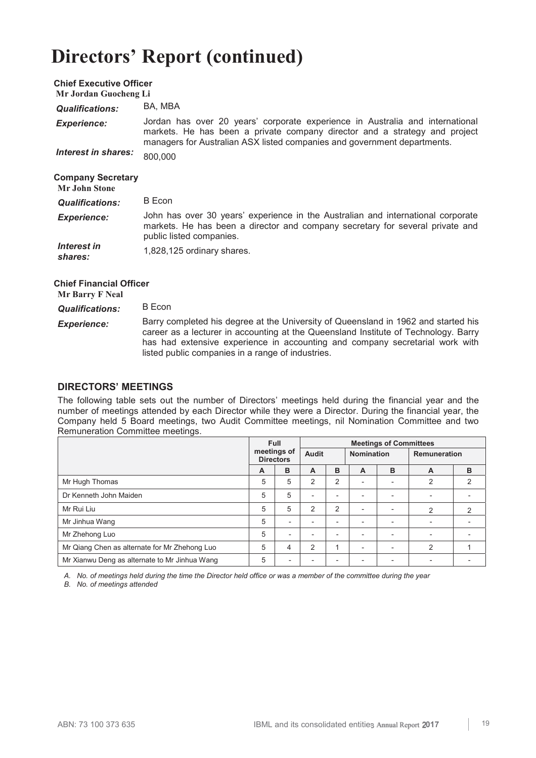| <b>Chief Executive Officer</b><br>Mr Jordan Guocheng Li |                                                                                                                                                                                                                                         |
|---------------------------------------------------------|-----------------------------------------------------------------------------------------------------------------------------------------------------------------------------------------------------------------------------------------|
| <b>Qualifications:</b>                                  | BA, MBA                                                                                                                                                                                                                                 |
| <b>Experience:</b>                                      | Jordan has over 20 years' corporate experience in Australia and international<br>markets. He has been a private company director and a strategy and project<br>managers for Australian ASX listed companies and government departments. |
| Interest in shares:                                     | 800,000                                                                                                                                                                                                                                 |
| <b>Company Secretary</b><br><b>Mr</b> John Stone        |                                                                                                                                                                                                                                         |
| <b>Qualifications:</b>                                  | B Econ                                                                                                                                                                                                                                  |
| <b>Experience:</b>                                      | John has over 30 years' experience in the Australian and international corporate<br>markets. He has been a director and company secretary for several private and<br>public listed companies.                                           |
| Interest in<br>shares:                                  | 1,828,125 ordinary shares.                                                                                                                                                                                                              |

 **Chief Financial Officer Mr Barry F Neal** 

| <b>Qualifications:</b> | B Econ |
|------------------------|--------|

*Experience:* Barry completed his degree at the University of Queensland in 1962 and started his career as a lecturer in accounting at the Queensland Institute of Technology. Barry has had extensive experience in accounting and company secretarial work with listed public companies in a range of industries.

## **DIRECTORS' MEETINGS**

The following table sets out the number of Directors' meetings held during the financial year and the number of meetings attended by each Director while they were a Director. During the financial year, the Company held 5 Board meetings, two Audit Committee meetings, nil Nomination Committee and two Remuneration Committee meetings.

|                                               | <b>Full</b><br>meetings of<br><b>Directors</b> |                          | <b>Meetings of Committees</b> |                |                          |                          |              |   |
|-----------------------------------------------|------------------------------------------------|--------------------------|-------------------------------|----------------|--------------------------|--------------------------|--------------|---|
|                                               |                                                |                          | Audit                         |                | <b>Nomination</b>        |                          | Remuneration |   |
|                                               | A                                              | B                        | A                             | в              | A                        | B                        | A            | B |
| Mr Hugh Thomas                                | 5                                              | 5                        | $\overline{2}$                | 2              |                          | $\overline{\phantom{a}}$ | 2            | 2 |
| Dr Kenneth John Maiden                        | 5                                              | 5                        | $\overline{\phantom{0}}$      |                |                          | $\overline{\phantom{0}}$ |              |   |
| Mr Rui Liu                                    | 5                                              | 5                        | $\overline{2}$                | $\overline{2}$ | -                        | $\overline{\phantom{a}}$ | 2            | 2 |
| Mr Jinhua Wang                                | 5                                              | $\overline{\phantom{a}}$ | $\qquad \qquad \blacksquare$  |                | $\overline{\phantom{0}}$ | $\overline{\phantom{a}}$ | ۰            |   |
| Mr Zhehong Luo                                | 5                                              | $\overline{\phantom{a}}$ | $\overline{\phantom{0}}$      |                |                          | $\overline{\phantom{0}}$ |              |   |
| Mr Qiang Chen as alternate for Mr Zhehong Luo | 5                                              | 4                        | $\overline{2}$                |                |                          | $\overline{\phantom{0}}$ | 2            |   |
| Mr Xianwu Deng as alternate to Mr Jinhua Wang | 5                                              | $\overline{\phantom{a}}$ | -                             |                |                          | $\overline{\phantom{a}}$ |              |   |

*A. No. of meetings held during the time the Director held office or was a member of the committee during the year* 

*B. No. of meetings attended*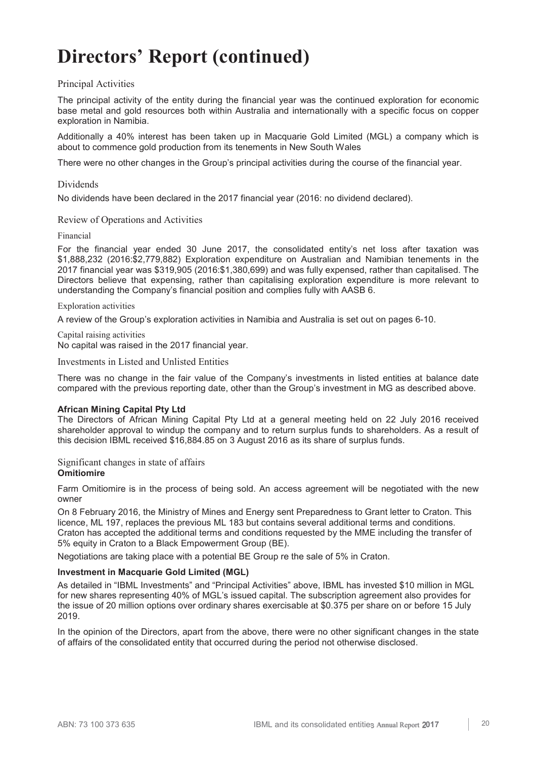## Principal Activities

The principal activity of the entity during the financial year was the continued exploration for economic base metal and gold resources both within Australia and internationally with a specific focus on copper exploration in Namibia.

Additionally a 40% interest has been taken up in Macquarie Gold Limited (MGL) a company which is about to commence gold production from its tenements in New South Wales

There were no other changes in the Group's principal activities during the course of the financial year.

## Dividends

No dividends have been declared in the 2017 financial year (2016: no dividend declared).

## Review of Operations and Activities

## Financial

For the financial year ended 30 June 2017, the consolidated entity's net loss after taxation was \$1,888,232 (2016:\$2,779,882) Exploration expenditure on Australian and Namibian tenements in the 2017 financial year was \$319,905 (2016:\$1,380,699) and was fully expensed, rather than capitalised. The Directors believe that expensing, rather than capitalising exploration expenditure is more relevant to understanding the Company's financial position and complies fully with AASB 6.

## Exploration activities

A review of the Group's exploration activities in Namibia and Australia is set out on pages 6-10.

Capital raising activities No capital was raised in the 2017 financial year.

Investments in Listed and Unlisted Entities

There was no change in the fair value of the Company's investments in listed entities at balance date compared with the previous reporting date, other than the Group's investment in MG as described above.

## **African Mining Capital Pty Ltd**

The Directors of African Mining Capital Pty Ltd at a general meeting held on 22 July 2016 received shareholder approval to windup the company and to return surplus funds to shareholders. As a result of this decision IBML received \$16,884.85 on 3 August 2016 as its share of surplus funds.

Significant changes in state of affairs **Omitiomire** 

Farm Omitiomire is in the process of being sold. An access agreement will be negotiated with the new owner

On 8 February 2016, the Ministry of Mines and Energy sent Preparedness to Grant letter to Craton. This licence, ML 197, replaces the previous ML 183 but contains several additional terms and conditions. Craton has accepted the additional terms and conditions requested by the MME including the transfer of 5% equity in Craton to a Black Empowerment Group (BE).

Negotiations are taking place with a potential BE Group re the sale of 5% in Craton.

## **Investment in Macquarie Gold Limited (MGL)**

As detailed in "IBML Investments" and "Principal Activities" above, IBML has invested \$10 million in MGL for new shares representing 40% of MGL's issued capital. The subscription agreement also provides for the issue of 20 million options over ordinary shares exercisable at \$0.375 per share on or before 15 July 2019.

In the opinion of the Directors, apart from the above, there were no other significant changes in the state of affairs of the consolidated entity that occurred during the period not otherwise disclosed.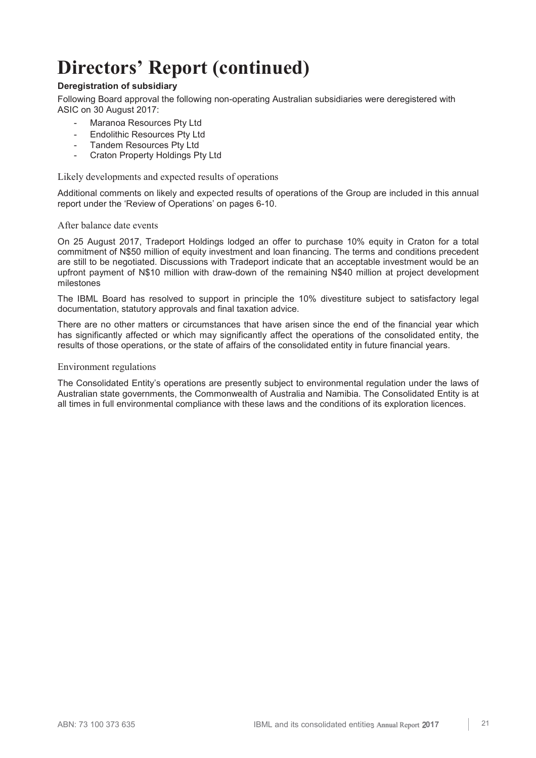## **Deregistration of subsidiary**

Following Board approval the following non-operating Australian subsidiaries were deregistered with ASIC on 30 August 2017:

- Maranoa Resources Pty Ltd
- Endolithic Resources Pty Ltd
- Tandem Resources Pty Ltd
- Craton Property Holdings Pty Ltd

Likely developments and expected results of operations

Additional comments on likely and expected results of operations of the Group are included in this annual report under the 'Review of Operations' on pages 6-10.

## After balance date events

On 25 August 2017, Tradeport Holdings lodged an offer to purchase 10% equity in Craton for a total commitment of N\$50 million of equity investment and loan financing. The terms and conditions precedent are still to be negotiated. Discussions with Tradeport indicate that an acceptable investment would be an upfront payment of N\$10 million with draw-down of the remaining N\$40 million at project development milestones

The IBML Board has resolved to support in principle the 10% divestiture subject to satisfactory legal documentation, statutory approvals and final taxation advice.

There are no other matters or circumstances that have arisen since the end of the financial year which has significantly affected or which may significantly affect the operations of the consolidated entity, the results of those operations, or the state of affairs of the consolidated entity in future financial years.

## Environment regulations

The Consolidated Entity's operations are presently subject to environmental regulation under the laws of Australian state governments, the Commonwealth of Australia and Namibia. The Consolidated Entity is at all times in full environmental compliance with these laws and the conditions of its exploration licences.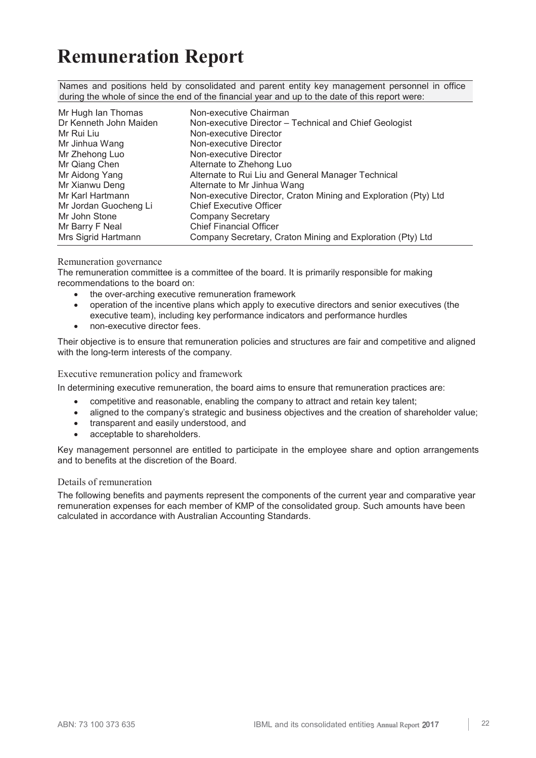## **Remuneration Report**

Names and positions held by consolidated and parent entity key management personnel in office during the whole of since the end of the financial year and up to the date of this report were:

| Mr Hugh Ian Thomas     | Non-executive Chairman                                          |
|------------------------|-----------------------------------------------------------------|
| Dr Kenneth John Maiden | Non-executive Director - Technical and Chief Geologist          |
| Mr Rui Liu             | Non-executive Director                                          |
| Mr Jinhua Wang         | Non-executive Director                                          |
| Mr Zhehong Luo         | Non-executive Director                                          |
| Mr Qiang Chen          | Alternate to Zhehong Luo                                        |
| Mr Aidong Yang         | Alternate to Rui Liu and General Manager Technical              |
| Mr Xianwu Deng         | Alternate to Mr Jinhua Wang                                     |
| Mr Karl Hartmann       | Non-executive Director, Craton Mining and Exploration (Pty) Ltd |
| Mr Jordan Guocheng Li  | <b>Chief Executive Officer</b>                                  |
| Mr John Stone          | <b>Company Secretary</b>                                        |
| Mr Barry F Neal        | <b>Chief Financial Officer</b>                                  |
| Mrs Sigrid Hartmann    | Company Secretary, Craton Mining and Exploration (Pty) Ltd      |

## Remuneration governance

The remuneration committee is a committee of the board. It is primarily responsible for making recommendations to the board on:

- the over-arching executive remuneration framework
- y operation of the incentive plans which apply to executive directors and senior executives (the executive team), including key performance indicators and performance hurdles
- non-executive director fees.

Their objective is to ensure that remuneration policies and structures are fair and competitive and aligned with the long-term interests of the company.

Executive remuneration policy and framework

In determining executive remuneration, the board aims to ensure that remuneration practices are:

- competitive and reasonable, enabling the company to attract and retain key talent;
- aligned to the company's strategic and business objectives and the creation of shareholder value;
- transparent and easily understood, and
- acceptable to shareholders.

Key management personnel are entitled to participate in the employee share and option arrangements and to benefits at the discretion of the Board.

## Details of remuneration

The following benefits and payments represent the components of the current year and comparative year remuneration expenses for each member of KMP of the consolidated group. Such amounts have been calculated in accordance with Australian Accounting Standards.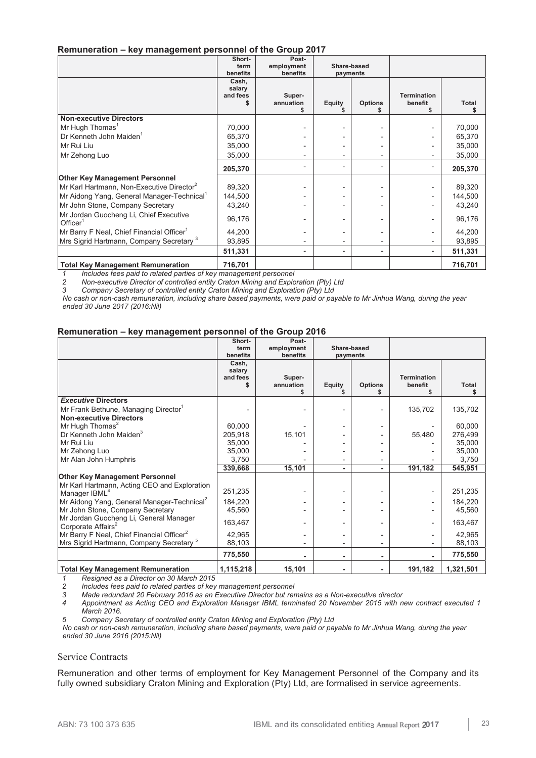## **Remuneration – key management personnel of the Group 2017**

|                                                               | Short-<br>term<br>benefits  | Post-<br>employment<br>benefits | Share-based<br>payments  |                          |                               |              |
|---------------------------------------------------------------|-----------------------------|---------------------------------|--------------------------|--------------------------|-------------------------------|--------------|
|                                                               | Cash,<br>salary<br>and fees | Super-<br>annuation             | <b>Equity</b>            | <b>Options</b>           | <b>Termination</b><br>benefit | <b>Total</b> |
| <b>Non-executive Directors</b>                                |                             |                                 |                          |                          |                               |              |
| Mr Hugh Thomas <sup>1</sup>                                   | 70,000                      |                                 |                          |                          |                               | 70,000       |
| Dr Kenneth John Maiden <sup>1</sup>                           | 65,370                      |                                 |                          |                          |                               | 65,370       |
| Mr Rui Liu                                                    | 35,000                      |                                 |                          |                          |                               | 35,000       |
| Mr Zehong Luo                                                 | 35,000                      |                                 |                          |                          |                               | 35,000       |
|                                                               | 205,370                     |                                 |                          | ۰                        |                               | 205,370      |
| <b>Other Key Management Personnel</b>                         |                             |                                 |                          |                          |                               |              |
| Mr Karl Hartmann, Non-Executive Director <sup>2</sup>         | 89,320                      |                                 |                          |                          |                               | 89,320       |
| Mr Aidong Yang, General Manager-Technical                     | 144,500                     |                                 |                          |                          |                               | 144,500      |
| Mr John Stone, Company Secretary                              | 43,240                      |                                 |                          |                          |                               | 43,240       |
| Mr Jordan Guocheng Li, Chief Executive<br>Office <sup>1</sup> | 96,176                      |                                 |                          |                          |                               | 96,176       |
| Mr Barry F Neal, Chief Financial Officer <sup>1</sup>         | 44,200                      |                                 |                          |                          |                               | 44,200       |
| Mrs Sigrid Hartmann, Company Secretary <sup>3</sup>           | 93,895                      |                                 |                          |                          |                               | 93,895       |
|                                                               | 511,331                     | $\overline{a}$                  | $\overline{\phantom{0}}$ | $\overline{\phantom{a}}$ |                               | 511,331      |
| <b>Total Key Management Remuneration</b>                      | 716,701                     |                                 |                          |                          |                               | 716,701      |

*1 Includes fees paid to related parties of key management personnel* 

*2 Non-executive Director of controlled entity Craton Mining and Exploration (Pty) Ltd 3 Company Secretary of controlled entity Craton Mining and Exploration (Pty) Ltd* 

*No cash or non-cash remuneration, including share based payments, were paid or payable to Mr Jinhua Wang, during the year ended 30 June 2017 (2016:Nil)* 

## **Remuneration – key management personnel of the Group 2016**

|                                                        | Short-    | Post-      |               |                |                    |              |
|--------------------------------------------------------|-----------|------------|---------------|----------------|--------------------|--------------|
|                                                        | term      | employment | Share-based   |                |                    |              |
|                                                        | benefits  | benefits   | payments      |                |                    |              |
|                                                        | Cash,     |            |               |                |                    |              |
|                                                        | salary    |            |               |                |                    |              |
|                                                        | and fees  | Super-     |               |                | <b>Termination</b> |              |
|                                                        |           | annuation  | <b>Equity</b> | <b>Options</b> | benefit            | <b>Total</b> |
| <b>Executive Directors</b>                             |           |            |               |                |                    |              |
| Mr Frank Bethune, Managing Director <sup>1</sup>       |           |            |               |                | 135,702            | 135,702      |
| <b>Non-executive Directors</b>                         |           |            |               |                |                    |              |
|                                                        |           |            |               |                |                    |              |
| Mr Hugh Thomas <sup>2</sup>                            | 60,000    |            |               |                |                    | 60,000       |
| Dr Kenneth John Maiden <sup>3</sup>                    | 205,918   | 15,101     |               |                | 55,480             | 276,499      |
| Mr Rui Liu                                             | 35,000    |            |               |                |                    | 35,000       |
| Mr Zehong Luo                                          | 35,000    |            |               |                |                    | 35,000       |
| Mr Alan John Humphris                                  | 3,750     |            |               |                |                    | 3,750        |
|                                                        | 339,668   | 15,101     | ٠             |                | 191,182            | 545,951      |
| <b>Other Key Management Personnel</b>                  |           |            |               |                |                    |              |
| Mr Karl Hartmann, Acting CEO and Exploration           |           |            |               |                |                    |              |
| Manager IBML <sup>4</sup>                              | 251,235   |            |               |                |                    | 251,235      |
| Mr Aidong Yang, General Manager-Technical <sup>2</sup> | 184,220   |            |               |                |                    | 184,220      |
| Mr John Stone, Company Secretary                       | 45,560    |            |               |                |                    | 45,560       |
| Mr Jordan Guocheng Li, General Manager                 |           |            |               |                |                    |              |
| Corporate Affairs <sup>2</sup>                         | 163,467   |            |               |                |                    | 163,467      |
| Mr Barry F Neal, Chief Financial Officer <sup>2</sup>  | 42,965    |            |               |                |                    | 42,965       |
| Mrs Sigrid Hartmann, Company Secretary <sup>5</sup>    | 88,103    |            |               |                |                    | 88,103       |
|                                                        | 775,550   |            |               |                |                    | 775,550      |
| <b>Total Key Management Remuneration</b>               | 1,115,218 | 15,101     |               |                | 191,182            | 1,321,501    |

*1 Resigned as a Director on 30 March 2015 2 Includes fees paid to related parties of key management personnel* 

*3 Made redundant 20 February 2016 as an Executive Director but remains as a Non-executive director* 

*4 Appointment as Acting CEO and Exploration Manager IBML terminated 20 November 2015 with new contract executed 1 March 2016.*

*5 Company Secretary of controlled entity Craton Mining and Exploration (Pty) Ltd* 

*No cash or non-cash remuneration, including share based payments, were paid or payable to Mr Jinhua Wang, during the year ended 30 June 2016 (2015:Nil)* 

## Service Contracts

Remuneration and other terms of employment for Key Management Personnel of the Company and its fully owned subsidiary Craton Mining and Exploration (Pty) Ltd, are formalised in service agreements.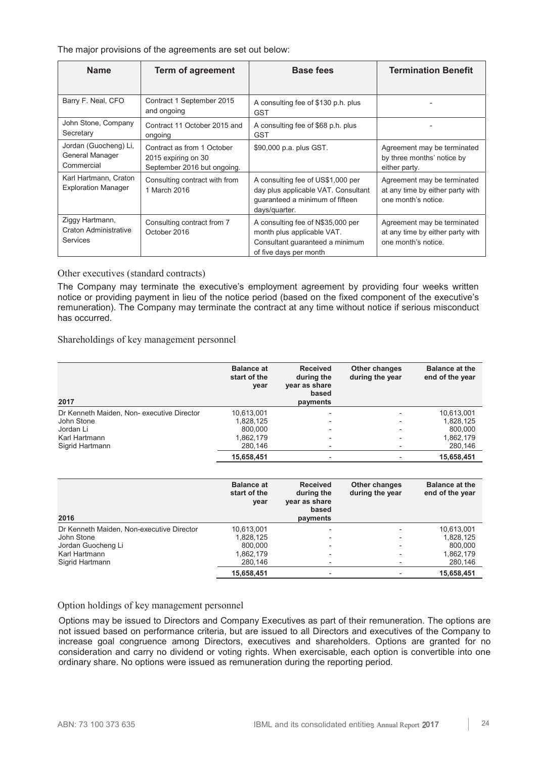The major provisions of the agreements are set out below:

| <b>Name</b>                                                        | <b>Term of agreement</b>                                                         | <b>Base fees</b>                                                                                                             | <b>Termination Benefit</b>                                                             |
|--------------------------------------------------------------------|----------------------------------------------------------------------------------|------------------------------------------------------------------------------------------------------------------------------|----------------------------------------------------------------------------------------|
|                                                                    |                                                                                  |                                                                                                                              |                                                                                        |
| Barry F. Neal, CFO                                                 | Contract 1 September 2015<br>and ongoing                                         | A consulting fee of \$130 p.h. plus<br><b>GST</b>                                                                            |                                                                                        |
| John Stone, Company<br>Secretary                                   | Contract 11 October 2015 and<br>ongoing                                          | A consulting fee of \$68 p.h. plus<br><b>GST</b>                                                                             |                                                                                        |
| Jordan (Guocheng) Li,<br>General Manager<br>Commercial             | Contract as from 1 October<br>2015 expiring on 30<br>September 2016 but ongoing. | \$90,000 p.a. plus GST.                                                                                                      | Agreement may be terminated<br>by three months' notice by<br>either party.             |
| Karl Hartmann, Craton<br><b>Exploration Manager</b>                | Consulting contract with from<br>1 March 2016                                    | A consulting fee of US\$1,000 per<br>day plus applicable VAT. Consultant<br>guaranteed a minimum of fifteen<br>days/quarter. | Agreement may be terminated<br>at any time by either party with<br>one month's notice. |
| Ziggy Hartmann,<br><b>Craton Administrative</b><br><b>Services</b> | Consulting contract from 7<br>October 2016                                       | A consulting fee of N\$35,000 per<br>month plus applicable VAT.<br>Consultant guaranteed a minimum<br>of five days per month | Agreement may be terminated<br>at any time by either party with<br>one month's notice. |

Other executives (standard contracts)

The Company may terminate the executive's employment agreement by providing four weeks written notice or providing payment in lieu of the notice period (based on the fixed component of the executive's remuneration). The Company may terminate the contract at any time without notice if serious misconduct has occurred.

Shareholdings of key management personnel

| 2017                                      | <b>Balance at</b><br>start of the<br>year | <b>Received</b><br>during the<br>year as share<br>based<br>payments | Other changes<br>during the year | <b>Balance at the</b><br>end of the year |
|-------------------------------------------|-------------------------------------------|---------------------------------------------------------------------|----------------------------------|------------------------------------------|
| Dr Kenneth Maiden, Non-executive Director | 10,613,001                                |                                                                     | $\qquad \qquad$                  | 10,613,001                               |
| John Stone                                | 1.828.125                                 |                                                                     | $\overline{\phantom{a}}$         | 1,828,125                                |
| Jordan Li                                 | 800.000                                   |                                                                     | $\overline{\phantom{a}}$         | 800.000                                  |
| Karl Hartmann                             | 1,862,179                                 |                                                                     | $\overline{\phantom{a}}$         | 1,862,179                                |
| Sigrid Hartmann                           | 280,146                                   |                                                                     |                                  | 280,146                                  |
|                                           | 15,658,451                                |                                                                     |                                  | 15,658,451                               |

| 2016                                      | <b>Balance at</b><br>start of the<br>year | <b>Received</b><br>during the<br>year as share<br>based<br>payments | Other changes<br>during the year | <b>Balance at the</b><br>end of the year |
|-------------------------------------------|-------------------------------------------|---------------------------------------------------------------------|----------------------------------|------------------------------------------|
| Dr Kenneth Maiden, Non-executive Director | 10,613,001                                |                                                                     |                                  | 10,613,001                               |
| John Stone                                | 1,828,125                                 |                                                                     |                                  | 1,828,125                                |
| Jordan Guocheng Li                        | 800.000                                   |                                                                     |                                  | 800,000                                  |
| Karl Hartmann                             | 1,862,179                                 |                                                                     |                                  | 1,862,179                                |
| Sigrid Hartmann                           | 280,146                                   |                                                                     |                                  | 280,146                                  |
|                                           | 15,658,451                                |                                                                     |                                  | 15,658,451                               |

## Option holdings of key management personnel

Options may be issued to Directors and Company Executives as part of their remuneration. The options are not issued based on performance criteria, but are issued to all Directors and executives of the Company to increase goal congruence among Directors, executives and shareholders. Options are granted for no consideration and carry no dividend or voting rights. When exercisable, each option is convertible into one ordinary share. No options were issued as remuneration during the reporting period.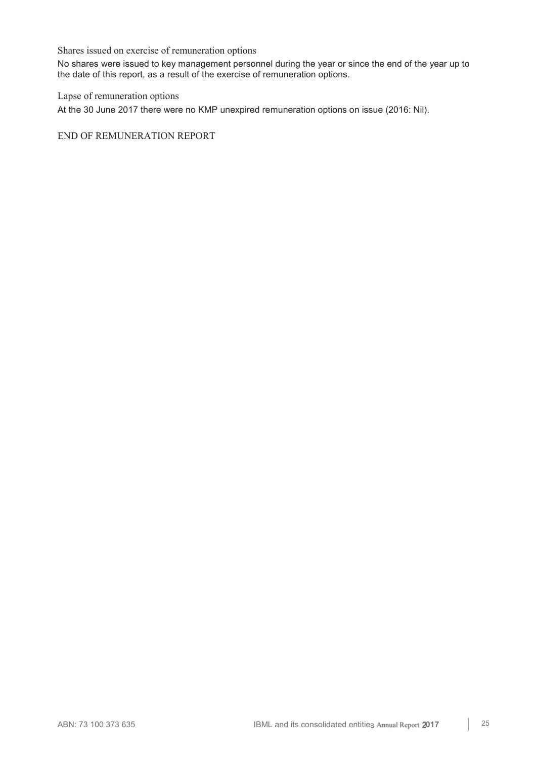Shares issued on exercise of remuneration options

No shares were issued to key management personnel during the year or since the end of the year up to the date of this report, as a result of the exercise of remuneration options.

Lapse of remuneration options

At the 30 June 2017 there were no KMP unexpired remuneration options on issue (2016: Nil).

END OF REMUNERATION REPORT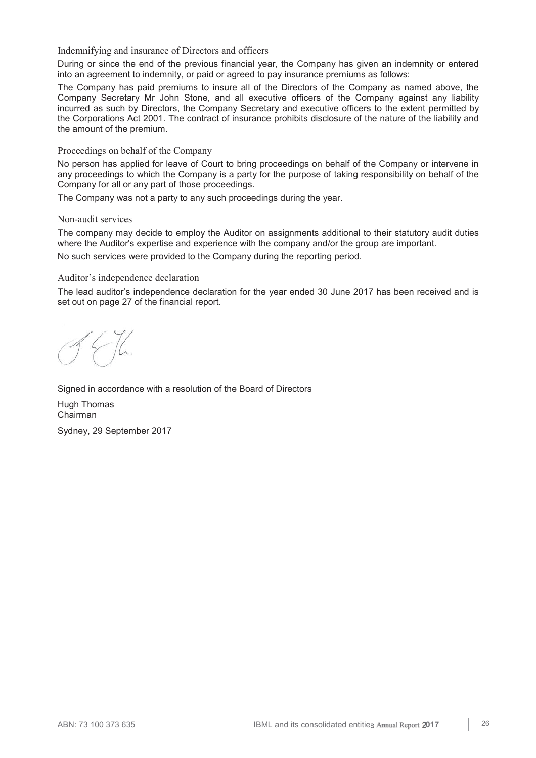Indemnifying and insurance of Directors and officers

During or since the end of the previous financial year, the Company has given an indemnity or entered into an agreement to indemnity, or paid or agreed to pay insurance premiums as follows:

The Company has paid premiums to insure all of the Directors of the Company as named above, the Company Secretary Mr John Stone, and all executive officers of the Company against any liability incurred as such by Directors, the Company Secretary and executive officers to the extent permitted by the Corporations Act 2001. The contract of insurance prohibits disclosure of the nature of the liability and the amount of the premium.

Proceedings on behalf of the Company

No person has applied for leave of Court to bring proceedings on behalf of the Company or intervene in any proceedings to which the Company is a party for the purpose of taking responsibility on behalf of the Company for all or any part of those proceedings.

The Company was not a party to any such proceedings during the year.

### Non-audit services

The company may decide to employ the Auditor on assignments additional to their statutory audit duties where the Auditor's expertise and experience with the company and/or the group are important. No such services were provided to the Company during the reporting period.

## Auditor's independence declaration

The lead auditor's independence declaration for the year ended 30 June 2017 has been received and is set out on page 27 of the financial report.

Signed in accordance with a resolution of the Board of Directors Hugh Thomas Chairman Sydney, 29 September 2017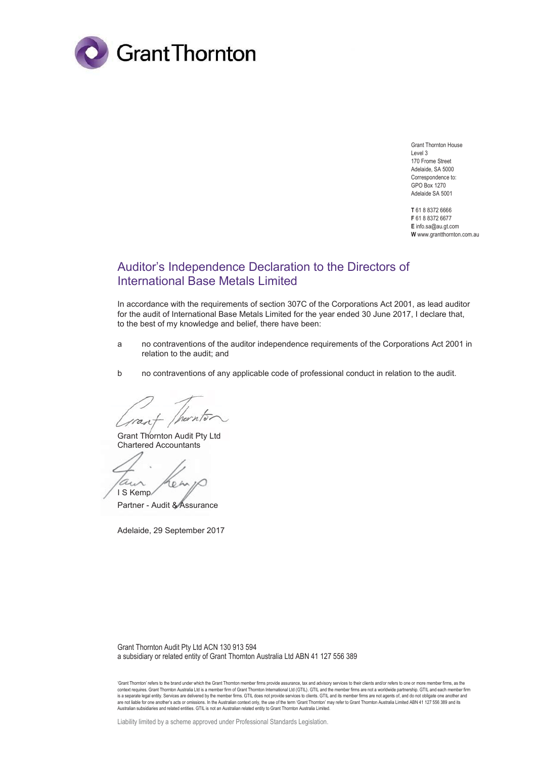

Grant Thornton House Level 3 170 Frome Street Adelaide, SA 5000 Correspondence to: GPO Box 1270 Adelaide SA 5001

**T** 61 8 8372 6666 **F** 61 8 8372 6677 **E** info.sa@au.gt.com **W** www.grantthornton.com.au

## Auditor's Independence Declaration to the Directors of International Base Metals Limited

In accordance with the requirements of section 307C of the Corporations Act 2001, as lead auditor for the audit of International Base Metals Limited for the year ended 30 June 2017, I declare that, to the best of my knowledge and belief, there have been:

- a no contraventions of the auditor independence requirements of the Corporations Act 2001 in relation to the audit; and
- b no contraventions of any applicable code of professional conduct in relation to the audit.

 $\overline{\mathcal{M}}$ ran

Grant Thornton Audit Pty Ltd Chartered Accountants

a. 6 A I S Kemp

Partner - Audit & Assurance

Adelaide, 29 September 2017

Grant Thornton Audit Pty Ltd ACN 130 913 594 a subsidiary or related entity of Grant Thornton Australia Ltd ABN 41 127 556 389

'Grant Thornton' refers to the brand under which the Grant Thornton member firms provide assurance, tax and advisory services to their clients and/or refers to one or more member firms, as the context requires. Grant Thornton Australia Ltd is a member firm of Grant Thornton International Ltd (GTIL). GTIL and the member firms are not a worldwide partnership. GTIL and each member firm<br>is a separate legal entity. S are not liable for one another's acts or omissions. In the Australian context only, the use of the term 'Grant Thornton' may refer to Grant Thornton Australia Limited ABN 41 127 556 389 and its<br>Australian subsidiaries and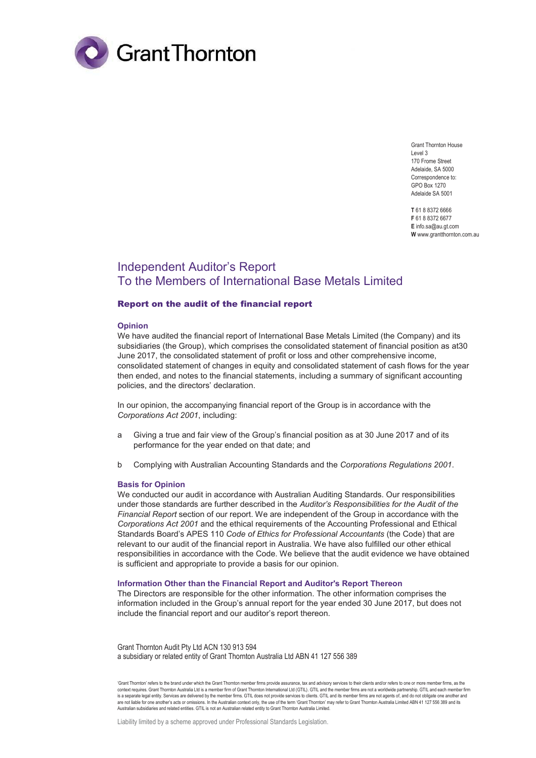

Grant Thornton House Level 3 170 Frome Street Adelaide, SA 5000 Correspondence to: GPO Box 1270 Adelaide SA 5001

**T** 61 8 8372 6666 **F** 61 8 8372 6677 **E** info.sa@au.gt.com **W** www.grantthornton.com.au

## Independent Auditor's Report To the Members of International Base Metals Limited

#### Report on the audit of the financial report

#### **Opinion**

We have audited the financial report of International Base Metals Limited (the Company) and its subsidiaries (the Group), which comprises the consolidated statement of financial position as at30 June 2017, the consolidated statement of profit or loss and other comprehensive income, consolidated statement of changes in equity and consolidated statement of cash flows for the year then ended, and notes to the financial statements, including a summary of significant accounting policies, and the directors' declaration.

In our opinion, the accompanying financial report of the Group is in accordance with the *Corporations Act 2001*, including:

- a Giving a true and fair view of the Group's financial position as at 30 June 2017 and of its performance for the year ended on that date; and
- b Complying with Australian Accounting Standards and the *Corporations Regulations 2001*.

#### **Basis for Opinion**

We conducted our audit in accordance with Australian Auditing Standards. Our responsibilities under those standards are further described in the *Auditor's Responsibilities for the Audit of the Financial Report* section of our report. We are independent of the Group in accordance with the *Corporations Act 2001* and the ethical requirements of the Accounting Professional and Ethical Standards Board's APES 110 *Code of Ethics for Professional Accountants* (the Code) that are relevant to our audit of the financial report in Australia. We have also fulfilled our other ethical responsibilities in accordance with the Code. We believe that the audit evidence we have obtained is sufficient and appropriate to provide a basis for our opinion.

#### **Information Other than the Financial Report and Auditor's Report Thereon**

The Directors are responsible for the other information. The other information comprises the information included in the Group's annual report for the year ended 30 June 2017, but does not include the financial report and our auditor's report thereon.

Grant Thornton Audit Pty Ltd ACN 130 913 594 a subsidiary or related entity of Grant Thornton Australia Ltd ABN 41 127 556 389

'Grant Thornton' refers to the brand under which the Grant Thornton member firms provide assurance, tax and advisory services to their clients and/or refers to one or more member firms, as the context requires. Grant Thornton Australia Ltd is a member firm of Grant Thornton International Ltd (GTIL). GTIL and the member firms are not a worldwide partnership. GTIL and each member firm<br>is a separate legal entity. S are not liable for one another's acts or omissions. In the Australian context only, the use of the term 'Grant Thornton' may refer to Grant Thornton Australia Limited ABN 41 127 556 389 and its<br>Australian subsidiaries and

Liability limited by a scheme approved under Professional Standards Legislation.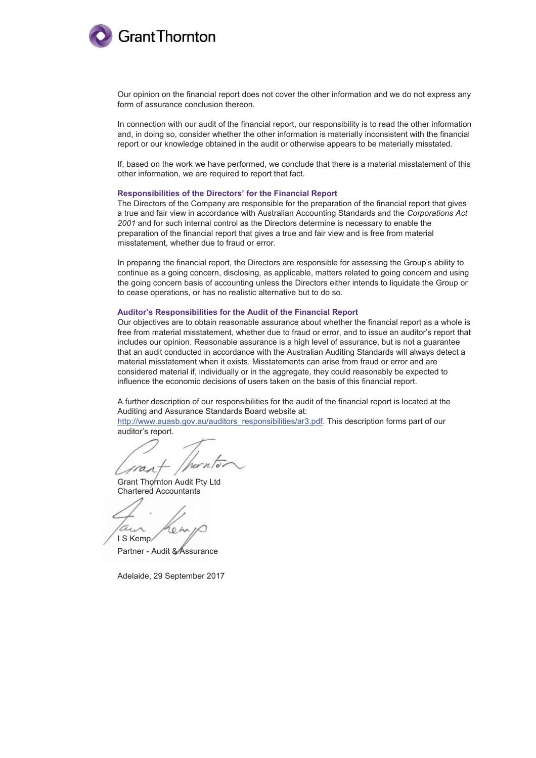

Our opinion on the financial report does not cover the other information and we do not express any form of assurance conclusion thereon.

In connection with our audit of the financial report, our responsibility is to read the other information and, in doing so, consider whether the other information is materially inconsistent with the financial report or our knowledge obtained in the audit or otherwise appears to be materially misstated.

If, based on the work we have performed, we conclude that there is a material misstatement of this other information, we are required to report that fact.

#### **Responsibilities of the Directors' for the Financial Report**

The Directors of the Company are responsible for the preparation of the financial report that gives a true and fair view in accordance with Australian Accounting Standards and the *Corporations Act 2001* and for such internal control as the Directors determine is necessary to enable the preparation of the financial report that gives a true and fair view and is free from material misstatement, whether due to fraud or error.

In preparing the financial report, the Directors are responsible for assessing the Group's ability to continue as a going concern, disclosing, as applicable, matters related to going concern and using the going concern basis of accounting unless the Directors either intends to liquidate the Group or to cease operations, or has no realistic alternative but to do so.

#### **Auditor's Responsibilities for the Audit of the Financial Report**

Our objectives are to obtain reasonable assurance about whether the financial report as a whole is free from material misstatement, whether due to fraud or error, and to issue an auditor's report that includes our opinion. Reasonable assurance is a high level of assurance, but is not a guarantee that an audit conducted in accordance with the Australian Auditing Standards will always detect a material misstatement when it exists. Misstatements can arise from fraud or error and are considered material if, individually or in the aggregate, they could reasonably be expected to influence the economic decisions of users taken on the basis of this financial report.

A further description of our responsibilities for the audit of the financial report is located at the Auditing and Assurance Standards Board website at:

http://www.auasb.gov.au/auditors\_responsibilities/ar3.pdf. This description forms part of our auditor's report.

a

Grant Thornton Audit Pty Ltd Chartered Accountants

I S Kemp

Partner - Audit & Assurance

Adelaide, 29 September 2017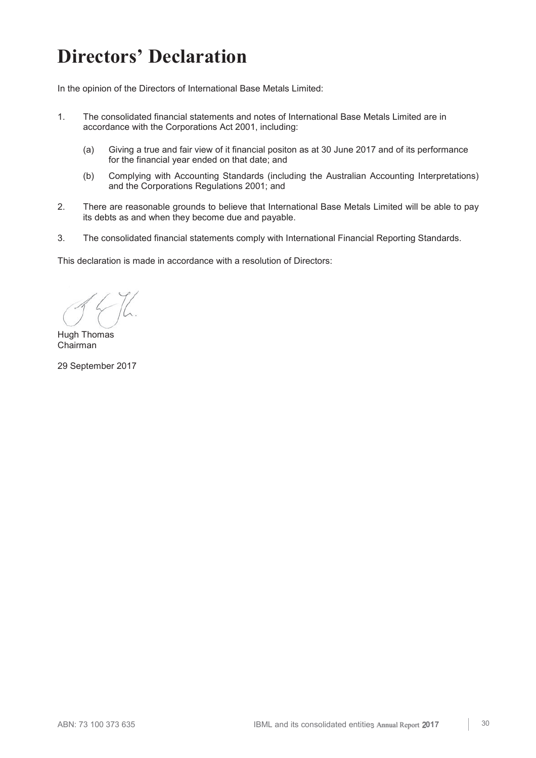## **Directors' Declaration**

In the opinion of the Directors of International Base Metals Limited:

- 1. The consolidated financial statements and notes of International Base Metals Limited are in accordance with the Corporations Act 2001, including:
	- (a) Giving a true and fair view of it financial positon as at 30 June 2017 and of its performance for the financial year ended on that date; and
	- (b) Complying with Accounting Standards (including the Australian Accounting Interpretations) and the Corporations Regulations 2001; and
- 2. There are reasonable grounds to believe that International Base Metals Limited will be able to pay its debts as and when they become due and payable.
- 3. The consolidated financial statements comply with International Financial Reporting Standards.

This declaration is made in accordance with a resolution of Directors:

Hugh Thomas Chairman

29 September 2017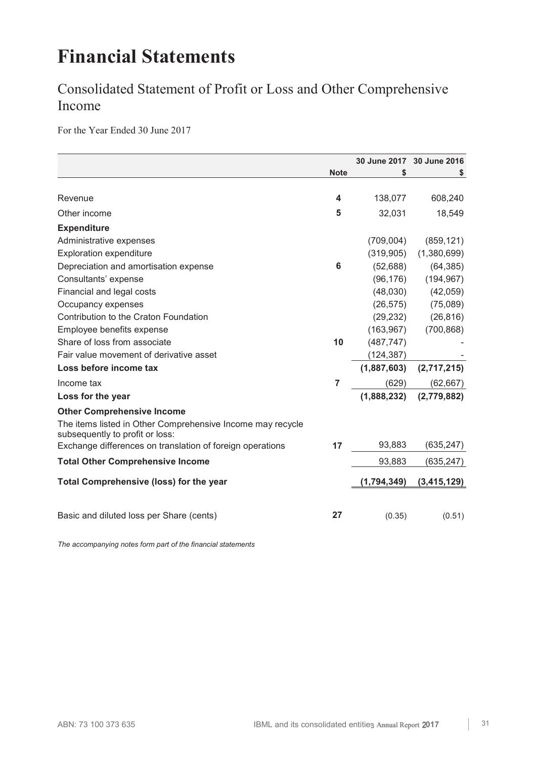## **Financial Statements**

## Consolidated Statement of Profit or Loss and Other Comprehensive Income

For the Year Ended 30 June 2017

|                                                                                               |             |             | 30 June 2017 30 June 2016 |
|-----------------------------------------------------------------------------------------------|-------------|-------------|---------------------------|
|                                                                                               | <b>Note</b> | \$          | S                         |
|                                                                                               |             |             |                           |
| Revenue                                                                                       | 4           | 138,077     | 608,240                   |
| Other income                                                                                  | 5           | 32,031      | 18,549                    |
| <b>Expenditure</b>                                                                            |             |             |                           |
| Administrative expenses                                                                       |             | (709,004)   | (859, 121)                |
| <b>Exploration expenditure</b>                                                                |             | (319, 905)  | (1,380,699)               |
| Depreciation and amortisation expense                                                         | 6           | (52, 688)   | (64, 385)                 |
| Consultants' expense                                                                          |             | (96, 176)   | (194, 967)                |
| Financial and legal costs                                                                     |             | (48,030)    | (42,059)                  |
| Occupancy expenses                                                                            |             | (26, 575)   | (75,089)                  |
| Contribution to the Craton Foundation                                                         |             | (29, 232)   | (26, 816)                 |
| Employee benefits expense                                                                     |             | (163, 967)  | (700, 868)                |
| Share of loss from associate                                                                  | 10          | (487, 747)  |                           |
| Fair value movement of derivative asset                                                       |             | (124, 387)  |                           |
| Loss before income tax                                                                        |             | (1,887,603) | (2,717,215)               |
| Income tax                                                                                    | 7           | (629)       | (62, 667)                 |
| Loss for the year                                                                             |             | (1,888,232) | (2,779,882)               |
| <b>Other Comprehensive Income</b>                                                             |             |             |                           |
| The items listed in Other Comprehensive Income may recycle<br>subsequently to profit or loss: |             |             |                           |
| Exchange differences on translation of foreign operations                                     | 17          | 93,883      | (635, 247)                |
| <b>Total Other Comprehensive Income</b>                                                       |             | 93,883      | (635, 247)                |
| <b>Total Comprehensive (loss) for the year</b>                                                |             | (1,794,349) | (3,415,129)               |
|                                                                                               |             |             |                           |
| Basic and diluted loss per Share (cents)                                                      | 27          | (0.35)      | (0.51)                    |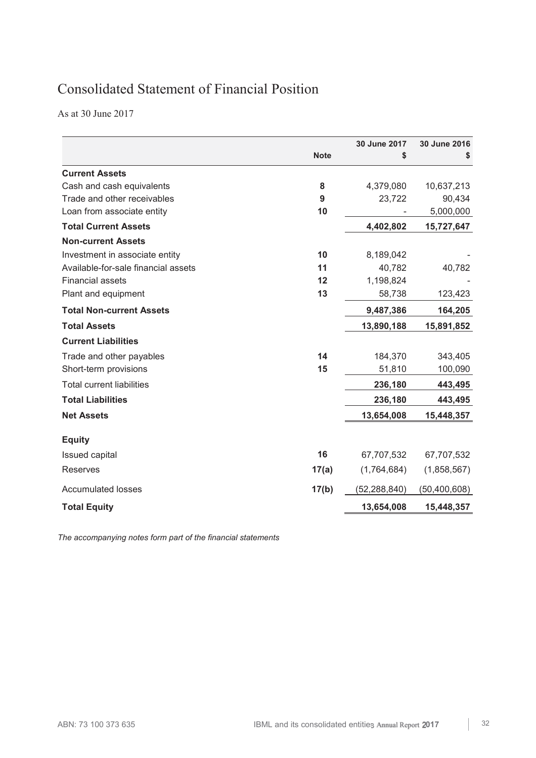## Consolidated Statement of Financial Position

As at 30 June 2017

|                                     |             | 30 June 2017 | 30 June 2016 |
|-------------------------------------|-------------|--------------|--------------|
|                                     | <b>Note</b> | \$           | S            |
| <b>Current Assets</b>               |             |              |              |
| Cash and cash equivalents           | 8           | 4,379,080    | 10,637,213   |
| Trade and other receivables         | 9           | 23,722       | 90,434       |
| Loan from associate entity          | 10          |              | 5,000,000    |
| <b>Total Current Assets</b>         |             | 4,402,802    | 15,727,647   |
| <b>Non-current Assets</b>           |             |              |              |
| Investment in associate entity      | 10          | 8,189,042    |              |
| Available-for-sale financial assets | 11          | 40,782       | 40,782       |
| <b>Financial assets</b>             | 12          | 1,198,824    |              |
| Plant and equipment                 | 13          | 58,738       | 123,423      |
| <b>Total Non-current Assets</b>     |             | 9,487,386    | 164,205      |
| <b>Total Assets</b>                 |             | 13,890,188   | 15,891,852   |
| <b>Current Liabilities</b>          |             |              |              |
| Trade and other payables            | 14          | 184,370      | 343,405      |
| Short-term provisions               | 15          | 51,810       | 100,090      |
| <b>Total current liabilities</b>    |             | 236,180      | 443,495      |
| <b>Total Liabilities</b>            |             | 236,180      | 443,495      |
| <b>Net Assets</b>                   |             | 13,654,008   | 15,448,357   |
| <b>Equity</b>                       |             |              |              |
| <b>Issued capital</b>               | 16          | 67,707,532   | 67,707,532   |
| <b>Reserves</b>                     | 17(a)       | (1,764,684)  | (1,858,567)  |
| <b>Accumulated losses</b>           | 17(b)       | (52,288,840) | (50,400,608) |
| <b>Total Equity</b>                 |             | 13,654,008   | 15,448,357   |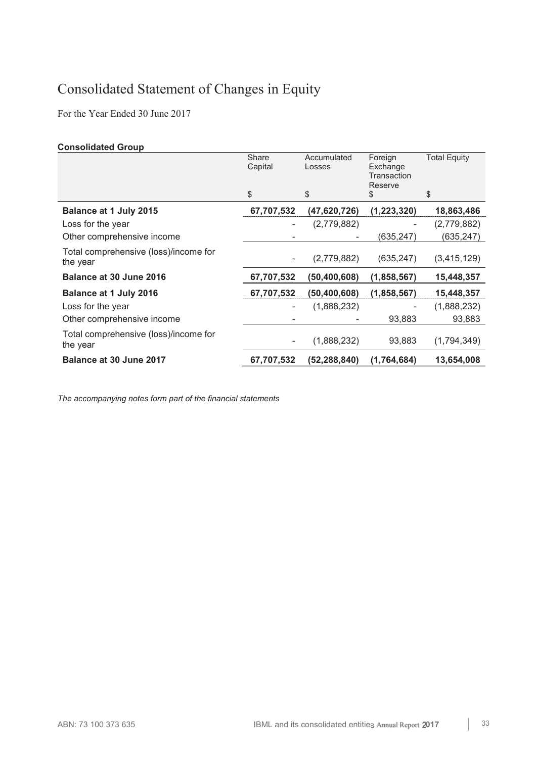## Consolidated Statement of Changes in Equity

For the Year Ended 30 June 2017

## **Consolidated Group**

|                                                   | Share<br>Capital<br>\$ | Accumulated<br>Losses<br>\$ | Foreign<br>Exchange<br>Transaction<br>Reserve<br>\$ | <b>Total Equity</b><br>\$ |
|---------------------------------------------------|------------------------|-----------------------------|-----------------------------------------------------|---------------------------|
| Balance at 1 July 2015                            | 67,707,532             | (47,620,726)                | (1, 223, 320)                                       | 18,863,486                |
| Loss for the year                                 |                        | (2,779,882)                 |                                                     | (2,779,882)               |
| Other comprehensive income                        |                        |                             | (635,247)                                           | (635, 247)                |
| Total comprehensive (loss)/income for<br>the year |                        | (2,779,882)                 | (635,247)                                           | (3, 415, 129)             |
| Balance at 30 June 2016                           | 67,707,532             | (50, 400, 608)              | (1,858,567)                                         | 15,448,357                |
| <b>Balance at 1 July 2016</b>                     | 67,707,532             | (50, 400, 608)              | (1,858,567)                                         | 15,448,357                |
| Loss for the year                                 |                        | (1,888,232)                 |                                                     | (1,888,232)               |
| Other comprehensive income                        |                        |                             | 93,883                                              | 93,883                    |
| Total comprehensive (loss)/income for<br>the year |                        | (1,888,232)                 | 93,883                                              | (1,794,349)               |
| Balance at 30 June 2017                           | 67,707,532             | (52,288,840)                | (1,764,684)                                         | 13,654,008                |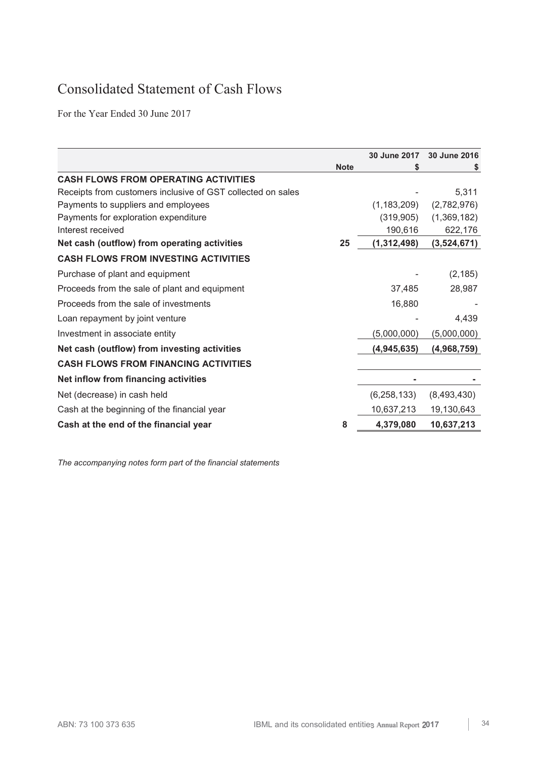## Consolidated Statement of Cash Flows

For the Year Ended 30 June 2017

|                                                             |             | 30 June 2017  | 30 June 2016 |
|-------------------------------------------------------------|-------------|---------------|--------------|
|                                                             | <b>Note</b> | S             | S.           |
| <b>CASH FLOWS FROM OPERATING ACTIVITIES</b>                 |             |               |              |
| Receipts from customers inclusive of GST collected on sales |             |               | 5,311        |
| Payments to suppliers and employees                         |             | (1, 183, 209) | (2,782,976)  |
| Payments for exploration expenditure                        |             | (319, 905)    | (1,369,182)  |
| Interest received                                           |             | 190,616       | 622,176      |
| Net cash (outflow) from operating activities                | 25          | (1,312,498)   | (3,524,671)  |
| <b>CASH FLOWS FROM INVESTING ACTIVITIES</b>                 |             |               |              |
| Purchase of plant and equipment                             |             |               | (2, 185)     |
| Proceeds from the sale of plant and equipment               |             | 37,485        | 28,987       |
| Proceeds from the sale of investments                       |             | 16,880        |              |
| Loan repayment by joint venture                             |             |               | 4,439        |
| Investment in associate entity                              |             | (5,000,000)   | (5,000,000)  |
| Net cash (outflow) from investing activities                |             | (4,945,635)   | (4,968,759)  |
| <b>CASH FLOWS FROM FINANCING ACTIVITIES</b>                 |             |               |              |
| Net inflow from financing activities                        |             |               |              |
| Net (decrease) in cash held                                 |             | (6, 258, 133) | (8,493,430)  |
| Cash at the beginning of the financial year                 |             | 10,637,213    | 19,130,643   |
| Cash at the end of the financial year                       | 8           | 4,379,080     | 10,637,213   |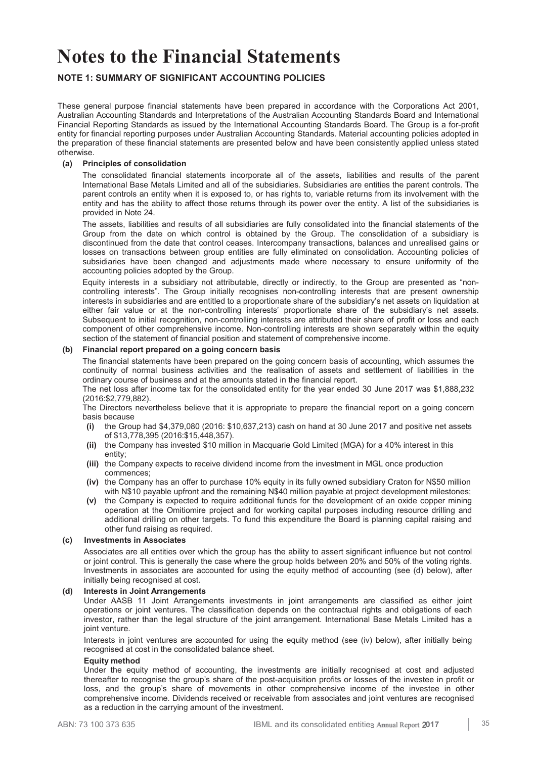## **NOTE 1: SUMMARY OF SIGNIFICANT ACCOUNTING POLICIES**

These general purpose financial statements have been prepared in accordance with the Corporations Act 2001, Australian Accounting Standards and Interpretations of the Australian Accounting Standards Board and International Financial Reporting Standards as issued by the International Accounting Standards Board. The Group is a for-profit entity for financial reporting purposes under Australian Accounting Standards. Material accounting policies adopted in the preparation of these financial statements are presented below and have been consistently applied unless stated otherwise.

## **(a) Principles of consolidation**

The consolidated financial statements incorporate all of the assets, liabilities and results of the parent International Base Metals Limited and all of the subsidiaries. Subsidiaries are entities the parent controls. The parent controls an entity when it is exposed to, or has rights to, variable returns from its involvement with the entity and has the ability to affect those returns through its power over the entity. A list of the subsidiaries is provided in Note 24.

The assets, liabilities and results of all subsidiaries are fully consolidated into the financial statements of the Group from the date on which control is obtained by the Group. The consolidation of a subsidiary is discontinued from the date that control ceases. Intercompany transactions, balances and unrealised gains or losses on transactions between group entities are fully eliminated on consolidation. Accounting policies of subsidiaries have been changed and adjustments made where necessary to ensure uniformity of the accounting policies adopted by the Group.

Equity interests in a subsidiary not attributable, directly or indirectly, to the Group are presented as "noncontrolling interests". The Group initially recognises non-controlling interests that are present ownership interests in subsidiaries and are entitled to a proportionate share of the subsidiary's net assets on liquidation at either fair value or at the non-controlling interests' proportionate share of the subsidiary's net assets. Subsequent to initial recognition, non-controlling interests are attributed their share of profit or loss and each component of other comprehensive income. Non-controlling interests are shown separately within the equity section of the statement of financial position and statement of comprehensive income.

### **(b) Financial report prepared on a going concern basis**

The financial statements have been prepared on the going concern basis of accounting, which assumes the continuity of normal business activities and the realisation of assets and settlement of liabilities in the ordinary course of business and at the amounts stated in the financial report.

The net loss after income tax for the consolidated entity for the year ended 30 June 2017 was \$1,888,232 (2016:\$2,779,882).

The Directors nevertheless believe that it is appropriate to prepare the financial report on a going concern basis because

- **(i)** the Group had \$4,379,080 (2016: \$10,637,213) cash on hand at 30 June 2017 and positive net assets of \$13,778,395 (2016:\$15,448,357).
- **(ii)** the Company has invested \$10 million in Macquarie Gold Limited (MGA) for a 40% interest in this entity;
- **(iii)** the Company expects to receive dividend income from the investment in MGL once production commences;
- **(iv)** the Company has an offer to purchase 10% equity in its fully owned subsidiary Craton for N\$50 million with N\$10 payable upfront and the remaining N\$40 million payable at project development milestones;
- **(v)** the Company is expected to require additional funds for the development of an oxide copper mining operation at the Omitiomire project and for working capital purposes including resource drilling and additional drilling on other targets. To fund this expenditure the Board is planning capital raising and other fund raising as required.

## **(c) Investments in Associates**

 Associates are all entities over which the group has the ability to assert significant influence but not control or joint control. This is generally the case where the group holds between 20% and 50% of the voting rights. Investments in associates are accounted for using the equity method of accounting (see (d) below), after initially being recognised at cost.

## **(d) Interests in Joint Arrangements**

 Under AASB 11 Joint Arrangements investments in joint arrangements are classified as either joint operations or joint ventures. The classification depends on the contractual rights and obligations of each investor, rather than the legal structure of the joint arrangement. International Base Metals Limited has a joint venture.

 Interests in joint ventures are accounted for using the equity method (see (iv) below), after initially being recognised at cost in the consolidated balance sheet.

#### **Equity method**

 Under the equity method of accounting, the investments are initially recognised at cost and adjusted thereafter to recognise the group's share of the post-acquisition profits or losses of the investee in profit or loss, and the group's share of movements in other comprehensive income of the investee in other comprehensive income. Dividends received or receivable from associates and joint ventures are recognised as a reduction in the carrying amount of the investment.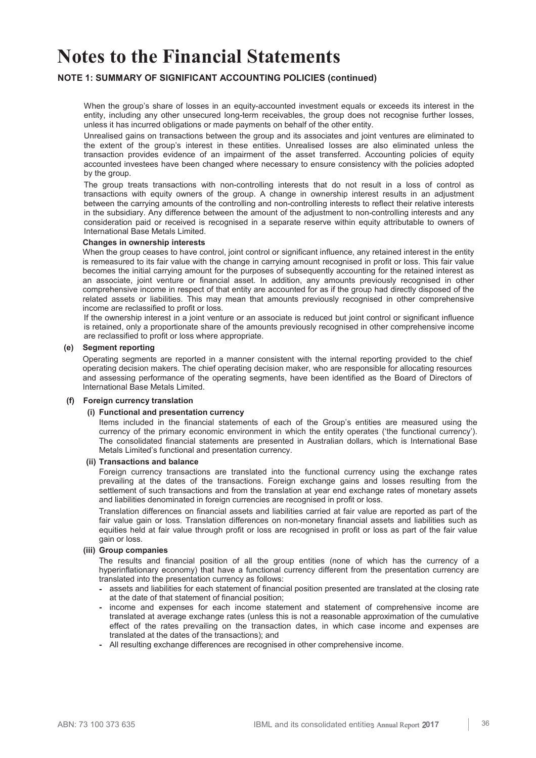## **NOTE 1: SUMMARY OF SIGNIFICANT ACCOUNTING POLICIES (continued)**

 When the group's share of losses in an equity-accounted investment equals or exceeds its interest in the entity, including any other unsecured long-term receivables, the group does not recognise further losses, unless it has incurred obligations or made payments on behalf of the other entity.

 Unrealised gains on transactions between the group and its associates and joint ventures are eliminated to the extent of the group's interest in these entities. Unrealised losses are also eliminated unless the transaction provides evidence of an impairment of the asset transferred. Accounting policies of equity accounted investees have been changed where necessary to ensure consistency with the policies adopted by the group.

 The group treats transactions with non-controlling interests that do not result in a loss of control as transactions with equity owners of the group. A change in ownership interest results in an adjustment between the carrying amounts of the controlling and non-controlling interests to reflect their relative interests in the subsidiary. Any difference between the amount of the adjustment to non-controlling interests and any consideration paid or received is recognised in a separate reserve within equity attributable to owners of International Base Metals Limited.

#### **Changes in ownership interests**

 When the group ceases to have control, joint control or significant influence, any retained interest in the entity is remeasured to its fair value with the change in carrying amount recognised in profit or loss. This fair value becomes the initial carrying amount for the purposes of subsequently accounting for the retained interest as an associate, joint venture or financial asset. In addition, any amounts previously recognised in other comprehensive income in respect of that entity are accounted for as if the group had directly disposed of the related assets or liabilities. This may mean that amounts previously recognised in other comprehensive income are reclassified to profit or loss.

If the ownership interest in a joint venture or an associate is reduced but joint control or significant influence is retained, only a proportionate share of the amounts previously recognised in other comprehensive income are reclassified to profit or loss where appropriate.

## **(e) Segment reporting**

Operating segments are reported in a manner consistent with the internal reporting provided to the chief operating decision makers. The chief operating decision maker, who are responsible for allocating resources and assessing performance of the operating segments, have been identified as the Board of Directors of International Base Metals Limited.

#### **(f) Foreign currency translation**

#### **(i) Functional and presentation currency**

Items included in the financial statements of each of the Group's entities are measured using the currency of the primary economic environment in which the entity operates ('the functional currency'). The consolidated financial statements are presented in Australian dollars, which is International Base Metals Limited's functional and presentation currency.

#### **(ii) Transactions and balance**

Foreign currency transactions are translated into the functional currency using the exchange rates prevailing at the dates of the transactions. Foreign exchange gains and losses resulting from the settlement of such transactions and from the translation at year end exchange rates of monetary assets and liabilities denominated in foreign currencies are recognised in profit or loss.

Translation differences on financial assets and liabilities carried at fair value are reported as part of the fair value gain or loss. Translation differences on non-monetary financial assets and liabilities such as equities held at fair value through profit or loss are recognised in profit or loss as part of the fair value gain or loss.

#### **(iii) Group companies**

The results and financial position of all the group entities (none of which has the currency of a hyperinflationary economy) that have a functional currency different from the presentation currency are translated into the presentation currency as follows:

- **-** assets and liabilities for each statement of financial position presented are translated at the closing rate at the date of that statement of financial position;
- income and expenses for each income statement and statement of comprehensive income are translated at average exchange rates (unless this is not a reasonable approximation of the cumulative effect of the rates prevailing on the transaction dates, in which case income and expenses are translated at the dates of the transactions); and
- All resulting exchange differences are recognised in other comprehensive income.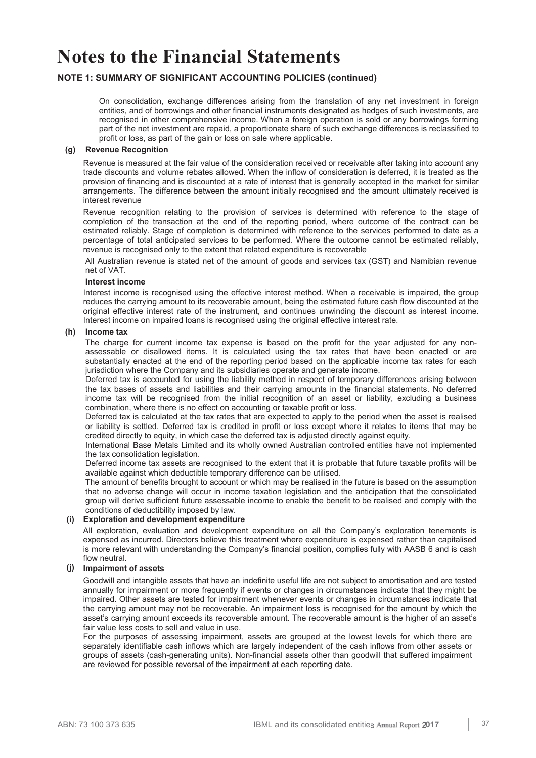## **NOTE 1: SUMMARY OF SIGNIFICANT ACCOUNTING POLICIES (continued)**

On consolidation, exchange differences arising from the translation of any net investment in foreign entities, and of borrowings and other financial instruments designated as hedges of such investments, are recognised in other comprehensive income. When a foreign operation is sold or any borrowings forming part of the net investment are repaid, a proportionate share of such exchange differences is reclassified to profit or loss, as part of the gain or loss on sale where applicable.

## **(g) Revenue Recognition**

Revenue is measured at the fair value of the consideration received or receivable after taking into account any trade discounts and volume rebates allowed. When the inflow of consideration is deferred, it is treated as the provision of financing and is discounted at a rate of interest that is generally accepted in the market for similar arrangements. The difference between the amount initially recognised and the amount ultimately received is interest revenue

Revenue recognition relating to the provision of services is determined with reference to the stage of completion of the transaction at the end of the reporting period, where outcome of the contract can be estimated reliably. Stage of completion is determined with reference to the services performed to date as a percentage of total anticipated services to be performed. Where the outcome cannot be estimated reliably, revenue is recognised only to the extent that related expenditure is recoverable

All Australian revenue is stated net of the amount of goods and services tax (GST) and Namibian revenue net of VAT.

#### **Interest income**

 Interest income is recognised using the effective interest method. When a receivable is impaired, the group reduces the carrying amount to its recoverable amount, being the estimated future cash flow discounted at the original effective interest rate of the instrument, and continues unwinding the discount as interest income. Interest income on impaired loans is recognised using the original effective interest rate.

### **(h) Income tax**

The charge for current income tax expense is based on the profit for the year adjusted for any nonassessable or disallowed items. It is calculated using the tax rates that have been enacted or are substantially enacted at the end of the reporting period based on the applicable income tax rates for each jurisdiction where the Company and its subsidiaries operate and generate income.

Deferred tax is accounted for using the liability method in respect of temporary differences arising between the tax bases of assets and liabilities and their carrying amounts in the financial statements. No deferred income tax will be recognised from the initial recognition of an asset or liability, excluding a business combination, where there is no effect on accounting or taxable profit or loss.

Deferred tax is calculated at the tax rates that are expected to apply to the period when the asset is realised or liability is settled. Deferred tax is credited in profit or loss except where it relates to items that may be credited directly to equity, in which case the deferred tax is adjusted directly against equity.

International Base Metals Limited and its wholly owned Australian controlled entities have not implemented the tax consolidation legislation.

Deferred income tax assets are recognised to the extent that it is probable that future taxable profits will be available against which deductible temporary difference can be utilised.

The amount of benefits brought to account or which may be realised in the future is based on the assumption that no adverse change will occur in income taxation legislation and the anticipation that the consolidated group will derive sufficient future assessable income to enable the benefit to be realised and comply with the conditions of deductibility imposed by law.

## **(i) Exploration and development expenditure**

All exploration, evaluation and development expenditure on all the Company's exploration tenements is expensed as incurred. Directors believe this treatment where expenditure is expensed rather than capitalised is more relevant with understanding the Company's financial position, complies fully with AASB 6 and is cash flow neutral.

#### **(j) Impairment of assets**

Goodwill and intangible assets that have an indefinite useful life are not subject to amortisation and are tested annually for impairment or more frequently if events or changes in circumstances indicate that they might be impaired. Other assets are tested for impairment whenever events or changes in circumstances indicate that the carrying amount may not be recoverable. An impairment loss is recognised for the amount by which the asset's carrying amount exceeds its recoverable amount. The recoverable amount is the higher of an asset's fair value less costs to sell and value in use.

For the purposes of assessing impairment, assets are grouped at the lowest levels for which there are separately identifiable cash inflows which are largely independent of the cash inflows from other assets or groups of assets (cash-generating units). Non-financial assets other than goodwill that suffered impairment are reviewed for possible reversal of the impairment at each reporting date.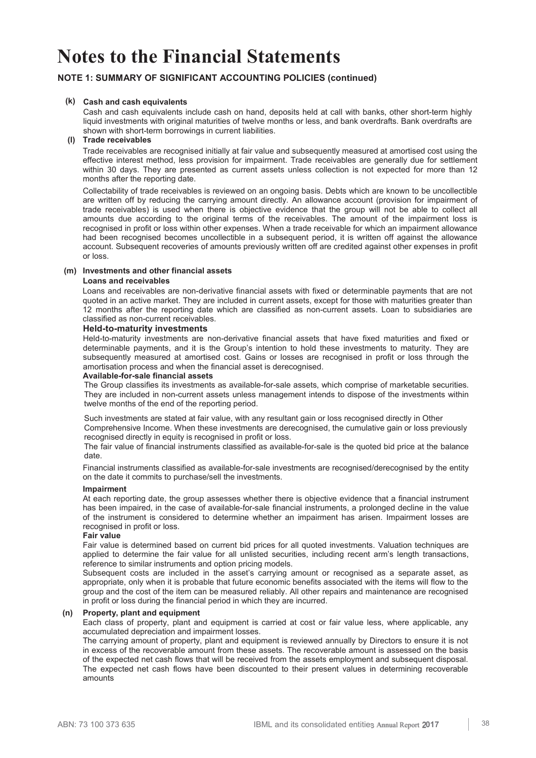## **NOTE 1: SUMMARY OF SIGNIFICANT ACCOUNTING POLICIES (continued)**

### **(k) Cash and cash equivalents**

Cash and cash equivalents include cash on hand, deposits held at call with banks, other short-term highly liquid investments with original maturities of twelve months or less, and bank overdrafts. Bank overdrafts are shown with short-term borrowings in current liabilities.

### **(l) Trade receivables**

Trade receivables are recognised initially at fair value and subsequently measured at amortised cost using the effective interest method, less provision for impairment. Trade receivables are generally due for settlement within 30 days. They are presented as current assets unless collection is not expected for more than 12 months after the reporting date.

Collectability of trade receivables is reviewed on an ongoing basis. Debts which are known to be uncollectible are written off by reducing the carrying amount directly. An allowance account (provision for impairment of trade receivables) is used when there is objective evidence that the group will not be able to collect all amounts due according to the original terms of the receivables. The amount of the impairment loss is recognised in profit or loss within other expenses. When a trade receivable for which an impairment allowance had been recognised becomes uncollectible in a subsequent period, it is written off against the allowance account. Subsequent recoveries of amounts previously written off are credited against other expenses in profit or loss.

## **(m) Investments and other financial assets**

### **Loans and receivables**

Loans and receivables are non-derivative financial assets with fixed or determinable payments that are not quoted in an active market. They are included in current assets, except for those with maturities greater than 12 months after the reporting date which are classified as non-current assets. Loan to subsidiaries are classified as non-current receivables.

### **Held-to-maturity investments**

Held-to-maturity investments are non-derivative financial assets that have fixed maturities and fixed or determinable payments, and it is the Group's intention to hold these investments to maturity. They are subsequently measured at amortised cost. Gains or losses are recognised in profit or loss through the amortisation process and when the financial asset is derecognised.

#### **Available-for-sale financial assets**

 The Group classifies its investments as available-for-sale assets, which comprise of marketable securities. They are included in non-current assets unless management intends to dispose of the investments within twelve months of the end of the reporting period.

Such investments are stated at fair value, with any resultant gain or loss recognised directly in Other Comprehensive Income. When these investments are derecognised, the cumulative gain or loss previously recognised directly in equity is recognised in profit or loss.

The fair value of financial instruments classified as available-for-sale is the quoted bid price at the balance date.

Financial instruments classified as available-for-sale investments are recognised/derecognised by the entity on the date it commits to purchase/sell the investments.

#### **Impairment**

At each reporting date, the group assesses whether there is objective evidence that a financial instrument has been impaired, in the case of available-for-sale financial instruments, a prolonged decline in the value of the instrument is considered to determine whether an impairment has arisen. Impairment losses are recognised in profit or loss.

### **Fair value**

 Fair value is determined based on current bid prices for all quoted investments. Valuation techniques are applied to determine the fair value for all unlisted securities, including recent arm's length transactions, reference to similar instruments and option pricing models.

Subsequent costs are included in the asset's carrying amount or recognised as a separate asset, as appropriate, only when it is probable that future economic benefits associated with the items will flow to the group and the cost of the item can be measured reliably. All other repairs and maintenance are recognised in profit or loss during the financial period in which they are incurred.

## **(n) Property, plant and equipment**

Each class of property, plant and equipment is carried at cost or fair value less, where applicable, any accumulated depreciation and impairment losses.

The carrying amount of property, plant and equipment is reviewed annually by Directors to ensure it is not in excess of the recoverable amount from these assets. The recoverable amount is assessed on the basis of the expected net cash flows that will be received from the assets employment and subsequent disposal. The expected net cash flows have been discounted to their present values in determining recoverable amounts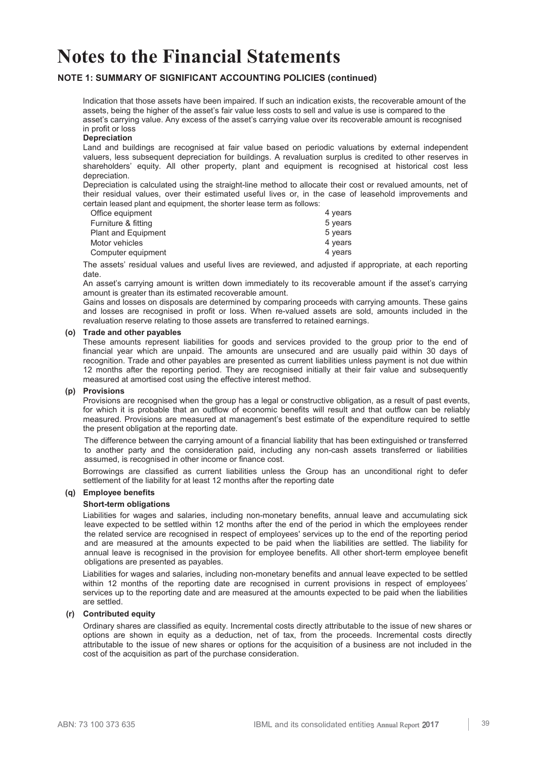## **NOTE 1: SUMMARY OF SIGNIFICANT ACCOUNTING POLICIES (continued)**

Indication that those assets have been impaired. If such an indication exists, the recoverable amount of the assets, being the higher of the asset's fair value less costs to sell and value is use is compared to the asset's carrying value. Any excess of the asset's carrying value over its recoverable amount is recognised in profit or loss

#### **Depreciation**

Land and buildings are recognised at fair value based on periodic valuations by external independent valuers, less subsequent depreciation for buildings. A revaluation surplus is credited to other reserves in shareholders' equity. All other property, plant and equipment is recognised at historical cost less depreciation.

Depreciation is calculated using the straight-line method to allocate their cost or revalued amounts, net of their residual values, over their estimated useful lives or, in the case of leasehold improvements and certain leased plant and equipment, the shorter lease term as follows:

| Office equipment           | 4 years |
|----------------------------|---------|
| Furniture & fitting        | 5 years |
| <b>Plant and Equipment</b> | 5 years |
| Motor vehicles             | 4 years |
| Computer equipment         | 4 years |

 The assets' residual values and useful lives are reviewed, and adjusted if appropriate, at each reporting date.

An asset's carrying amount is written down immediately to its recoverable amount if the asset's carrying amount is greater than its estimated recoverable amount.

Gains and losses on disposals are determined by comparing proceeds with carrying amounts. These gains and losses are recognised in profit or loss. When re-valued assets are sold, amounts included in the revaluation reserve relating to those assets are transferred to retained earnings.

#### **(o) Trade and other payables**

These amounts represent liabilities for goods and services provided to the group prior to the end of financial year which are unpaid. The amounts are unsecured and are usually paid within 30 days of recognition. Trade and other payables are presented as current liabilities unless payment is not due within 12 months after the reporting period. They are recognised initially at their fair value and subsequently measured at amortised cost using the effective interest method.

### **(p) Provisions**

Provisions are recognised when the group has a legal or constructive obligation, as a result of past events, for which it is probable that an outflow of economic benefits will result and that outflow can be reliably measured. Provisions are measured at management's best estimate of the expenditure required to settle the present obligation at the reporting date.

The difference between the carrying amount of a financial liability that has been extinguished or transferred to another party and the consideration paid, including any non-cash assets transferred or liabilities assumed, is recognised in other income or finance cost.

Borrowings are classified as current liabilities unless the Group has an unconditional right to defer settlement of the liability for at least 12 months after the reporting date

### **(q) Employee benefits**

#### **Short-term obligations**

Liabilities for wages and salaries, including non-monetary benefits, annual leave and accumulating sick leave expected to be settled within 12 months after the end of the period in which the employees render the related service are recognised in respect of employees' services up to the end of the reporting period and are measured at the amounts expected to be paid when the liabilities are settled. The liability for annual leave is recognised in the provision for employee benefits. All other short-term employee benefit obligations are presented as payables.

Liabilities for wages and salaries, including non-monetary benefits and annual leave expected to be settled within 12 months of the reporting date are recognised in current provisions in respect of employees' services up to the reporting date and are measured at the amounts expected to be paid when the liabilities are settled.

#### **(r) Contributed equity**

Ordinary shares are classified as equity. Incremental costs directly attributable to the issue of new shares or options are shown in equity as a deduction, net of tax, from the proceeds. Incremental costs directly attributable to the issue of new shares or options for the acquisition of a business are not included in the cost of the acquisition as part of the purchase consideration.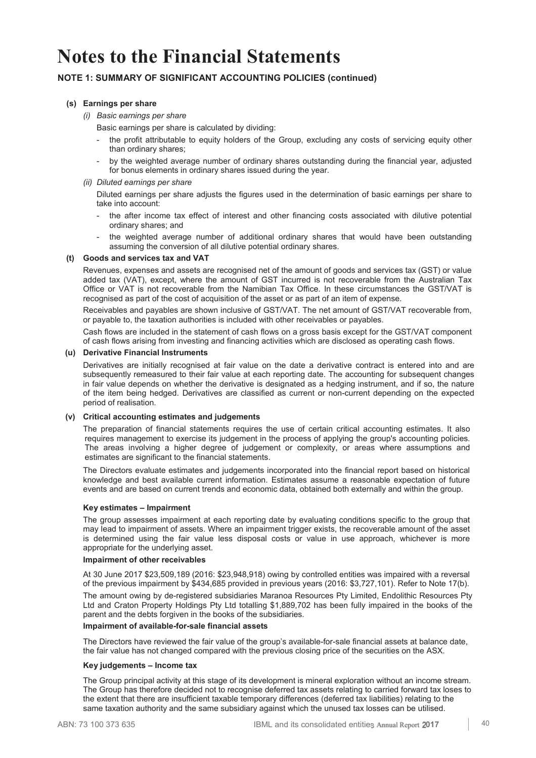## **NOTE 1: SUMMARY OF SIGNIFICANT ACCOUNTING POLICIES (continued)**

### **(s) Earnings per share**

*(i) Basic earnings per share* 

Basic earnings per share is calculated by dividing:

- the profit attributable to equity holders of the Group, excluding any costs of servicing equity other than ordinary shares;
- by the weighted average number of ordinary shares outstanding during the financial year, adjusted for bonus elements in ordinary shares issued during the year.

### *(ii) Diluted earnings per share*

 Diluted earnings per share adjusts the figures used in the determination of basic earnings per share to take into account:

- the after income tax effect of interest and other financing costs associated with dilutive potential ordinary shares; and
- the weighted average number of additional ordinary shares that would have been outstanding assuming the conversion of all dilutive potential ordinary shares.

### **(t) Goods and services tax and VAT**

Revenues, expenses and assets are recognised net of the amount of goods and services tax (GST) or value added tax (VAT), except, where the amount of GST incurred is not recoverable from the Australian Tax Office or VAT is not recoverable from the Namibian Tax Office. In these circumstances the GST/VAT is recognised as part of the cost of acquisition of the asset or as part of an item of expense.

 Receivables and payables are shown inclusive of GST/VAT. The net amount of GST/VAT recoverable from, or payable to, the taxation authorities is included with other receivables or payables.

 Cash flows are included in the statement of cash flows on a gross basis except for the GST/VAT component of cash flows arising from investing and financing activities which are disclosed as operating cash flows.

#### **(u) Derivative Financial Instruments**

 Derivatives are initially recognised at fair value on the date a derivative contract is entered into and are subsequently remeasured to their fair value at each reporting date. The accounting for subsequent changes in fair value depends on whether the derivative is designated as a hedging instrument, and if so, the nature of the item being hedged. Derivatives are classified as current or non-current depending on the expected period of realisation.

## **(v) Critical accounting estimates and judgements**

 The preparation of financial statements requires the use of certain critical accounting estimates. It also requires management to exercise its judgement in the process of applying the group's accounting policies. The areas involving a higher degree of judgement or complexity, or areas where assumptions and estimates are significant to the financial statements.

The Directors evaluate estimates and judgements incorporated into the financial report based on historical knowledge and best available current information. Estimates assume a reasonable expectation of future events and are based on current trends and economic data, obtained both externally and within the group.

#### **Key estimates – Impairment**

The group assesses impairment at each reporting date by evaluating conditions specific to the group that may lead to impairment of assets. Where an impairment trigger exists, the recoverable amount of the asset is determined using the fair value less disposal costs or value in use approach, whichever is more appropriate for the underlying asset.

## **Impairment of other receivables**

At 30 June 2017 \$23,509,189 (2016: \$23,948,918) owing by controlled entities was impaired with a reversal of the previous impairment by \$434,685 provided in previous years (2016: \$3,727,101). Refer to Note 17(b).

The amount owing by de-registered subsidiaries Maranoa Resources Pty Limited, Endolithic Resources Pty Ltd and Craton Property Holdings Pty Ltd totalling \$1,889,702 has been fully impaired in the books of the parent and the debts forgiven in the books of the subsidiaries.

#### **Impairment of available-for-sale financial assets**

The Directors have reviewed the fair value of the group's available-for-sale financial assets at balance date, the fair value has not changed compared with the previous closing price of the securities on the ASX.

#### **Key judgements – Income tax**

The Group principal activity at this stage of its development is mineral exploration without an income stream. The Group has therefore decided not to recognise deferred tax assets relating to carried forward tax loses to the extent that there are insufficient taxable temporary differences (deferred tax liabilities) relating to the same taxation authority and the same subsidiary against which the unused tax losses can be utilised.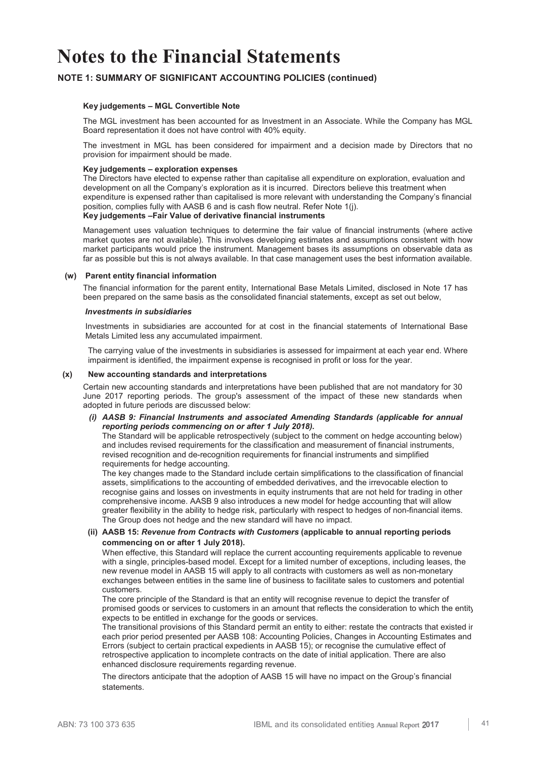## **NOTE 1: SUMMARY OF SIGNIFICANT ACCOUNTING POLICIES (continued)**

### **Key judgements – MGL Convertible Note**

The MGL investment has been accounted for as Investment in an Associate. While the Company has MGL Board representation it does not have control with 40% equity.

The investment in MGL has been considered for impairment and a decision made by Directors that no provision for impairment should be made.

#### **Key judgements – exploration expenses**

The Directors have elected to expense rather than capitalise all expenditure on exploration, evaluation and development on all the Company's exploration as it is incurred. Directors believe this treatment when expenditure is expensed rather than capitalised is more relevant with understanding the Company's financial position, complies fully with AASB 6 and is cash flow neutral. Refer Note 1(j). **Key judgements –Fair Value of derivative financial instruments**

Management uses valuation techniques to determine the fair value of financial instruments (where active market quotes are not available). This involves developing estimates and assumptions consistent with how market participants would price the instrument. Management bases its assumptions on observable data as far as possible but this is not always available. In that case management uses the best information available.

#### **(w) Parent entity financial information**

The financial information for the parent entity, International Base Metals Limited, disclosed in Note 17 has been prepared on the same basis as the consolidated financial statements, except as set out below,

#### *Investments in subsidiaries*

Investments in subsidiaries are accounted for at cost in the financial statements of International Base Metals Limited less any accumulated impairment.

 The carrying value of the investments in subsidiaries is assessed for impairment at each year end. Where impairment is identified, the impairment expense is recognised in profit or loss for the year.

#### **(x) New accounting standards and interpretations**

Certain new accounting standards and interpretations have been published that are not mandatory for 30 June 2017 reporting periods. The group's assessment of the impact of these new standards when adopted in future periods are discussed below:

#### *(i) AASB 9: Financial Instruments and associated Amending Standards (applicable for annual reporting periods commencing on or after 1 July 2018).*

 The Standard will be applicable retrospectively (subject to the comment on hedge accounting below) and includes revised requirements for the classification and measurement of financial instruments, revised recognition and de-recognition requirements for financial instruments and simplified requirements for hedge accounting.

 The key changes made to the Standard include certain simplifications to the classification of financial assets, simplifications to the accounting of embedded derivatives, and the irrevocable election to recognise gains and losses on investments in equity instruments that are not held for trading in other comprehensive income. AASB 9 also introduces a new model for hedge accounting that will allow greater flexibility in the ability to hedge risk, particularly with respect to hedges of non-financial items. The Group does not hedge and the new standard will have no impact.

### **(ii) AASB 15:** *Revenue from Contracts with Customers* **(applicable to annual reporting periods commencing on or after 1 July 2018).**

 When effective, this Standard will replace the current accounting requirements applicable to revenue with a single, principles-based model. Except for a limited number of exceptions, including leases, the new revenue model in AASB 15 will apply to all contracts with customers as well as non-monetary exchanges between entities in the same line of business to facilitate sales to customers and potential customers.

 The core principle of the Standard is that an entity will recognise revenue to depict the transfer of promised goods or services to customers in an amount that reflects the consideration to which the entity expects to be entitled in exchange for the goods or services.

 The transitional provisions of this Standard permit an entity to either: restate the contracts that existed in each prior period presented per AASB 108: Accounting Policies, Changes in Accounting Estimates and Errors (subject to certain practical expedients in AASB 15); or recognise the cumulative effect of retrospective application to incomplete contracts on the date of initial application. There are also enhanced disclosure requirements regarding revenue.

 The directors anticipate that the adoption of AASB 15 will have no impact on the Group's financial statements.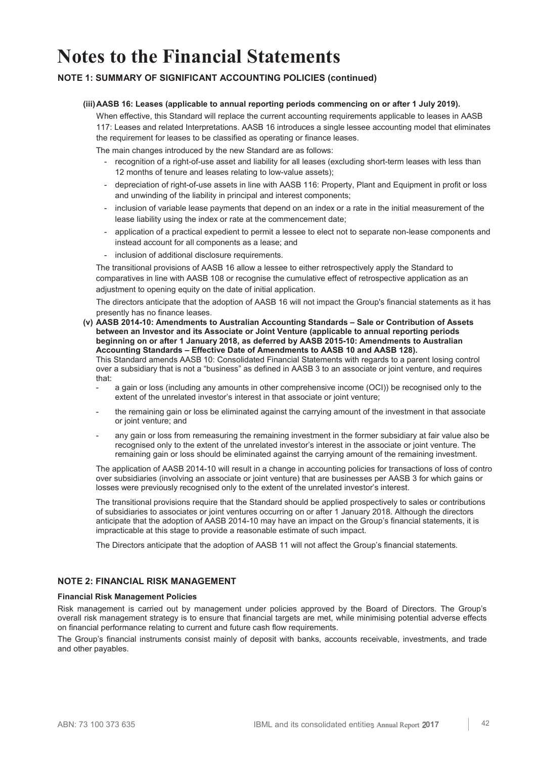## **NOTE 1: SUMMARY OF SIGNIFICANT ACCOUNTING POLICIES (continued)**

### **(iii) AASB 16: Leases (applicable to annual reporting periods commencing on or after 1 July 2019).**

 When effective, this Standard will replace the current accounting requirements applicable to leases in AASB 117: Leases and related Interpretations. AASB 16 introduces a single lessee accounting model that eliminates the requirement for leases to be classified as operating or finance leases.

The main changes introduced by the new Standard are as follows:

- recognition of a right-of-use asset and liability for all leases (excluding short-term leases with less than 12 months of tenure and leases relating to low-value assets);
- depreciation of right-of-use assets in line with AASB 116: Property, Plant and Equipment in profit or loss and unwinding of the liability in principal and interest components;
- inclusion of variable lease payments that depend on an index or a rate in the initial measurement of the lease liability using the index or rate at the commencement date;
- application of a practical expedient to permit a lessee to elect not to separate non-lease components and instead account for all components as a lease; and
- inclusion of additional disclosure requirements.

 The transitional provisions of AASB 16 allow a lessee to either retrospectively apply the Standard to comparatives in line with AASB 108 or recognise the cumulative effect of retrospective application as an adjustment to opening equity on the date of initial application.

 The directors anticipate that the adoption of AASB 16 will not impact the Group's financial statements as it has presently has no finance leases.

 **(v) AASB 2014-10: Amendments to Australian Accounting Standards – Sale or Contribution of Assets between an Investor and its Associate or Joint Venture (applicable to annual reporting periods beginning on or after 1 January 2018, as deferred by AASB 2015-10: Amendments to Australian Accounting Standards – Effective Date of Amendments to AASB 10 and AASB 128).** 

 This Standard amends AASB 10: Consolidated Financial Statements with regards to a parent losing control over a subsidiary that is not a "business" as defined in AASB 3 to an associate or joint venture, and requires that:

- a gain or loss (including any amounts in other comprehensive income (OCI)) be recognised only to the extent of the unrelated investor's interest in that associate or joint venture;
- the remaining gain or loss be eliminated against the carrying amount of the investment in that associate or joint venture; and
- any gain or loss from remeasuring the remaining investment in the former subsidiary at fair value also be recognised only to the extent of the unrelated investor's interest in the associate or joint venture. The remaining gain or loss should be eliminated against the carrying amount of the remaining investment.

 The application of AASB 2014-10 will result in a change in accounting policies for transactions of loss of contro over subsidiaries (involving an associate or joint venture) that are businesses per AASB 3 for which gains or losses were previously recognised only to the extent of the unrelated investor's interest.

 The transitional provisions require that the Standard should be applied prospectively to sales or contributions of subsidiaries to associates or joint ventures occurring on or after 1 January 2018. Although the directors anticipate that the adoption of AASB 2014-10 may have an impact on the Group's financial statements, it is impracticable at this stage to provide a reasonable estimate of such impact.

The Directors anticipate that the adoption of AASB 11 will not affect the Group's financial statements.

## **NOTE 2: FINANCIAL RISK MANAGEMENT**

#### **Financial Risk Management Policies**

Risk management is carried out by management under policies approved by the Board of Directors. The Group's overall risk management strategy is to ensure that financial targets are met, while minimising potential adverse effects on financial performance relating to current and future cash flow requirements.

The Group's financial instruments consist mainly of deposit with banks, accounts receivable, investments, and trade and other payables.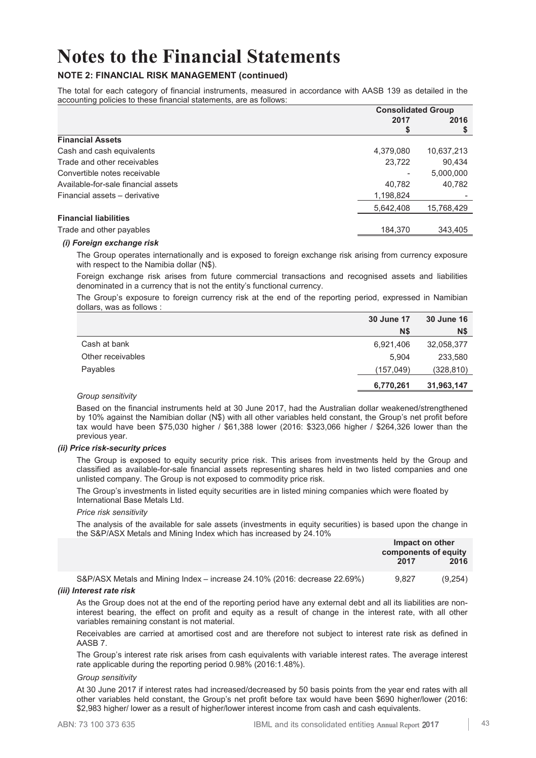## **NOTE 2: FINANCIAL RISK MANAGEMENT (continued)**

The total for each category of financial instruments, measured in accordance with AASB 139 as detailed in the accounting policies to these financial statements, are as follows:

|                                     | <b>Consolidated Group</b> |            |  |
|-------------------------------------|---------------------------|------------|--|
|                                     | 2017                      | 2016       |  |
|                                     | \$                        |            |  |
| <b>Financial Assets</b>             |                           |            |  |
| Cash and cash equivalents           | 4,379,080                 | 10,637,213 |  |
| Trade and other receivables         | 23.722                    | 90,434     |  |
| Convertible notes receivable        |                           | 5,000,000  |  |
| Available-for-sale financial assets | 40,782                    | 40,782     |  |
| Financial assets - derivative       | 1,198,824                 |            |  |
|                                     | 5,642,408                 | 15,768,429 |  |
| <b>Financial liabilities</b>        |                           |            |  |
| Trade and other payables            | 184.370                   | 343,405    |  |

### *(i) Foreign exchange risk*

The Group operates internationally and is exposed to foreign exchange risk arising from currency exposure with respect to the Namibia dollar (N\$).

Foreign exchange risk arises from future commercial transactions and recognised assets and liabilities denominated in a currency that is not the entity's functional currency.

The Group's exposure to foreign currency risk at the end of the reporting period, expressed in Namibian dollars, was as follows :

|                   | 30 June 17 | <b>30 June 16</b> |
|-------------------|------------|-------------------|
|                   | <b>N\$</b> | <b>N\$</b>        |
| Cash at bank      | 6,921,406  | 32,058,377        |
| Other receivables | 5.904      | 233,580           |
| Payables          | (157,049)  | (328,810)         |
|                   | 6,770,261  | 31,963,147        |

#### *Group sensitivity*

Based on the financial instruments held at 30 June 2017, had the Australian dollar weakened/strengthened by 10% against the Namibian dollar (N\$) with all other variables held constant, the Group's net profit before tax would have been \$75,030 higher / \$61,388 lower (2016: \$323,066 higher / \$264,326 lower than the previous year.

#### *(ii) Price risk-security prices*

The Group is exposed to equity security price risk. This arises from investments held by the Group and classified as available-for-sale financial assets representing shares held in two listed companies and one unlisted company. The Group is not exposed to commodity price risk.

The Group's investments in listed equity securities are in listed mining companies which were floated by International Base Metals Ltd.

#### *Price risk sensitivity*

The analysis of the available for sale assets (investments in equity securities) is based upon the change in the S&P/ASX Metals and Mining Index which has increased by 24.10%

|                                                                                  | 2017  | Impact on other<br>components of equity<br>2016 |
|----------------------------------------------------------------------------------|-------|-------------------------------------------------|
| S&P/ASX Metals and Mining Index – increase $24.10\%$ (2016: decrease $22.69\%$ ) | 9.827 | (9.254)                                         |

#### *(iii) Interest rate risk*

As the Group does not at the end of the reporting period have any external debt and all its liabilities are noninterest bearing, the effect on profit and equity as a result of change in the interest rate, with all other variables remaining constant is not material.

Receivables are carried at amortised cost and are therefore not subject to interest rate risk as defined in AASB 7.

The Group's interest rate risk arises from cash equivalents with variable interest rates. The average interest rate applicable during the reporting period 0.98% (2016:1.48%).

#### *Group sensitivity*

At 30 June 2017 if interest rates had increased/decreased by 50 basis points from the year end rates with all other variables held constant, the Group's net profit before tax would have been \$690 higher/lower (2016: \$2,983 higher/ lower as a result of higher/lower interest income from cash and cash equivalents.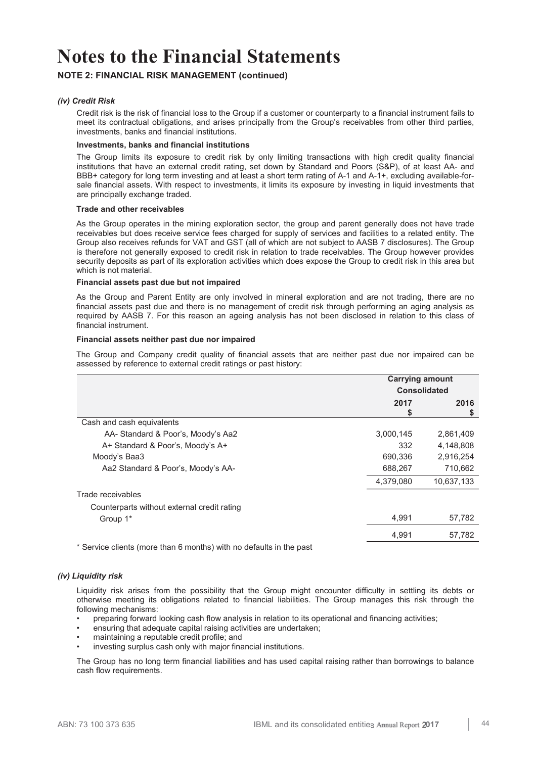## **NOTE 2: FINANCIAL RISK MANAGEMENT (continued)**

### *(iv) Credit Risk*

Credit risk is the risk of financial loss to the Group if a customer or counterparty to a financial instrument fails to meet its contractual obligations, and arises principally from the Group's receivables from other third parties, investments, banks and financial institutions.

#### **Investments, banks and financial institutions**

The Group limits its exposure to credit risk by only limiting transactions with high credit quality financial institutions that have an external credit rating, set down by Standard and Poors (S&P), of at least AA- and BBB+ category for long term investing and at least a short term rating of A-1 and A-1+, excluding available-forsale financial assets. With respect to investments, it limits its exposure by investing in liquid investments that are principally exchange traded.

#### **Trade and other receivables**

As the Group operates in the mining exploration sector, the group and parent generally does not have trade receivables but does receive service fees charged for supply of services and facilities to a related entity. The Group also receives refunds for VAT and GST (all of which are not subject to AASB 7 disclosures). The Group is therefore not generally exposed to credit risk in relation to trade receivables. The Group however provides security deposits as part of its exploration activities which does expose the Group to credit risk in this area but which is not material.

#### **Financial assets past due but not impaired**

As the Group and Parent Entity are only involved in mineral exploration and are not trading, there are no financial assets past due and there is no management of credit risk through performing an aging analysis as required by AASB 7. For this reason an ageing analysis has not been disclosed in relation to this class of financial instrument.

## **Financial assets neither past due nor impaired**

The Group and Company credit quality of financial assets that are neither past due nor impaired can be assessed by reference to external credit ratings or past history:

|                                                                     | <b>Carrying amount</b> |            |  |
|---------------------------------------------------------------------|------------------------|------------|--|
|                                                                     | <b>Consolidated</b>    |            |  |
|                                                                     | 2017<br>S              | 2016<br>S  |  |
| Cash and cash equivalents                                           |                        |            |  |
| AA- Standard & Poor's, Moody's Aa2                                  | 3,000,145              | 2,861,409  |  |
| A+ Standard & Poor's, Moody's A+                                    | 332                    | 4,148,808  |  |
| Moody's Baa3                                                        | 690,336                | 2,916,254  |  |
| Aa2 Standard & Poor's, Moody's AA-                                  | 688,267                | 710,662    |  |
|                                                                     | 4,379,080              | 10,637,133 |  |
| Trade receivables                                                   |                        |            |  |
| Counterparts without external credit rating                         |                        |            |  |
| Group 1*                                                            | 4,991                  | 57,782     |  |
|                                                                     | 4,991                  | 57,782     |  |
| * Convice clients (more than 6 months) with no defaults in the nast |                        |            |  |

Service clients (more than 6 months) with no defaults in the past

## *(iv) Liquidity risk*

Liquidity risk arises from the possibility that the Group might encounter difficulty in settling its debts or otherwise meeting its obligations related to financial liabilities. The Group manages this risk through the following mechanisms:

- preparing forward looking cash flow analysis in relation to its operational and financing activities;
- ensuring that adequate capital raising activities are undertaken;
- maintaining a reputable credit profile; and
- investing surplus cash only with major financial institutions.

The Group has no long term financial liabilities and has used capital raising rather than borrowings to balance cash flow requirements.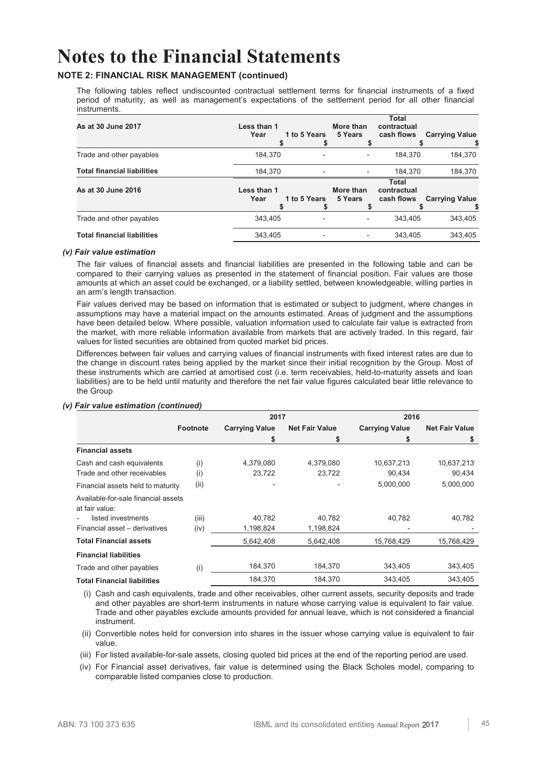## **NOTE 2: FINANCIAL RISK MANAGEMENT (continued)**

The following tables reflect undiscounted contractual settlement terms for financial instruments of a fixed period of maturity, as well as management's expectations of the settlement period for all other financial instruments.

| As at 30 June 2017                 | Less than 1<br>Year | 1 to 5 Years | More than<br>5 Years         | <b>Total</b><br>contractual<br>cash flows | <b>Carrying Value</b> |
|------------------------------------|---------------------|--------------|------------------------------|-------------------------------------------|-----------------------|
| Trade and other payables           | 184.370             |              | $\qquad \qquad -$            | 184.370                                   | 184,370               |
| <b>Total financial liabilities</b> | 184.370             |              |                              | 184.370                                   | 184,370               |
| As at 30 June 2016                 | Less than 1<br>Year | 1 to 5 Years | More than<br>5 Years         | <b>Total</b><br>contractual<br>cash flows | <b>Carrying Value</b> |
| Trade and other payables           | 343.405             |              | $\qquad \qquad \blacksquare$ | 343.405                                   | 343.405               |
| <b>Total financial liabilities</b> | 343,405             |              |                              | 343.405                                   | 343.405               |

### *(v) Fair value estimation*

The fair values of financial assets and financial liabilities are presented in the following table and can be compared to their carrying values as presented in the statement of financial position. Fair values are those amounts at which an asset could be exchanged, or a liability settled, between knowledgeable, willing parties in an arm's length transaction.

Fair values derived may be based on information that is estimated or subject to judgment, where changes in assumptions may have a material impact on the amounts estimated. Areas of judgment and the assumptions have been detailed below. Where possible, valuation information used to calculate fair value is extracted from the market, with more reliable information available from markets that are actively traded. In this regard, fair values for listed securities are obtained from quoted market bid prices.

Differences between fair values and carrying values of financial instruments with fixed interest rates are due to the change in discount rates being applied by the market since their initial recognition by the Group. Most of these instruments which are carried at amortised cost (i.e. term receivables, held-to-maturity assets and loan liabilities) are to be held until maturity and therefore the net fair value figures calculated bear little relevance to the Group

#### **2017 2016 Footnote Carrying Value \$ Net Fair Value \$ Carrying Value \$ Net Fair Value \$ Financial assets**  Cash and cash equivalents (i) 4,379,080 4,379,080 10,637,213 10,637,213 Trade and other receivables (i) 23,722 23,722 90,434 90,434 Financial assets held to maturity (ii) - - 5,000,000 5,000,000 Available-for-sale financial assets at fair value: listed investments (iii) 40,782 40,782 40,782 40,782 40,782 Financial asset – derivatives  $(iv)$  1,198,824 1,198,824 **Total Financial assets** 5,642,408 5,642,408 15,768,429 15,768,429 **Financial liabilities**  Trade and other payables (i) 184,370 184,370 343,405 343,405 **Total Financial liabilities** 184,370 184,370 343,405 343,405

## *(v) Fair value estimation (continued)*

(i) Cash and cash equivalents, trade and other receivables, other current assets, security deposits and trade and other payables are short-term instruments in nature whose carrying value is equivalent to fair value. Trade and other payables exclude amounts provided for annual leave, which is not considered a financial instrument.

(ii) Convertible notes held for conversion into shares in the issuer whose carrying value is equivalent to fair value.

(iii) For listed available-for-sale assets, closing quoted bid prices at the end of the reporting period are used.

(iv) For Financial asset derivatives, fair value is determined using the Black Scholes model, comparing to comparable listed companies close to production.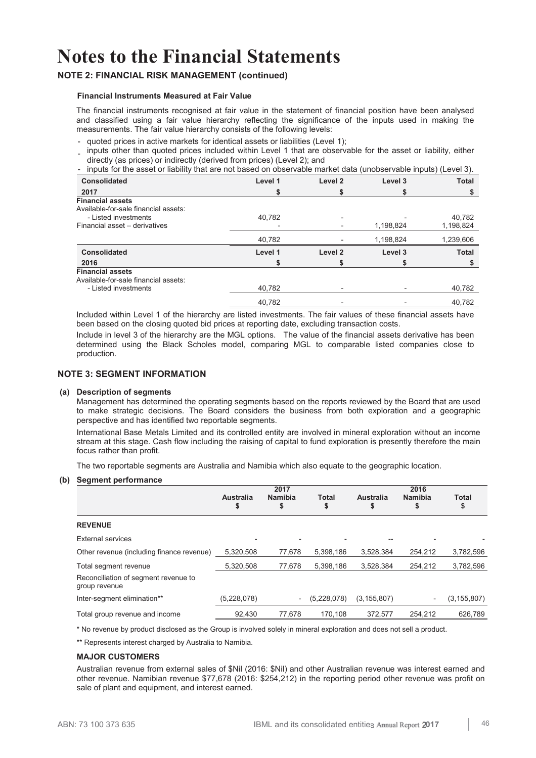## **NOTE 2: FINANCIAL RISK MANAGEMENT (continued)**

#### **Financial Instruments Measured at Fair Value**

The financial instruments recognised at fair value in the statement of financial position have been analysed and classified using a fair value hierarchy reflecting the significance of the inputs used in making the measurements. The fair value hierarchy consists of the following levels:

- quoted prices in active markets for identical assets or liabilities (Level 1);
- inputs other than quoted prices included within Level 1 that are observable for the asset or liability, either directly (as prices) or indirectly (derived from prices) (Level 2); and
- inputs for the asset or liability that are not based on observable market data (unobservable inputs) (Level 3). **Consolidated 2017 Level 1 \$ Level 2 \$ Level 3 \$ Total \$ Financial assets**  Available-for-sale financial assets: - Listed investments 40,782 - - 40,782 Financial asset - derivatives 40,782 - 1,198,824 1,239,606 **Consolidated 2016 Level 1 \$ Level 2 \$ Level 3 \$ Total \$ Financial assets**  Available-for-sale financial assets: - Listed investments 40,782 - 40,782 - 40,782 - 40,782 - 40,782 - 40,782 - 40,782 - 40,782 - 40,782 - 40,782 - 40,782 - 40,782 - 40,782 - 40,782 - 40,782 - 40,782 - 40,782 - 40,782 - 40,782 - 40,782 - 40,782 - 40,782 - 40, 40,782 - - 40,782

Included within Level 1 of the hierarchy are listed investments. The fair values of these financial assets have been based on the closing quoted bid prices at reporting date, excluding transaction costs.

Include in level 3 of the hierarchy are the MGL options. The value of the financial assets derivative has been determined using the Black Scholes model, comparing MGL to comparable listed companies close to production.

#### **NOTE 3: SEGMENT INFORMATION**

#### **(a) Description of segments**

 Management has determined the operating segments based on the reports reviewed by the Board that are used to make strategic decisions. The Board considers the business from both exploration and a geographic perspective and has identified two reportable segments.

International Base Metals Limited and its controlled entity are involved in mineral exploration without an income stream at this stage. Cash flow including the raising of capital to fund exploration is presently therefore the main focus rather than profit.

The two reportable segments are Australia and Namibia which also equate to the geographic location.

#### **(b) Segment performance**

|                                                       |             | 2017                     |              |                  | 2016           |               |
|-------------------------------------------------------|-------------|--------------------------|--------------|------------------|----------------|---------------|
|                                                       | Australia   | <b>Namibia</b>           | <b>Total</b> | <b>Australia</b> | <b>Namibia</b> | <b>Total</b>  |
|                                                       | \$          | \$                       | \$           | \$               | \$             | \$            |
| <b>REVENUE</b>                                        |             |                          |              |                  |                |               |
| External services                                     |             |                          |              |                  |                |               |
| Other revenue (including finance revenue)             | 5,320,508   | 77,678                   | 5,398,186    | 3,528,384        | 254,212        | 3,782,596     |
| Total segment revenue                                 | 5,320,508   | 77,678                   | 5,398,186    | 3,528,384        | 254,212        | 3,782,596     |
| Reconciliation of segment revenue to<br>group revenue |             |                          |              |                  |                |               |
| Inter-segment elimination**                           | (5,228,078) | $\overline{\phantom{a}}$ | (5,228,078)  | (3, 155, 807)    |                | (3, 155, 807) |
| Total group revenue and income                        | 92,430      | 77,678                   | 170.108      | 372.577          | 254,212        | 626,789       |

\* No revenue by product disclosed as the Group is involved solely in mineral exploration and does not sell a product.

\*\* Represents interest charged by Australia to Namibia.

#### **MAJOR CUSTOMERS**

Australian revenue from external sales of \$Nil (2016: \$Nil) and other Australian revenue was interest earned and other revenue. Namibian revenue \$77,678 (2016: \$254,212) in the reporting period other revenue was profit on sale of plant and equipment, and interest earned.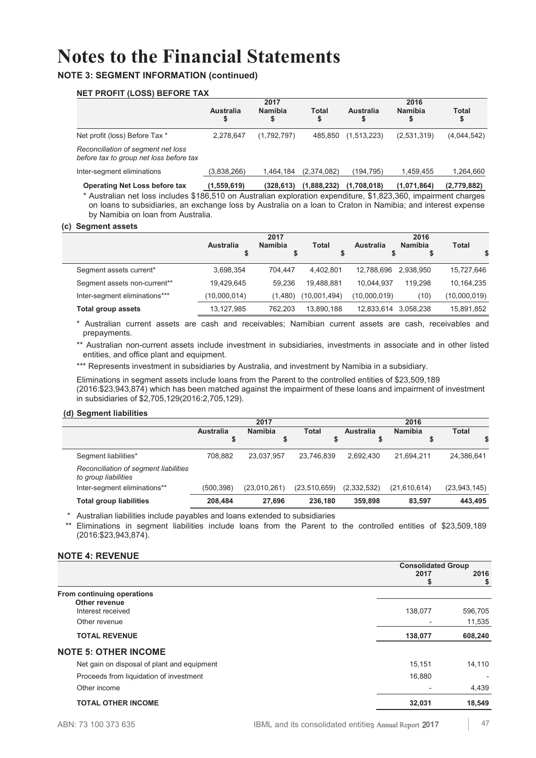## **NOTE 3: SEGMENT INFORMATION (continued)**

## **NET PROFIT (LOSS) BEFORE TAX**

|                                                                               | 2017            |                     |             | 2016            |                     |             |  |
|-------------------------------------------------------------------------------|-----------------|---------------------|-------------|-----------------|---------------------|-------------|--|
|                                                                               | Australia<br>\$ | <b>Namibia</b><br>S | Total<br>\$ | Australia<br>\$ | <b>Namibia</b><br>S | Total<br>\$ |  |
| Net profit (loss) Before Tax *                                                | 2.278.647       | (1,792,797)         | 485.850     | (1,513,223)     | (2,531,319)         | (4,044,542) |  |
| Reconciliation of segment net loss<br>before tax to group net loss before tax |                 |                     |             |                 |                     |             |  |
| Inter-segment eliminations                                                    | (3,838,266)     | 1.464.184           | (2.374.082) | (194.795)       | 1.459.455           | 1,264,660   |  |
| <b>Operating Net Loss before tax</b>                                          | (1,559,619)     | (328.613)           | (1,888,232) | (1.708.018)     | (1,071,864)         | (2,779,882) |  |

\* Australian net loss includes \$186,510 on Australian exploration expenditure, \$1,823,360, impairment charges on loans to subsidiaries, an exchange loss by Australia on a loan to Craton in Namibia; and interest expense by Namibia on loan from Australia.

#### **(c) Segment assets**

|                               |              | 2017           |              | 2016         |                |              |  |
|-------------------------------|--------------|----------------|--------------|--------------|----------------|--------------|--|
|                               | Australia    | <b>Namibia</b> | <b>Total</b> | Australia    | <b>Namibia</b> | <b>Total</b> |  |
|                               |              |                |              |              | จ              |              |  |
| Segment assets current*       | 3,698,354    | 704.447        | 4.402.801    | 12.788.696   | 2.938.950      | 15,727,646   |  |
| Segment assets non-current**  | 19,429,645   | 59.236         | 19.488.881   | 10.044.937   | 119.298        | 10,164,235   |  |
| Inter-segment eliminations*** | (10,000,014) | (1,480)        | (10,001,494) | (10,000,019) | (10)           | (10,000,019) |  |
| Total group assets            | 13,127,985   | 762.203        | 13.890.188   | 12.833.614   | 3.058.238      | 15,891,852   |  |

\* Australian current assets are cash and receivables; Namibian current assets are cash, receivables and prepayments.

\*\* Australian non-current assets include investment in subsidiaries, investments in associate and in other listed entities, and office plant and equipment.

\*\*\* Represents investment in subsidiaries by Australia, and investment by Namibia in a subsidiary.

Eliminations in segment assets include loans from the Parent to the controlled entities of \$23,509,189 (2016:\$23,943,874) which has been matched against the impairment of these loans and impairment of investment in subsidiaries of \$2,705,129(2016:2,705,129).

#### **(d) Segment liabilities**

|                                                               |                  | 2017           |              |             | 2016         |                |
|---------------------------------------------------------------|------------------|----------------|--------------|-------------|--------------|----------------|
|                                                               | <b>Australia</b> | <b>Namibia</b> | <b>Total</b> | Australia   | Namibia      | Total          |
|                                                               |                  |                | \$           |             |              |                |
| Segment liabilities*                                          | 708.882          | 23.037.957     | 23.746.839   | 2.692.430   | 21.694.211   | 24,386,641     |
| Reconciliation of segment liabilities<br>to group liabilities |                  |                |              |             |              |                |
| Inter-segment eliminations**                                  | (500, 398)       | (23,010,261)   | (23,510,659) | (2,332,532) | (21,610,614) | (23, 943, 145) |
| <b>Total group liabilities</b>                                | 208.484          | 27.696         | 236.180      | 359,898     | 83.597       | 443.495        |

\* Australian liabilities include payables and loans extended to subsidiaries

\*\* Eliminations in segment liabilities include loans from the Parent to the controlled entities of \$23,509,189 (2016:\$23,943,874).

## **NOTE 4: REVENUE**

|                                             | <b>Consolidated Group</b> |                          |  |
|---------------------------------------------|---------------------------|--------------------------|--|
|                                             | 2017                      | 2016                     |  |
|                                             |                           | \$                       |  |
| From continuing operations                  |                           |                          |  |
| Other revenue                               |                           |                          |  |
| Interest received                           | 138,077                   | 596,705                  |  |
| Other revenue                               |                           | 11,535                   |  |
| <b>TOTAL REVENUE</b>                        | 138,077                   | 608,240                  |  |
| <b>NOTE 5: OTHER INCOME</b>                 |                           |                          |  |
| Net gain on disposal of plant and equipment | 15,151                    | 14,110                   |  |
| Proceeds from liquidation of investment     | 16,880                    | $\overline{\phantom{0}}$ |  |
| Other income                                |                           | 4,439                    |  |
| <b>TOTAL OTHER INCOME</b>                   | 32,031                    | 18,549                   |  |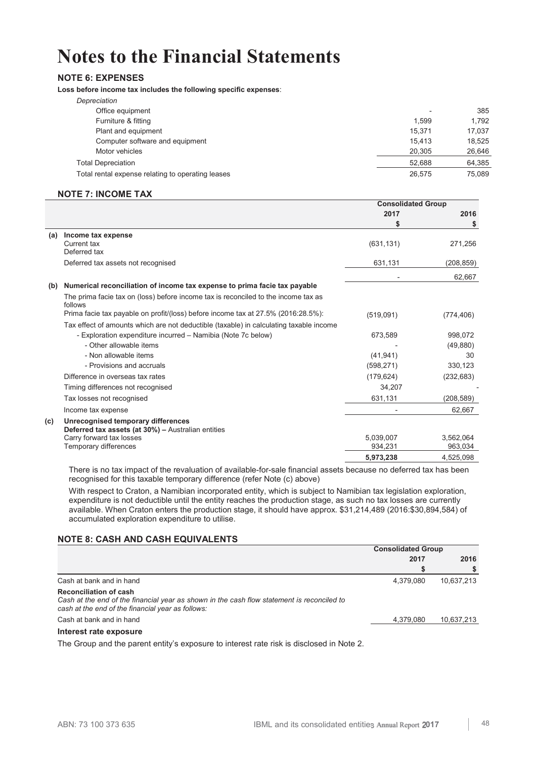## **NOTE 6: EXPENSES**

**Loss before income tax includes the following specific expenses**:

| Depreciation                                      |                          |        |
|---------------------------------------------------|--------------------------|--------|
| Office equipment                                  | $\overline{\phantom{a}}$ | 385    |
| Furniture & fitting                               | 1.599                    | 1.792  |
| Plant and equipment                               | 15.371                   | 17.037 |
| Computer software and equipment                   | 15.413                   | 18.525 |
| Motor vehicles                                    | 20,305                   | 26,646 |
| <b>Total Depreciation</b>                         | 52.688                   | 64,385 |
| Total rental expense relating to operating leases | 26,575                   | 75.089 |
|                                                   |                          |        |

## **NOTE 7: INCOME TAX**

|     |                                                                                               | <b>Consolidated Group</b> |            |
|-----|-----------------------------------------------------------------------------------------------|---------------------------|------------|
|     |                                                                                               | 2017                      | 2016       |
|     |                                                                                               | S                         | \$         |
| (a) | Income tax expense                                                                            |                           |            |
|     | Current tax                                                                                   | (631, 131)                | 271,256    |
|     | Deferred tax                                                                                  |                           |            |
|     | Deferred tax assets not recognised                                                            | 631,131                   | (208, 859) |
|     |                                                                                               |                           | 62,667     |
| (b) | Numerical reconciliation of income tax expense to prima facie tax payable                     |                           |            |
|     | The prima facie tax on (loss) before income tax is reconciled to the income tax as<br>follows |                           |            |
|     | Prima facie tax payable on profit/(loss) before income tax at 27.5% (2016:28.5%):             | (519,091)                 | (774, 406) |
|     | Tax effect of amounts which are not deductible (taxable) in calculating taxable income        |                           |            |
|     | - Exploration expenditure incurred - Namibia (Note 7c below)                                  | 673,589                   | 998,072    |
|     | - Other allowable items                                                                       |                           | (49, 880)  |
|     | - Non allowable items                                                                         | (41, 941)                 | 30         |
|     | - Provisions and accruals                                                                     | (598, 271)                | 330,123    |
|     | Difference in overseas tax rates                                                              | (179, 624)                | (232, 683) |
|     | Timing differences not recognised                                                             | 34,207                    |            |
|     | Tax losses not recognised                                                                     | 631,131                   | (208, 589) |
|     | Income tax expense                                                                            |                           | 62,667     |
| (c) | Unrecognised temporary differences<br>Deferred tax assets (at 30%) - Australian entities      |                           |            |
|     | Carry forward tax losses                                                                      | 5,039,007                 | 3,562,064  |
|     | Temporary differences                                                                         | 934,231                   | 963,034    |
|     |                                                                                               | 5,973,238                 | 4.525.098  |

There is no tax impact of the revaluation of available-for-sale financial assets because no deferred tax has been recognised for this taxable temporary difference (refer Note (c) above)

With respect to Craton, a Namibian incorporated entity, which is subject to Namibian tax legislation exploration, expenditure is not deductible until the entity reaches the production stage, as such no tax losses are currently available. When Craton enters the production stage, it should have approx. \$31,214,489 (2016:\$30,894,584) of accumulated exploration expenditure to utilise.

## **NOTE 8: CASH AND CASH EQUIVALENTS**

|                                                                                                                                                                                  | <b>Consolidated Group</b> |            |  |
|----------------------------------------------------------------------------------------------------------------------------------------------------------------------------------|---------------------------|------------|--|
|                                                                                                                                                                                  | 2017                      | 2016       |  |
|                                                                                                                                                                                  |                           |            |  |
| Cash at bank and in hand                                                                                                                                                         | 4,379,080                 | 10,637,213 |  |
| <b>Reconciliation of cash</b><br>Cash at the end of the financial year as shown in the cash flow statement is reconciled to<br>cash at the end of the financial year as follows: |                           |            |  |
| Cash at bank and in hand                                                                                                                                                         | 4.379.080                 | 10,637,213 |  |
| Interest rate exposure                                                                                                                                                           |                           |            |  |

The Group and the parent entity's exposure to interest rate risk is disclosed in Note 2.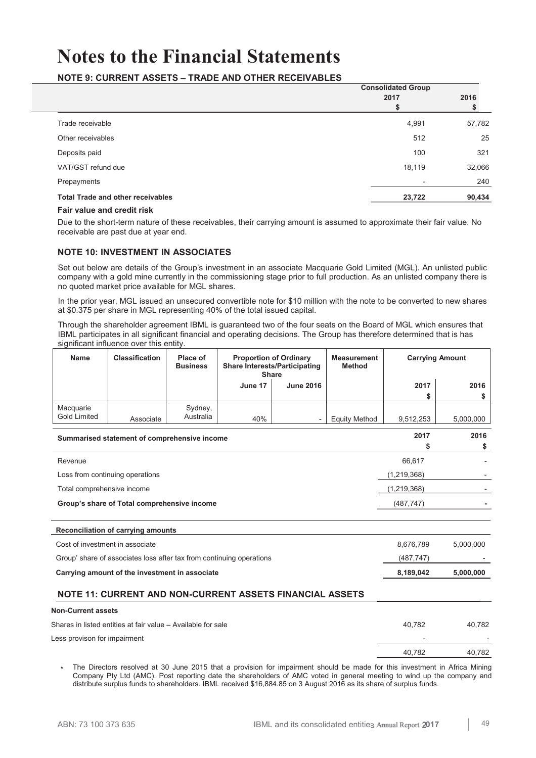## **NOTE 9: CURRENT ASSETS – TRADE AND OTHER RECEIVABLES**

|                                          | <b>Consolidated Group</b><br>2017 | 2016   |
|------------------------------------------|-----------------------------------|--------|
| Trade receivable                         | 4,991                             | 57,782 |
| Other receivables                        | 512                               | 25     |
| Deposits paid                            | 100                               | 321    |
| VAT/GST refund due                       | 18,119                            | 32,066 |
| Prepayments                              | $\overline{\phantom{a}}$          | 240    |
| <b>Total Trade and other receivables</b> | 23,722                            | 90,434 |
|                                          |                                   |        |

#### **Fair value and credit risk**

Due to the short-term nature of these receivables, their carrying amount is assumed to approximate their fair value. No receivable are past due at year end.

## **NOTE 10: INVESTMENT IN ASSOCIATES**

Set out below are details of the Group's investment in an associate Macquarie Gold Limited (MGL). An unlisted public company with a gold mine currently in the commissioning stage prior to full production. As an unlisted company there is no quoted market price available for MGL shares.

In the prior year, MGL issued an unsecured convertible note for \$10 million with the note to be converted to new shares at \$0.375 per share in MGL representing 40% of the total issued capital.

Through the shareholder agreement IBML is guaranteed two of the four seats on the Board of MGL which ensures that IBML participates in all significant financial and operating decisions. The Group has therefore determined that is has significant influence over this entity.

| <b>Name</b>                      | <b>Classification</b>                                                | Place of<br><b>Business</b> | <b>Proportion of Ordinary</b><br><b>Share Interests/Participating</b><br><b>Share</b> |                  | <b>Measurement</b><br><b>Method</b> |               | <b>Carrying Amount</b> |
|----------------------------------|----------------------------------------------------------------------|-----------------------------|---------------------------------------------------------------------------------------|------------------|-------------------------------------|---------------|------------------------|
|                                  |                                                                      |                             | June 17                                                                               | <b>June 2016</b> |                                     | 2017          | 2016                   |
|                                  |                                                                      |                             |                                                                                       |                  |                                     | \$            | \$                     |
| Macquarie<br><b>Gold Limited</b> | Associate                                                            | Sydney,<br>Australia        | 40%                                                                                   |                  | <b>Equity Method</b>                | 9,512,253     | 5,000,000              |
|                                  | Summarised statement of comprehensive income                         |                             |                                                                                       |                  |                                     | 2017          | 2016                   |
|                                  |                                                                      |                             |                                                                                       |                  |                                     | \$            | \$                     |
| Revenue                          |                                                                      |                             |                                                                                       |                  |                                     | 66,617        |                        |
| Loss from continuing operations  |                                                                      |                             |                                                                                       |                  |                                     |               |                        |
| Total comprehensive income       |                                                                      |                             |                                                                                       |                  |                                     | (1, 219, 368) |                        |
|                                  | Group's share of Total comprehensive income                          |                             |                                                                                       |                  |                                     | (487, 747)    |                        |
|                                  |                                                                      |                             |                                                                                       |                  |                                     |               |                        |
|                                  | Reconciliation of carrying amounts                                   |                             |                                                                                       |                  |                                     |               |                        |
| Cost of investment in associate  |                                                                      |                             |                                                                                       |                  |                                     | 8,676,789     | 5,000,000              |
|                                  | Group' share of associates loss after tax from continuing operations |                             |                                                                                       |                  |                                     | (487, 747)    |                        |
|                                  | Carrying amount of the investment in associate                       |                             |                                                                                       |                  |                                     | 8,189,042     | 5,000,000              |
|                                  | NOTE 11: CURRENT AND NON-CURRENT ASSETS FINANCIAL ASSETS             |                             |                                                                                       |                  |                                     |               |                        |
| <b>Non-Current assets</b>        |                                                                      |                             |                                                                                       |                  |                                     |               |                        |
|                                  | Shares in listed entities at fair value - Available for sale         |                             |                                                                                       |                  |                                     | 40,782        | 40,782                 |
| Less provison for impairment     |                                                                      |                             |                                                                                       |                  |                                     |               |                        |
|                                  |                                                                      |                             |                                                                                       |                  |                                     | 40.782        | 40.782                 |

The Directors resolved at 30 June 2015 that a provision for impairment should be made for this investment in Africa Mining Company Pty Ltd (AMC). Post reporting date the shareholders of AMC voted in general meeting to wind up the company and distribute surplus funds to shareholders. IBML received \$16,884.85 on 3 August 2016 as its share of surplus funds.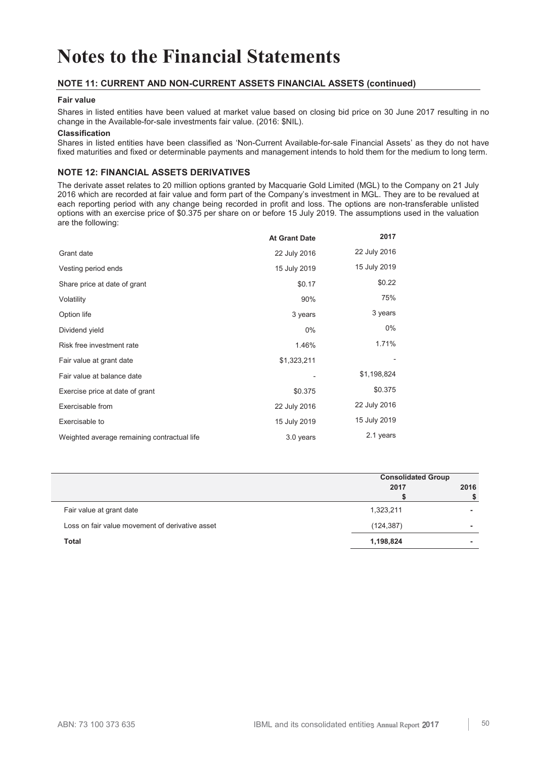## **NOTE 11: CURRENT AND NON-CURRENT ASSETS FINANCIAL ASSETS (continued)**

#### **Fair value**

Shares in listed entities have been valued at market value based on closing bid price on 30 June 2017 resulting in no change in the Available-for-sale investments fair value. (2016: \$NIL).

### **Classification**

Shares in listed entities have been classified as 'Non-Current Available-for-sale Financial Assets' as they do not have fixed maturities and fixed or determinable payments and management intends to hold them for the medium to long term.

## **NOTE 12: FINANCIAL ASSETS DERIVATIVES**

The derivate asset relates to 20 million options granted by Macquarie Gold Limited (MGL) to the Company on 21 July 2016 which are recorded at fair value and form part of the Company's investment in MGL. They are to be revalued at each reporting period with any change being recorded in profit and loss. The options are non-transferable unlisted options with an exercise price of \$0.375 per share on or before 15 July 2019. The assumptions used in the valuation are the following:

|                                             | <b>At Grant Date</b> | 2017         |
|---------------------------------------------|----------------------|--------------|
| Grant date                                  | 22 July 2016         | 22 July 2016 |
| Vesting period ends                         | 15 July 2019         | 15 July 2019 |
| Share price at date of grant                | \$0.17               | \$0.22       |
| Volatility                                  | 90%                  | 75%          |
| Option life                                 | 3 years              | 3 years      |
| Dividend yield                              | $0\%$                | $0\%$        |
| Risk free investment rate                   | 1.46%                | 1.71%        |
| Fair value at grant date                    | \$1,323,211          |              |
| Fair value at balance date                  |                      | \$1,198,824  |
| Exercise price at date of grant             | \$0.375              | \$0.375      |
| Exercisable from                            | 22 July 2016         | 22 July 2016 |
| Exercisable to                              | 15 July 2019         | 15 July 2019 |
| Weighted average remaining contractual life | 3.0 years            | 2.1 years    |

|                                                 | <b>Consolidated Group</b> |      |  |
|-------------------------------------------------|---------------------------|------|--|
|                                                 | 2017                      | 2016 |  |
|                                                 |                           |      |  |
| Fair value at grant date                        | 1,323,211                 |      |  |
| Loss on fair value movement of derivative asset | (124, 387)                |      |  |
| <b>Total</b>                                    | 1,198,824                 | -    |  |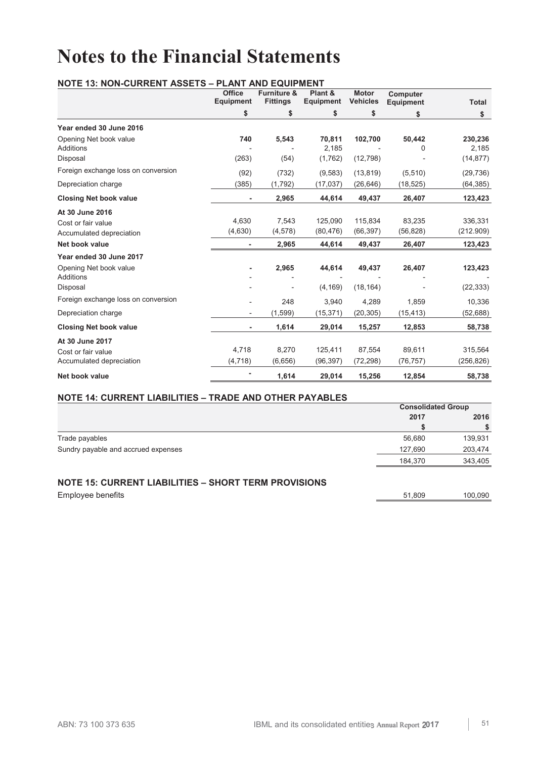#### **NOTE 13: NON-CURRENT ASSETS – PLANT AND EQUIPMENT Office Equipment Furniture & Fittings Plant & Equipment Motor Vehicles Computer Equipment Total \$ \$ \$ \$ \$ \$ Year ended 30 June 2016**  Opening Net book value **740 5,543 70,811 102,700 50,442 230,236** Additions - - 2,185 - 0 2,185 Disposal (263) (54) (1,762) (12,798) - (14,877) Foreign exchange loss on conversion (92) (732) (9,583) (13,819) (5,510) (29,736) Depreciation charge (385) (1,792) (17,037) (26,646) (18,525) (64,385) **Closing Net book value - 2,965 44,614 49,437 26,407 123,423 At 30 June 2016**  Cost or fair value<br>
Cost or fair value 4,630  $\left(4,630\right)$   $\left(4,630\right)$   $\left(4,678\right)$   $\left(80,476\right)$   $\left(66,397\right)$   $\left(56,828\right)$   $\left(212.909\right)$ Accumulated depreciation **Net book value - 2,965 44,614 49,437 26,407 123,423 Year ended 30 June 2017**  Opening Net book value **- 2,965 44,614 49,437 26,407 123,423** Additions - - - - - - Disposal - - (4,169) (18,164) - (22,333) Foreign exchange loss on conversion <br>
and the case of the 248 and 2940 4,289 1,859 10,336 Depreciation charge - (1,599) (15,371) (20,305) (15,413) (52,688) **Closing Net book value - 1,614 29,014 15,257 12,853 58,738 At 30 June 2017**  Cost or fair value 4,718 8,270 125,411 87,554 89,611 315,564 Accumulated depreciation (4,718) (6,656) (96,397) (72,298) (76,757) (256,826) **Net book value - 1,614 29,014 15,256 12,854 58,738**

## **NOTE 14: CURRENT LIABILITIES – TRADE AND OTHER PAYABLES**

|                                                             | <b>Consolidated Group</b> |         |
|-------------------------------------------------------------|---------------------------|---------|
|                                                             | 2017                      | 2016    |
|                                                             |                           |         |
| Trade payables                                              | 56,680                    | 139,931 |
| Sundry payable and accrued expenses                         | 127,690                   | 203,474 |
|                                                             | 184,370                   | 343,405 |
| <b>NOTE 15: CURRENT LIABILITIES - SHORT TERM PROVISIONS</b> |                           |         |
| <b>Employee benefits</b>                                    | 51.809                    | 100.090 |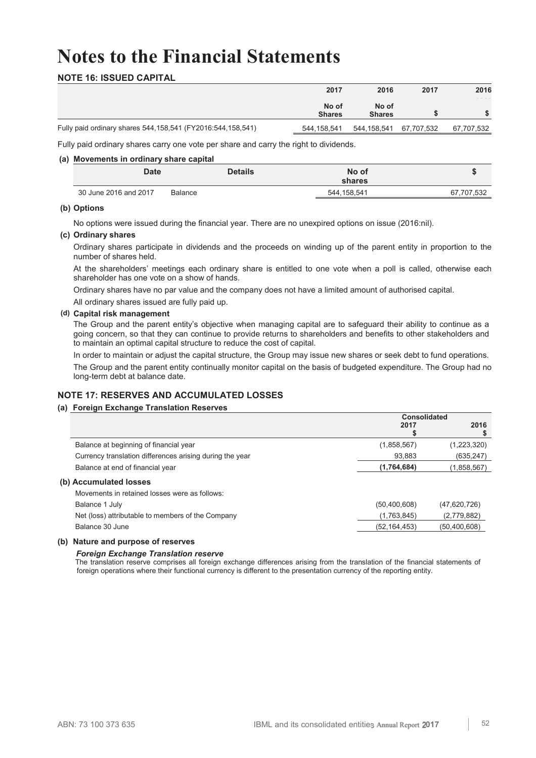## **NOTE 16: ISSUED CAPITAL**

|                                                                  | 2017                   | 2016                   | 2017 | 2016       |
|------------------------------------------------------------------|------------------------|------------------------|------|------------|
|                                                                  | No of<br><b>Shares</b> | No of<br><b>Shares</b> |      |            |
| Fully paid ordinary shares 544, 158, 541 (FY2016: 544, 158, 541) | 544.158.541            | 544,158,541 67,707,532 |      | 67.707.532 |

Fully paid ordinary shares carry one vote per share and carry the right to dividends.

### **(a) Movements in ordinary share capital**

| <b>Date</b>           |         | Details<br>No of<br>shares |            |
|-----------------------|---------|----------------------------|------------|
| 30 June 2016 and 2017 | Balance | 544,158,541                | 67.707.532 |

#### **(b) Options**

No options were issued during the financial year. There are no unexpired options on issue (2016:nil).

### **(c) Ordinary shares**

Ordinary shares participate in dividends and the proceeds on winding up of the parent entity in proportion to the number of shares held.

At the shareholders' meetings each ordinary share is entitled to one vote when a poll is called, otherwise each shareholder has one vote on a show of hands.

Ordinary shares have no par value and the company does not have a limited amount of authorised capital.

All ordinary shares issued are fully paid up.

## **(d) Capital risk management**

The Group and the parent entity's objective when managing capital are to safeguard their ability to continue as a going concern, so that they can continue to provide returns to shareholders and benefits to other stakeholders and to maintain an optimal capital structure to reduce the cost of capital.

In order to maintain or adjust the capital structure, the Group may issue new shares or seek debt to fund operations.

The Group and the parent entity continually monitor capital on the basis of budgeted expenditure. The Group had no long-term debt at balance date.

## **NOTE 17: RESERVES AND ACCUMULATED LOSSES**

## **(a) Foreign Exchange Translation Reserves**

|                                                          | <b>Consolidated</b> |                |  |
|----------------------------------------------------------|---------------------|----------------|--|
|                                                          | 2017                | 2016           |  |
|                                                          |                     |                |  |
| Balance at beginning of financial year                   | (1,858,567)         | (1,223,320)    |  |
| Currency translation differences arising during the year | 93,883              | (635, 247)     |  |
| Balance at end of financial year                         | (1,764,684)         | (1,858,567)    |  |
| (b) Accumulated losses                                   |                     |                |  |
| Movements in retained losses were as follows:            |                     |                |  |
| Balance 1 July                                           | (50, 400, 608)      | (47,620,726)   |  |
| Net (loss) attributable to members of the Company        | (1,763,845)         | (2,779,882)    |  |
| Balance 30 June                                          | (52, 164, 453)      | (50, 400, 608) |  |

#### **(b) Nature and purpose of reserves**

#### *Foreign Exchange Translation reserve*

The translation reserve comprises all foreign exchange differences arising from the translation of the financial statements of foreign operations where their functional currency is different to the presentation currency of the reporting entity.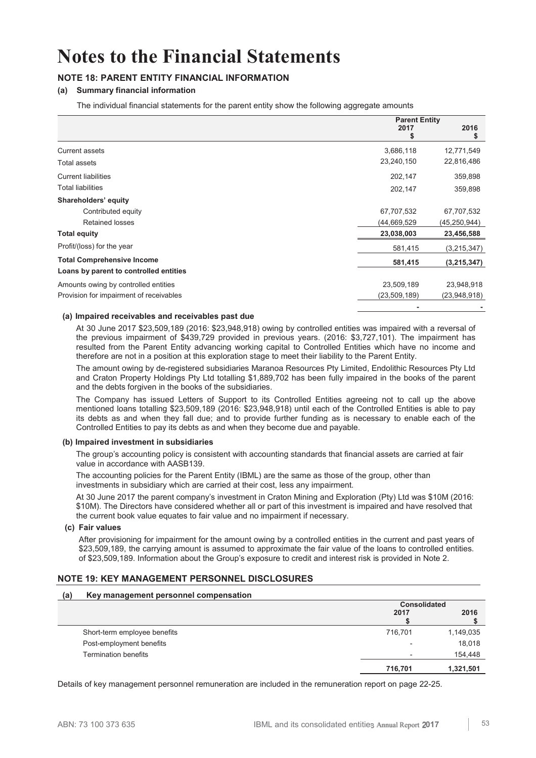## **NOTE 18: PARENT ENTITY FINANCIAL INFORMATION**

## **(a) Summary financial information**

The individual financial statements for the parent entity show the following aggregate amounts

|                                         | <b>Parent Entity</b> |                |
|-----------------------------------------|----------------------|----------------|
|                                         | 2017<br>S            | 2016<br>S      |
| Current assets                          | 3,686,118            | 12,771,549     |
| Total assets                            | 23,240,150           | 22,816,486     |
| <b>Current liabilities</b>              | 202,147              | 359,898        |
| <b>Total liabilities</b>                | 202,147              | 359,898        |
| Shareholders' equity                    |                      |                |
| Contributed equity                      | 67,707,532           | 67,707,532     |
| <b>Retained losses</b>                  | (44,669,529          | (45, 250, 944) |
| <b>Total equity</b>                     | 23,038,003           | 23,456,588     |
| Profit/(loss) for the year              | 581,415              | (3, 215, 347)  |
| <b>Total Comprehensive Income</b>       | 581,415              | (3,215,347)    |
| Loans by parent to controlled entities  |                      |                |
| Amounts owing by controlled entities    | 23,509,189           | 23,948,918     |
| Provision for impairment of receivables | (23,509,189)         | (23,948,918)   |
|                                         |                      |                |

#### **(a) Impaired receivables and receivables past due**

At 30 June 2017 \$23,509,189 (2016: \$23,948,918) owing by controlled entities was impaired with a reversal of the previous impairment of \$439,729 provided in previous years. (2016: \$3,727,101). The impairment has resulted from the Parent Entity advancing working capital to Controlled Entities which have no income and therefore are not in a position at this exploration stage to meet their liability to the Parent Entity.

The amount owing by de-registered subsidiaries Maranoa Resources Pty Limited, Endolithic Resources Pty Ltd and Craton Property Holdings Pty Ltd totalling \$1,889,702 has been fully impaired in the books of the parent and the debts forgiven in the books of the subsidiaries.

The Company has issued Letters of Support to its Controlled Entities agreeing not to call up the above mentioned loans totalling \$23,509,189 (2016: \$23,948,918) until each of the Controlled Entities is able to pay its debts as and when they fall due; and to provide further funding as is necessary to enable each of the Controlled Entities to pay its debts as and when they become due and payable.

#### **(b) Impaired investment in subsidiaries**

The group's accounting policy is consistent with accounting standards that financial assets are carried at fair value in accordance with AASB139.

The accounting policies for the Parent Entity (IBML) are the same as those of the group, other than investments in subsidiary which are carried at their cost, less any impairment.

At 30 June 2017 the parent company's investment in Craton Mining and Exploration (Pty) Ltd was \$10M (2016: \$10M). The Directors have considered whether all or part of this investment is impaired and have resolved that the current book value equates to fair value and no impairment if necessary.

#### **(c) Fair values**

After provisioning for impairment for the amount owing by a controlled entities in the current and past years of \$23,509,189, the carrying amount is assumed to approximate the fair value of the loans to controlled entities. of \$23,509,189. Information about the Group's exposure to credit and interest risk is provided in Note 2.

## **NOTE 19: KEY MANAGEMENT PERSONNEL DISCLOSURES**

#### **(a) Key management personnel compensation**

|                              |                          | <b>Consolidated</b> |
|------------------------------|--------------------------|---------------------|
|                              | 2017                     | 2016                |
| Short-term employee benefits | 716,701                  | 1,149,035           |
| Post-employment benefits     |                          | 18,018              |
| <b>Termination benefits</b>  | $\overline{\phantom{0}}$ | 154,448             |
|                              | 716,701                  | 1,321,501           |
|                              |                          |                     |

Details of key management personnel remuneration are included in the remuneration report on page 22-25.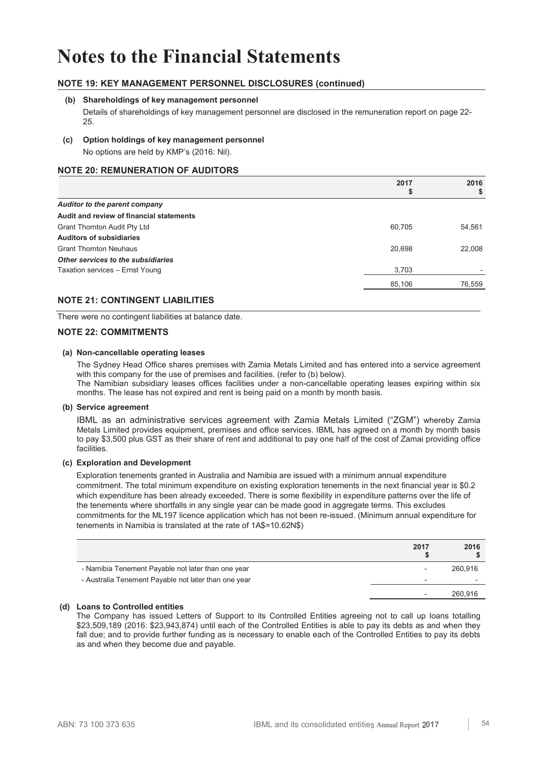## **NOTE 19: KEY MANAGEMENT PERSONNEL DISCLOSURES (continued)**

### **(b) Shareholdings of key management personnel**

Details of shareholdings of key management personnel are disclosed in the remuneration report on page 22- 25.

### **(c) Option holdings of key management personnel**

No options are held by KMP's (2016: Nil).

## **NOTE 20: REMUNERATION OF AUDITORS**

|                                          | 2017<br>Φ | 2016<br>\$ |
|------------------------------------------|-----------|------------|
| Auditor to the parent company            |           |            |
| Audit and review of financial statements |           |            |
| Grant Thornton Audit Pty Ltd             | 60,705    | 54,561     |
| <b>Auditors of subsidiaries</b>          |           |            |
| <b>Grant Thornton Neuhaus</b>            | 20,698    | 22,008     |
| Other services to the subsidiaries       |           |            |
| Taxation services - Ernst Young          | 3,703     |            |
|                                          | 85,106    | 76,559     |
|                                          |           |            |

## **NOTE 21: CONTINGENT LIABILITIES**

There were no contingent liabilities at balance date.

### **NOTE 22: COMMITMENTS**

#### **(a) Non-cancellable operating leases**

The Sydney Head Office shares premises with Zamia Metals Limited and has entered into a service agreement with this company for the use of premises and facilities. (refer to (b) below).

The Namibian subsidiary leases offices facilities under a non-cancellable operating leases expiring within six months. The lease has not expired and rent is being paid on a month by month basis.

#### **(b) Service agreement**

IBML as an administrative services agreement with Zamia Metals Limited ("ZGM") whereby Zamia Metals Limited provides equipment, premises and office services. IBML has agreed on a month by month basis to pay \$3,500 plus GST as their share of rent and additional to pay one half of the cost of Zamai providing office facilities.

#### **(c) Exploration and Development**

Exploration tenements granted in Australia and Namibia are issued with a minimum annual expenditure commitment. The total minimum expenditure on existing exploration tenements in the next financial year is \$0.2 which expenditure has been already exceeded. There is some flexibility in expenditure patterns over the life of the tenements where shortfalls in any single year can be made good in aggregate terms. This excludes commitments for the ML197 licence application which has not been re-issued. (Minimum annual expenditure for tenements in Namibia is translated at the rate of 1A\$=10.62N\$)

|                                                      | 2017<br>ъ | 2016    |
|------------------------------------------------------|-----------|---------|
| - Namibia Tenement Payable not later than one year   |           | 260.916 |
| - Australia Tenement Payable not later than one year |           |         |
|                                                      |           | 260.916 |

## **(d) Loans to Controlled entities**

The Company has issued Letters of Support to its Controlled Entities agreeing not to call up loans totalling \$23,509,189 (2016: \$23,943,874) until each of the Controlled Entities is able to pay its debts as and when they fall due; and to provide further funding as is necessary to enable each of the Controlled Entities to pay its debts as and when they become due and payable.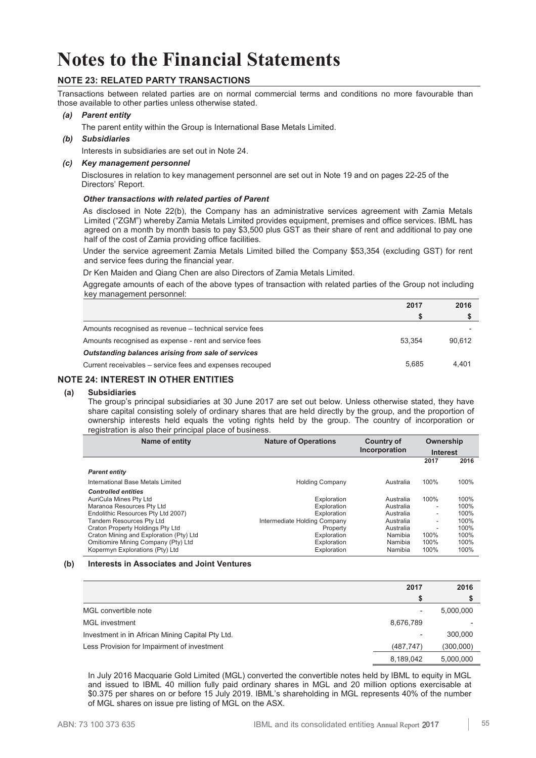## **NOTE 23: RELATED PARTY TRANSACTIONS**

Transactions between related parties are on normal commercial terms and conditions no more favourable than those available to other parties unless otherwise stated.

## *(a) Parent entity*

The parent entity within the Group is International Base Metals Limited.

*(b) Subsidiaries* 

Interests in subsidiaries are set out in Note 24.

### *(c) Key management personnel*

Disclosures in relation to key management personnel are set out in Note 19 and on pages 22-25 of the Directors' Report.

#### *Other transactions with related parties of Parent*

As disclosed in Note 22(b), the Company has an administrative services agreement with Zamia Metals Limited ("ZGM") whereby Zamia Metals Limited provides equipment, premises and office services. IBML has agreed on a month by month basis to pay \$3,500 plus GST as their share of rent and additional to pay one half of the cost of Zamia providing office facilities.

Under the service agreement Zamia Metals Limited billed the Company \$53,354 (excluding GST) for rent and service fees during the financial year.

Dr Ken Maiden and Qiang Chen are also Directors of Zamia Metals Limited.

Aggregate amounts of each of the above types of transaction with related parties of the Group not including key management personnel:

|                                                          | 2017   | 2016   |
|----------------------------------------------------------|--------|--------|
|                                                          |        |        |
| Amounts recognised as revenue – technical service fees   |        |        |
| Amounts recognised as expense - rent and service fees    | 53.354 | 90.612 |
| Outstanding balances arising from sale of services       |        |        |
| Current receivables – service fees and expenses recouped | 5.685  | 4.401  |
|                                                          |        |        |

## **NOTE 24: INTEREST IN OTHER ENTITIES**

#### **(a) Subsidiaries**

The group's principal subsidiaries at 30 June 2017 are set out below. Unless otherwise stated, they have share capital consisting solely of ordinary shares that are held directly by the group, and the proportion of ownership interests held equals the voting rights held by the group. The country of incorporation or registration is also their principal place of business.

| Name of entity                          | <b>Nature of Operations</b>  | <b>Country of</b><br>Incorporation | Ownership<br><b>Interest</b> |      |
|-----------------------------------------|------------------------------|------------------------------------|------------------------------|------|
|                                         |                              |                                    | 2017                         | 2016 |
| <b>Parent entity</b>                    |                              |                                    |                              |      |
| International Base Metals Limited       | <b>Holding Company</b>       | Australia                          | 100%                         | 100% |
| <b>Controlled entities</b>              |                              |                                    |                              |      |
| AuriCula Mines Pty Ltd                  | Exploration                  | Australia                          | 100%                         | 100% |
| Maranoa Resources Pty Ltd               | Exploration                  | Australia                          | $\overline{\phantom{a}}$     | 100% |
| Endolithic Resources Pty Ltd 2007)      | Exploration                  | Australia                          | ۰.                           | 100% |
| Tandem Resources Pty Ltd                | Intermediate Holding Company | Australia                          | $\overline{\phantom{a}}$     | 100% |
| Craton Property Holdings Pty Ltd        | Property                     | Australia                          | $\overline{\phantom{a}}$     | 100% |
| Craton Mining and Exploration (Pty) Ltd | Exploration                  | Namibia                            | 100%                         | 100% |
| Omitiomire Mining Company (Pty) Ltd     | Exploration                  | Namibia                            | 100%                         | 100% |
| Kopermyn Explorations (Pty) Ltd         | Exploration                  | Namibia                            | 100%                         | 100% |

#### **(b) Interests in Associates and Joint Ventures**

|                                                  | 2017                         | 2016      |
|--------------------------------------------------|------------------------------|-----------|
|                                                  |                              |           |
| MGL convertible note                             | $\overline{\phantom{0}}$     | 5,000,000 |
| <b>MGL</b> investment                            | 8,676,789                    |           |
| Investment in in African Mining Capital Pty Ltd. | $\qquad \qquad \blacksquare$ | 300,000   |
| Less Provision for Impairment of investment      | (487, 747)                   | (300,000) |
|                                                  | 8,189,042                    | 5,000,000 |

In July 2016 Macquarie Gold Limited (MGL) converted the convertible notes held by IBML to equity in MGL and issued to IBML 40 million fully paid ordinary shares in MGL and 20 million options exercisable at \$0.375 per shares on or before 15 July 2019. IBML's shareholding in MGL represents 40% of the number of MGL shares on issue pre listing of MGL on the ASX.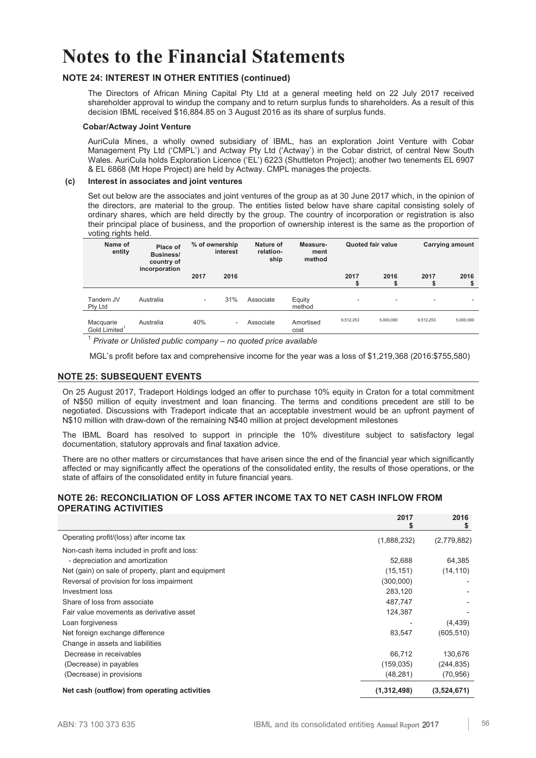## **NOTE 24: INTEREST IN OTHER ENTITIES (continued)**

The Directors of African Mining Capital Pty Ltd at a general meeting held on 22 July 2017 received shareholder approval to windup the company and to return surplus funds to shareholders. As a result of this decision IBML received \$16,884.85 on 3 August 2016 as its share of surplus funds.

#### **Cobar/Actway Joint Venture**

AuriCula Mines, a wholly owned subsidiary of IBML, has an exploration Joint Venture with Cobar Management Pty Ltd ('CMPL') and Actway Pty Ltd ('Actway') in the Cobar district, of central New South Wales. AuriCula holds Exploration Licence ('EL') 6223 (Shuttleton Project); another two tenements EL 6907 & EL 6868 (Mt Hope Project) are held by Actway. CMPL manages the projects.

### **(c) Interest in associates and joint ventures**

Set out below are the associates and joint ventures of the group as at 30 June 2017 which, in the opinion of the directors, are material to the group. The entities listed below have share capital consisting solely of ordinary shares, which are held directly by the group. The country of incorporation or registration is also their principal place of business, and the proportion of ownership interest is the same as the proportion of voting rights held.

| Name of<br>entity                      | Place of<br><b>Business/</b><br>country of | % of ownership | interest | Nature of<br>relation-<br>ship | Measure-<br>ment<br>method |           | <b>Quoted fair value</b> |           | Carrying amount |      |
|----------------------------------------|--------------------------------------------|----------------|----------|--------------------------------|----------------------------|-----------|--------------------------|-----------|-----------------|------|
|                                        |                                            | incorporation  | 2017     | 2016                           |                            |           | 2017<br>S                | 2016      | 2017            | 2016 |
| Tandem JV<br>Pty Ltd                   | Australia                                  | ٠              | 31%      | Associate                      | Equity<br>method           |           | ۰                        | ۰         |                 |      |
| Macquarie<br>Gold Limited <sup>1</sup> | Australia                                  | 40%            |          | Associate                      | Amortised<br>cost          | 9,512,253 | 5.000.000                | 9.512.253 | 5,000,000       |      |

1  *Private or Unlisted public company – no quoted price available*

MGL's profit before tax and comprehensive income for the year was a loss of \$1,219,368 (2016:\$755,580)

### **NOTE 25: SUBSEQUENT EVENTS**

On 25 August 2017, Tradeport Holdings lodged an offer to purchase 10% equity in Craton for a total commitment of N\$50 million of equity investment and loan financing. The terms and conditions precedent are still to be negotiated. Discussions with Tradeport indicate that an acceptable investment would be an upfront payment of N\$10 million with draw-down of the remaining N\$40 million at project development milestones

The IBML Board has resolved to support in principle the 10% divestiture subject to satisfactory legal documentation, statutory approvals and final taxation advice.

There are no other matters or circumstances that have arisen since the end of the financial year which significantly affected or may significantly affect the operations of the consolidated entity, the results of those operations, or the state of affairs of the consolidated entity in future financial years.

### **NOTE 26: RECONCILIATION OF LOSS AFTER INCOME TAX TO NET CASH INFLOW FROM OPERATING ACTIVITIES**

|                                                     | 2017        | 2016<br>\$  |
|-----------------------------------------------------|-------------|-------------|
| Operating profit/(loss) after income tax            | (1,888,232) | (2,779,882) |
| Non-cash items included in profit and loss:         |             |             |
| - depreciation and amortization                     | 52,688      | 64,385      |
| Net (gain) on sale of property, plant and equipment | (15, 151)   | (14, 110)   |
| Reversal of provision for loss impairment           | (300,000)   |             |
| Investment loss                                     | 283,120     |             |
| Share of loss from associate                        | 487,747     |             |
| Fair value movements as derivative asset            | 124,387     |             |
| Loan forgiveness                                    |             | (4, 439)    |
| Net foreign exchange difference                     | 83,547      | (605, 510)  |
| Change in assets and liabilities                    |             |             |
| Decrease in receivables                             | 66,712      | 130,676     |
| (Decrease) in payables                              | (159, 035)  | (244, 835)  |
| (Decrease) in provisions                            | (48, 281)   | (70, 956)   |
| Net cash (outflow) from operating activities        | (1,312,498) | (3,524,671) |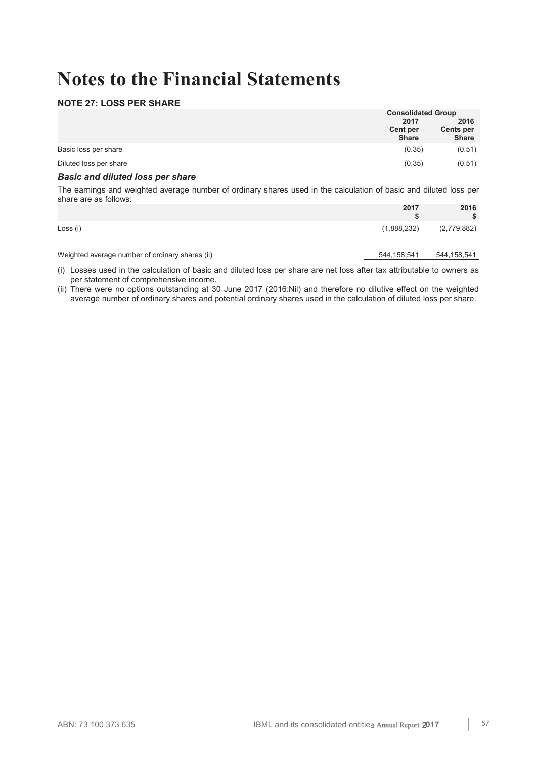## **NOTE 27: LOSS PER SHARE**

|                        | <b>Consolidated Group</b>       |                                   |
|------------------------|---------------------------------|-----------------------------------|
|                        | 2017                            | 2016<br>Cents per<br><b>Share</b> |
|                        | <b>Cent per</b><br><b>Share</b> |                                   |
| Basic loss per share   | (0.35)                          | (0.51)                            |
| Diluted loss per share | (0.35)                          | (0.51)                            |

## *Basic and diluted loss per share*

The earnings and weighted average number of ordinary shares used in the calculation of basic and diluted loss per share are as follows:

|                      | 2017                       | 2016<br>$\triangleright$<br>دى |
|----------------------|----------------------------|--------------------------------|
| $\cdots$<br>Loss (i) | יממח,<br>888<br>1,000,202, | 79.882<br>۰–۰                  |

Weighted average number of ordinary shares (ii) 544,158,541 544,158,541 544,158,541

(i) Losses used in the calculation of basic and diluted loss per share are net loss after tax attributable to owners as per statement of comprehensive income.

(ii) There were no options outstanding at 30 June 2017 (2016:Nil) and therefore no dilutive effect on the weighted average number of ordinary shares and potential ordinary shares used in the calculation of diluted loss per share.